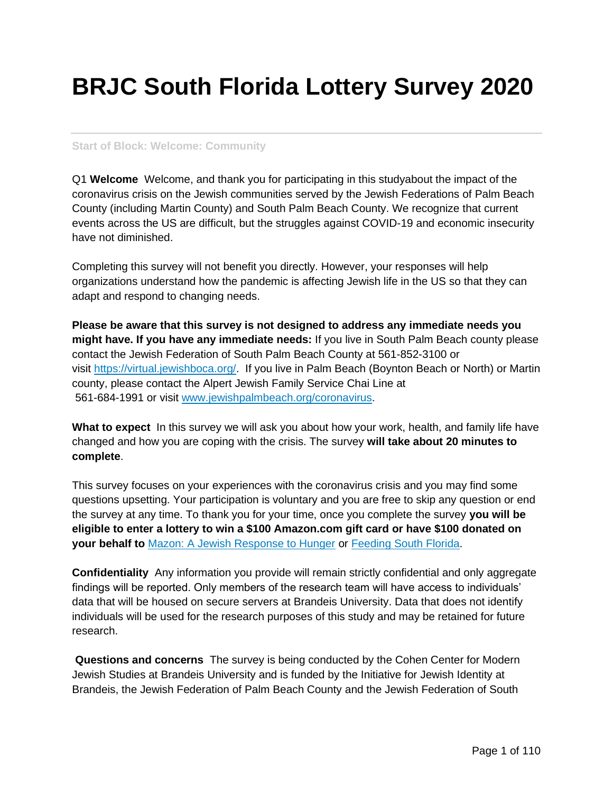# **BRJC South Florida Lottery Survey 2020**

#### **Start of Block: Welcome: Community**

Q1 **Welcome** Welcome, and thank you for participating in this studyabout the impact of the coronavirus crisis on the Jewish communities served by the Jewish Federations of Palm Beach County (including Martin County) and South Palm Beach County. We recognize that current events across the US are difficult, but the struggles against COVID-19 and economic insecurity have not diminished.

Completing this survey will not benefit you directly. However, your responses will help organizations understand how the pandemic is affecting Jewish life in the US so that they can adapt and respond to changing needs.

**Please be aware that this survey is not designed to address any immediate needs you might have. If you have any immediate needs:** If you live in South Palm Beach county please contact the Jewish Federation of South Palm Beach County at 561-852-3100 or visit [https://virtual.jewishboca.org/.](https://virtual.jewishboca.org/) If you live in Palm Beach (Boynton Beach or North) or Martin county, please contact the Alpert Jewish Family Service Chai Line at 561-684-1991 or visit [www.jewishpalmbeach.org/coronavirus.](http://www.jewishpalmbeach.org/coronavirus)

**What to expect** In this survey we will ask you about how your work, health, and family life have changed and how you are coping with the crisis. The survey **will take about 20 minutes to complete**.

This survey focuses on your experiences with the coronavirus crisis and you may find some questions upsetting. Your participation is voluntary and you are free to skip any question or end the survey at any time. To thank you for your time, once you complete the survey **you will be eligible to enter a lottery to win a \$100 Amazon.com gift card or have \$100 donated on your behalf to** [Mazon: A Jewish Response to Hunger](https://mazon.org/) or [Feeding South Florida.](https://feedingsouthflorida.org/)

**Confidentiality** Any information you provide will remain strictly confidential and only aggregate findings will be reported. Only members of the research team will have access to individuals' data that will be housed on secure servers at Brandeis University. Data that does not identify individuals will be used for the research purposes of this study and may be retained for future research.

**Questions and concerns** The survey is being conducted by the Cohen Center for Modern Jewish Studies at Brandeis University and is funded by the Initiative for Jewish Identity at Brandeis, the Jewish Federation of Palm Beach County and the Jewish Federation of South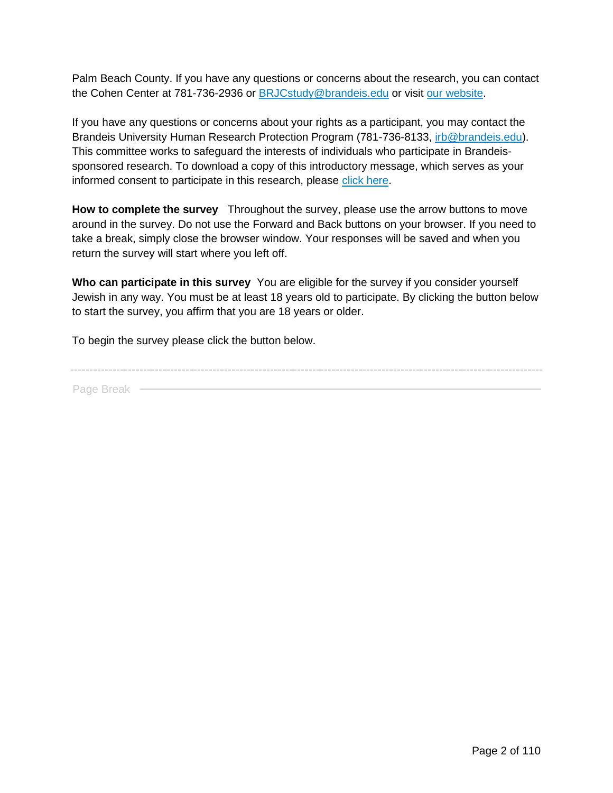Palm Beach County. If you have any questions or concerns about the research, you can contact the Cohen Center at 781-736-2936 or **BRJCstudy@brandeis.edu or visit [our website.](https://www.brandeis.edu/cmjs/researchprojects/brjc/general.html)** 

If you have any questions or concerns about your rights as a participant, you may contact the Brandeis University Human Research Protection Program (781-736-8133, [irb@brandeis.edu\)](mailto:irb@brandeis.edu). This committee works to safeguard the interests of individuals who participate in Brandeissponsored research. To download a copy of this introductory message, which serves as your informed consent to participate in this research, please [click here.](https://www.brandeis.edu/cmjs/researchprojects/brjc/pdfs/brjc-study-informed-consent-v_1.pdf)

**How to complete the survey** Throughout the survey, please use the arrow buttons to move around in the survey. Do not use the Forward and Back buttons on your browser. If you need to take a break, simply close the browser window. Your responses will be saved and when you return the survey will start where you left off.

**Who can participate in this survey** You are eligible for the survey if you consider yourself Jewish in any way. You must be at least 18 years old to participate. By clicking the button below to start the survey, you affirm that you are 18 years or older.

To begin the survey please click the button below.

Page Break -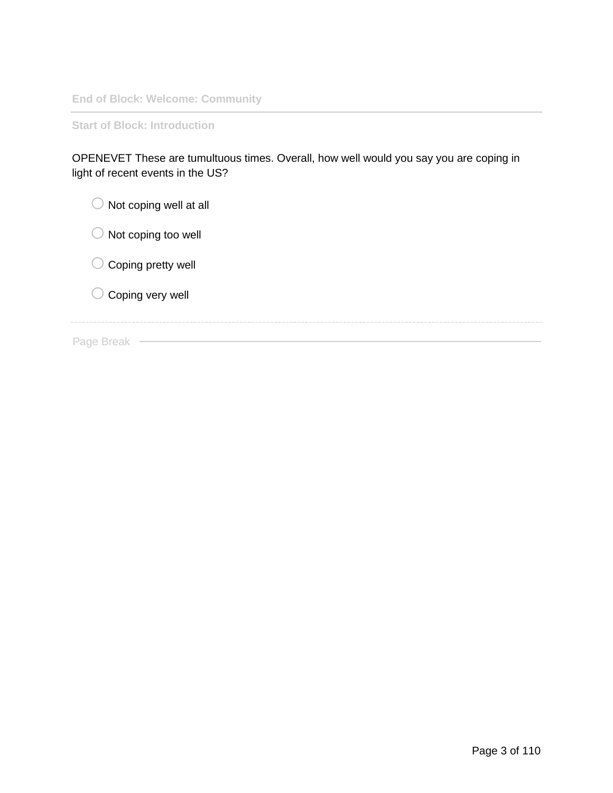**End of Block: Welcome: Community**

**Start of Block: Introduction**

| OPENEVET These are tumultuous times. Overall, how well would you say you are coping in |  |
|----------------------------------------------------------------------------------------|--|
| light of recent events in the US?                                                      |  |

| Not coping well at all                       |
|----------------------------------------------|
| Not coping too well                          |
| Coping pretty well<br>$\left( \quad \right)$ |
| $\bigcirc$ Coping very well                  |
|                                              |
| 3reak                                        |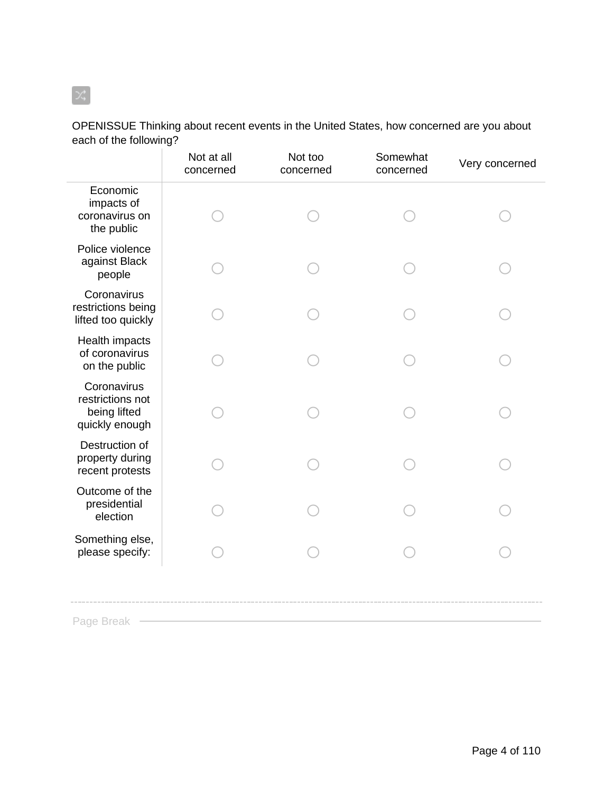## OPENISSUE Thinking about recent events in the United States, how concerned are you about each of the following?

|                                                                   | Not at all<br>concerned | Not too<br>concerned | Somewhat<br>concerned | Very concerned |
|-------------------------------------------------------------------|-------------------------|----------------------|-----------------------|----------------|
| Economic<br>impacts of<br>coronavirus on<br>the public            |                         |                      |                       |                |
| Police violence<br>against Black<br>people                        |                         |                      |                       |                |
| Coronavirus<br>restrictions being<br>lifted too quickly           |                         |                      |                       |                |
| Health impacts<br>of coronavirus<br>on the public                 |                         |                      |                       |                |
| Coronavirus<br>restrictions not<br>being lifted<br>quickly enough |                         |                      |                       |                |
| Destruction of<br>property during<br>recent protests              |                         |                      |                       |                |
| Outcome of the<br>presidential<br>election                        |                         |                      |                       |                |
| Something else,<br>please specify:                                |                         |                      |                       |                |
| Dogo Drook                                                        |                         |                      |                       |                |

Page Break

 $[\infty]$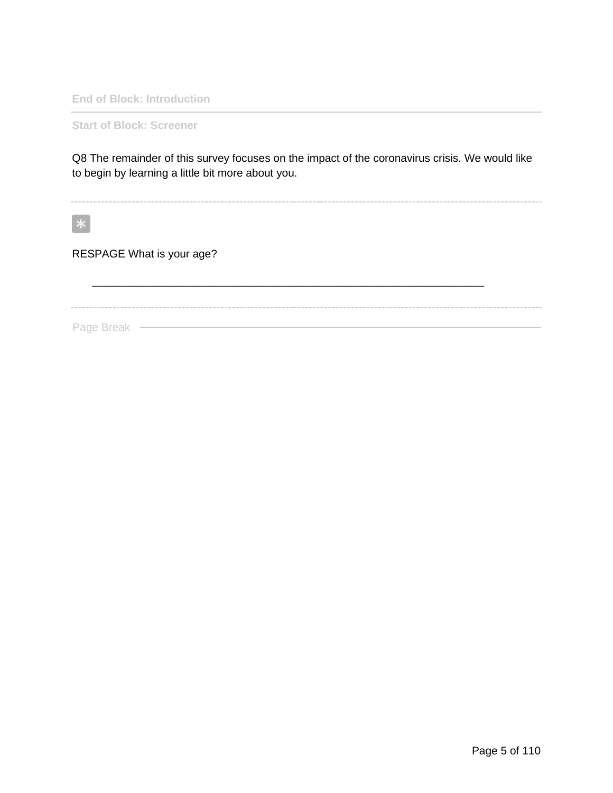**End of Block: Introduction**

**Start of Block: Screener**

Q8 The remainder of this survey focuses on the impact of the coronavirus crisis. We would like to begin by learning a little bit more about you.

\_\_\_\_\_\_\_\_\_\_\_\_\_\_\_\_\_\_\_\_\_\_\_\_\_\_\_\_\_\_\_\_\_\_\_\_\_\_\_\_\_\_\_\_\_\_\_\_\_\_\_\_\_\_\_\_\_\_\_\_\_\_\_\_

 $\ast$ 

RESPAGE What is your age?

Page Break —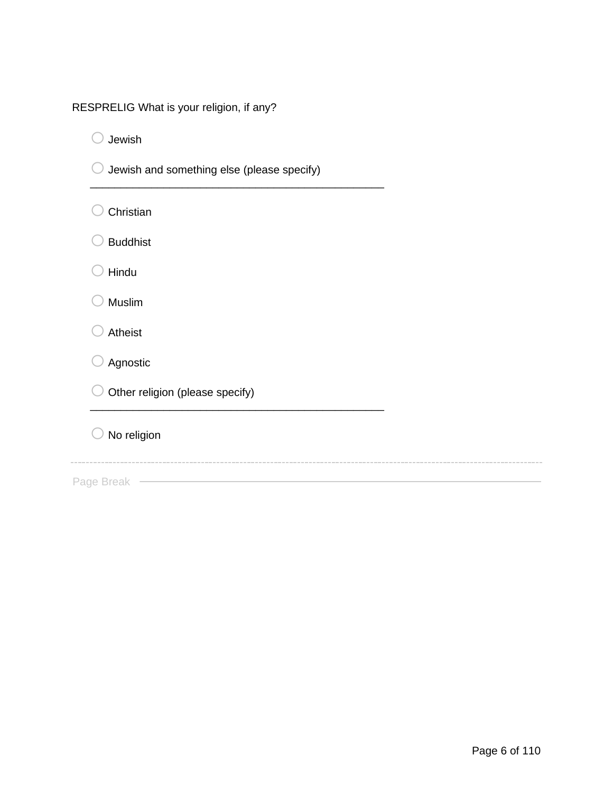| RESPRELIG What is your religion, if any? |  |  |  |  |  |
|------------------------------------------|--|--|--|--|--|
|------------------------------------------|--|--|--|--|--|

 $\bigcirc$  Jewish

| Jewish and something else (please specify) |
|--------------------------------------------|
| Christian                                  |
| <b>Buddhist</b>                            |
| Hindu                                      |
| <b>Muslim</b>                              |

\_\_\_\_\_\_\_\_\_\_\_\_\_\_\_\_\_\_\_\_\_\_\_\_\_\_\_\_\_\_\_\_\_\_\_\_\_\_\_\_\_\_\_\_\_\_\_\_

 $\bigcirc$  Atheist

 $\bigcirc$  Agnostic

 $\bigcirc$  Other religion (please specify)

 $\bigcirc$  No religion

Page Break —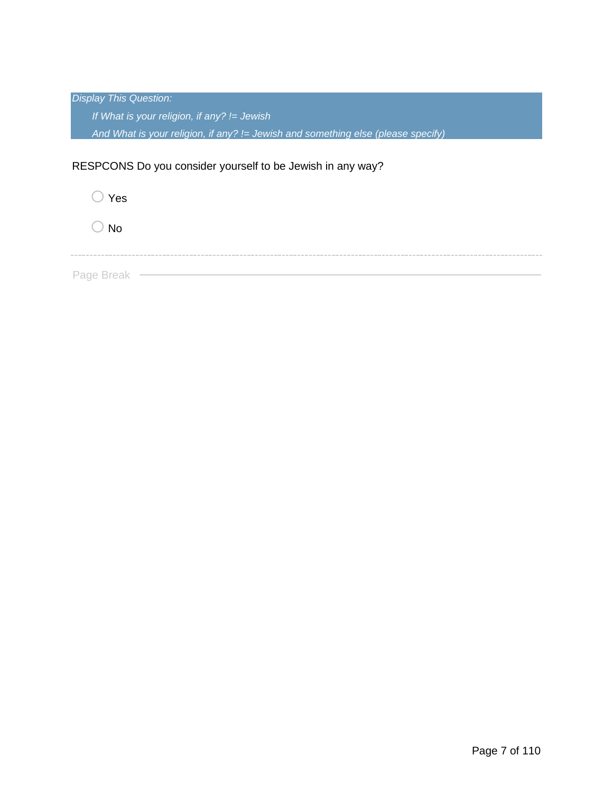| <b>Display This Question:</b>                                                       |  |
|-------------------------------------------------------------------------------------|--|
| If What is your religion, if any? $I =$ Jewish                                      |  |
| And What is your religion, if any? $I =$ Jewish and something else (please specify) |  |
| RESPCONS Do you consider yourself to be Jewish in any way?                          |  |
| Yes                                                                                 |  |

 $\bigcirc$  No

Page Break -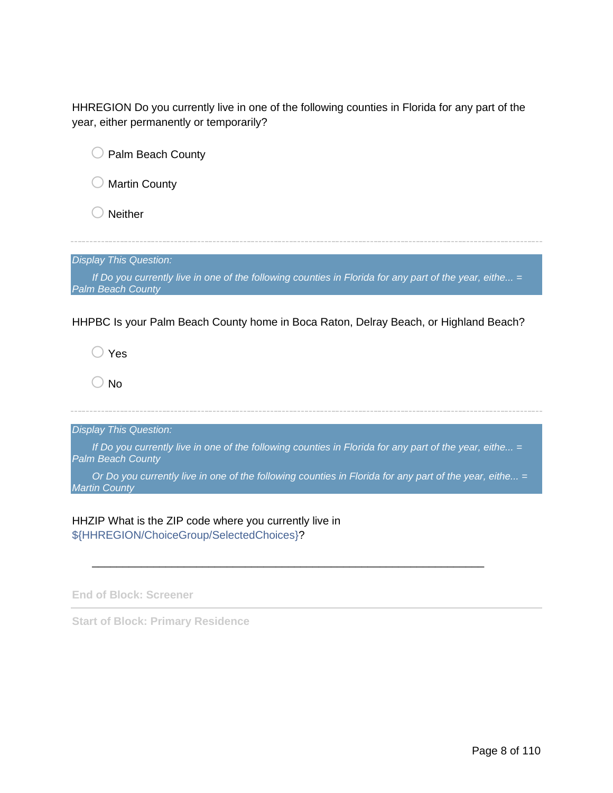HHREGION Do you currently live in one of the following counties in Florida for any part of the year, either permanently or temporarily?

| Palm Beach County                                                                                                                    |
|--------------------------------------------------------------------------------------------------------------------------------------|
| <b>Martin County</b>                                                                                                                 |
| <b>Neither</b>                                                                                                                       |
|                                                                                                                                      |
| <b>Display This Question:</b>                                                                                                        |
| If Do you currently live in one of the following counties in Florida for any part of the year, eithe $=$<br><b>Palm Beach County</b> |
|                                                                                                                                      |
| HHPBC Is your Palm Beach County home in Boca Raton, Delray Beach, or Highland Beach?                                                 |
| Yes                                                                                                                                  |
| <b>No</b>                                                                                                                            |
|                                                                                                                                      |
| <b>Display This Question:</b>                                                                                                        |
| If Do you currently live in one of the following counties in Florida for any part of the year, eithe =<br><b>Palm Beach County</b>   |
| Or Do you currently live in one of the following counties in Florida for any part of the year, eithe =<br><b>Martin County</b>       |

\_\_\_\_\_\_\_\_\_\_\_\_\_\_\_\_\_\_\_\_\_\_\_\_\_\_\_\_\_\_\_\_\_\_\_\_\_\_\_\_\_\_\_\_\_\_\_\_\_\_\_\_\_\_\_\_\_\_\_\_\_\_\_\_

HHZIP What is the ZIP code where you currently live in \${HHREGION/ChoiceGroup/SelectedChoices}?

**End of Block: Screener**

**Start of Block: Primary Residence**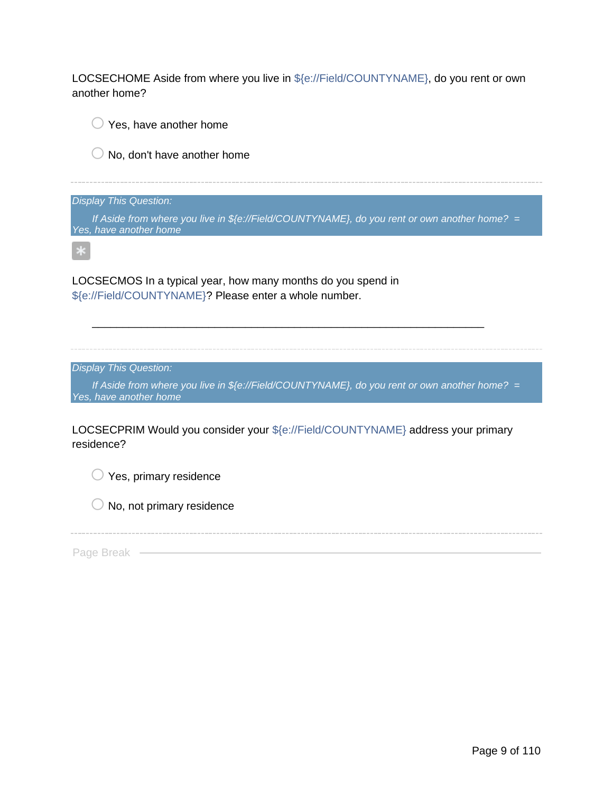LOCSECHOME Aside from where you live in \${e://Field/COUNTYNAME}, do you rent or own another home?

 $\bigcirc$  Yes, have another home

 $\bigcirc$  No, don't have another home

*Display This Question:*

*If Aside from where you live in \${e://Field/COUNTYNAME}, do you rent or own another home? = Yes, have another home*

 $\ast$ 

LOCSECMOS In a typical year, how many months do you spend in \${e://Field/COUNTYNAME}? Please enter a whole number.

*Display This Question:*

*If Aside from where you live in \${e://Field/COUNTYNAME}, do you rent or own another home? = Yes, have another home*

\_\_\_\_\_\_\_\_\_\_\_\_\_\_\_\_\_\_\_\_\_\_\_\_\_\_\_\_\_\_\_\_\_\_\_\_\_\_\_\_\_\_\_\_\_\_\_\_\_\_\_\_\_\_\_\_\_\_\_\_\_\_\_\_

LOCSECPRIM Would you consider your \${e://Field/COUNTYNAME} address your primary residence?

 $\bigcirc$  Yes, primary residence

 $\bigcirc$  No, not primary residence

Page Break -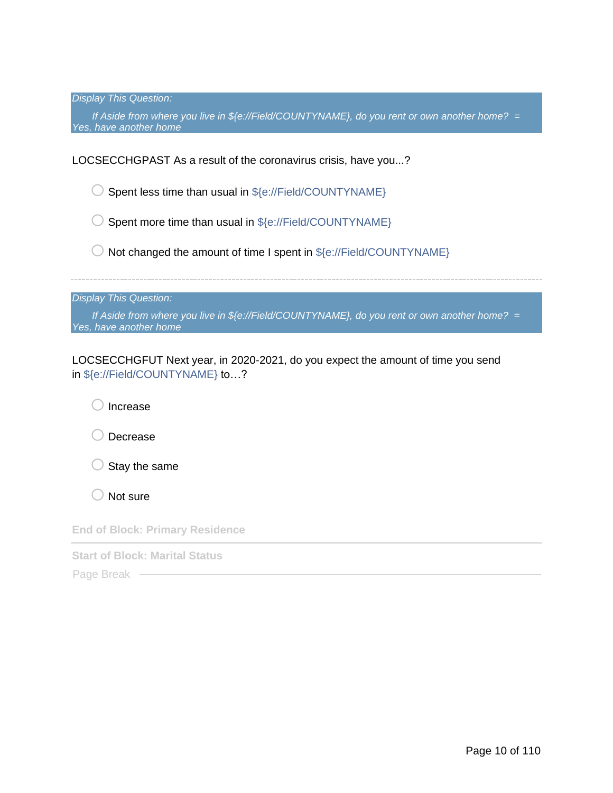*Display This Question:*

*If Aside from where you live in \${e://Field/COUNTYNAME}, do you rent or own another home? = Yes, have another home*

LOCSECCHGPAST As a result of the coronavirus crisis, have you...?

 $\bigcirc$  Spent less time than usual in \$ $\{e$ ://Field/COUNTYNAME}

 $\bigcirc$  Spent more time than usual in \${e://Field/COUNTYNAME}

 $\bigcirc$  Not changed the amount of time I spent in  $\S$ {e://Field/COUNTYNAME}

*Display This Question:*

*If Aside from where you live in \${e://Field/COUNTYNAME}, do you rent or own another home? = Yes, have another home*

LOCSECCHGFUT Next year, in 2020-2021, do you expect the amount of time you send in \${e://Field/COUNTYNAME} to…?

oIncrease

O Decrease

 $\bigcirc$  Stay the same

 $\bigcirc$  Not sure

**End of Block: Primary Residence**

**Start of Block: Marital Status**

Page Break -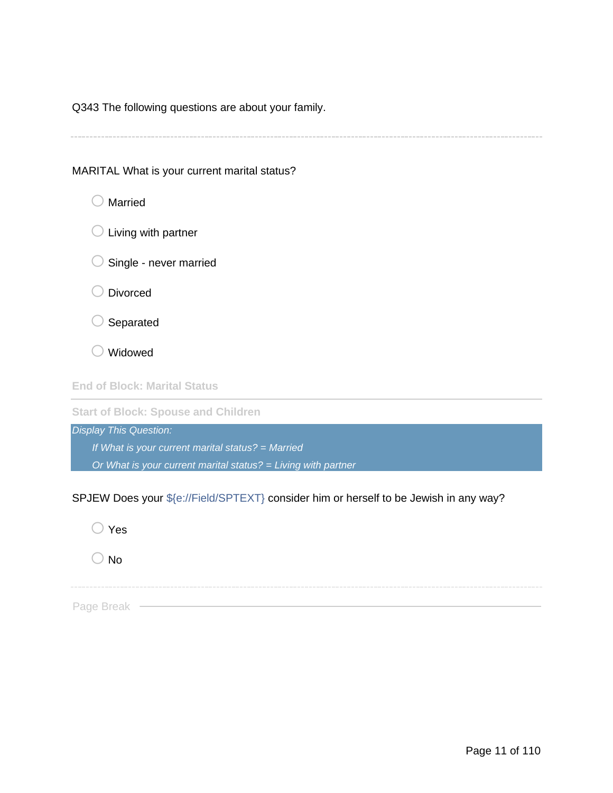Q343 The following questions are about your family.

MARITAL What is your current marital status?



**Start of Block: Spouse and Children** *Display This Question:*

*If What is your current marital status? = Married Or What is your current marital status? = Living with partner*

SPJEW Does your \${e://Field/SPTEXT} consider him or herself to be Jewish in any way?

| $\bigcirc$ Yes |
|----------------|
| $\bigcirc$ No  |
|                |
| Page Break —   |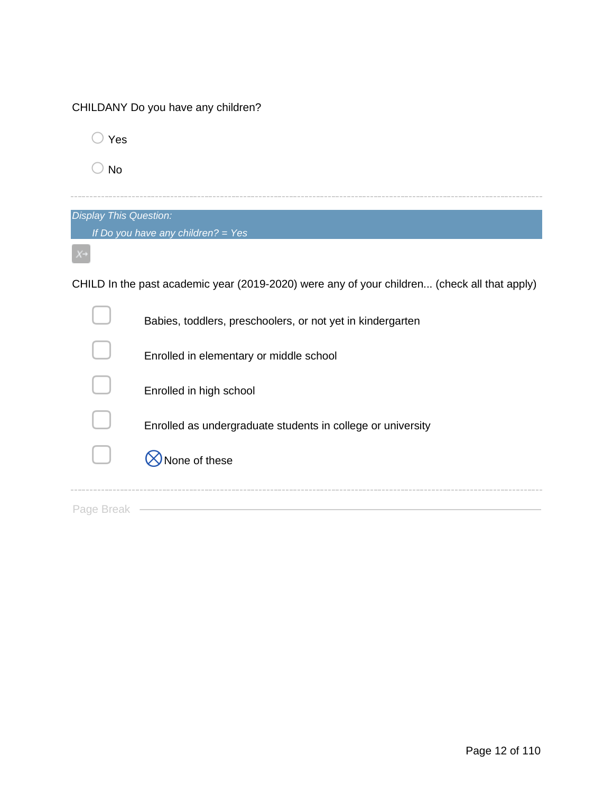| CHILDANY Do you have any children? |  |  |  |  |
|------------------------------------|--|--|--|--|
|------------------------------------|--|--|--|--|

o Yes

 $\bigcirc$  No

| <b>Display This Question:</b>        |  |  |
|--------------------------------------|--|--|
| If Do you have any children? = $Yes$ |  |  |
|                                      |  |  |

CHILD In the past academic year (2019-2020) were any of your children... (check all that apply)

|           | Babies, toddlers, preschoolers, or not yet in kindergarten  |
|-----------|-------------------------------------------------------------|
|           | Enrolled in elementary or middle school                     |
|           | Enrolled in high school                                     |
|           | Enrolled as undergraduate students in college or university |
|           | lone of these                                               |
| Page Brea |                                                             |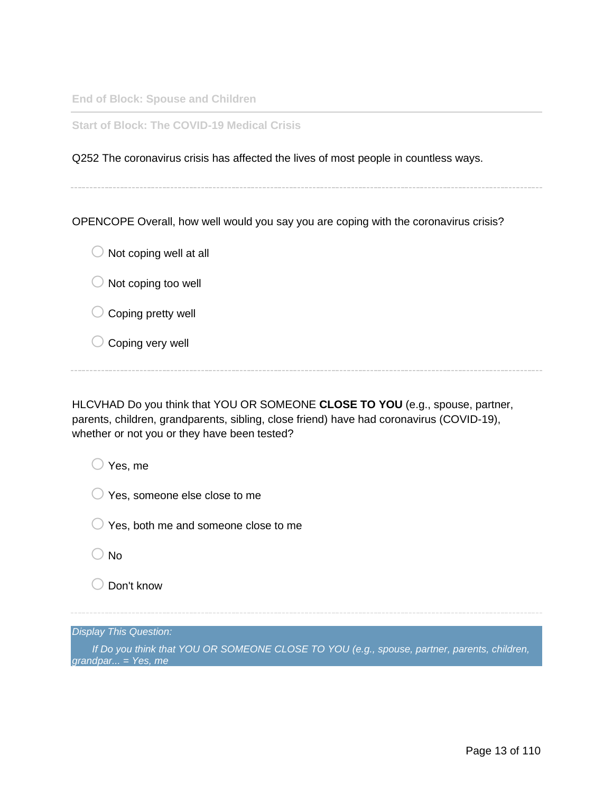**End of Block: Spouse and Children**

**Start of Block: The COVID-19 Medical Crisis**

Q252 The coronavirus crisis has affected the lives of most people in countless ways.

OPENCOPE Overall, how well would you say you are coping with the coronavirus crisis?

 $\bigcirc$  Not coping well at all

 $\bigcirc$  Not coping too well

- $\bigcirc$  Coping pretty well
- $\bigcirc$  Coping very well

HLCVHAD Do you think that YOU OR SOMEONE **CLOSE TO YOU** (e.g., spouse, partner, parents, children, grandparents, sibling, close friend) have had coronavirus (COVID-19), whether or not you or they have been tested?

 $\bigcirc$  Yes, me

 $\bigcirc$  Yes, someone else close to me

 $\bigcirc$  Yes, both me and someone close to me

 $\bigcirc$  No

o Don't know

*Display This Question:*

*If Do you think that YOU OR SOMEONE CLOSE TO YOU (e.g., spouse, partner, parents, children, grandpar... = Yes, me*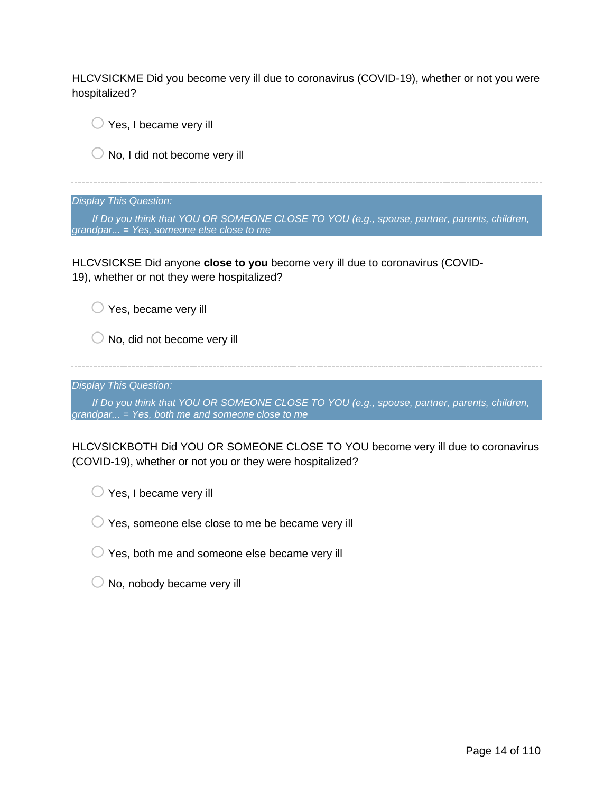HLCVSICKME Did you become very ill due to coronavirus (COVID-19), whether or not you were hospitalized?

 $\bigcirc$  Yes, I became very ill

 $\bigcirc$  No, I did not become very ill

*Display This Question:*

*If Do you think that YOU OR SOMEONE CLOSE TO YOU (e.g., spouse, partner, parents, children, grandpar... = Yes, someone else close to me*

HLCVSICKSE Did anyone **close to you** become very ill due to coronavirus (COVID-19), whether or not they were hospitalized?

 $\bigcirc$  Yes, became very ill

 $\bigcirc$  No, did not become very ill

*Display This Question:*

*If Do you think that YOU OR SOMEONE CLOSE TO YOU (e.g., spouse, partner, parents, children, grandpar... = Yes, both me and someone close to me*

HLCVSICKBOTH Did YOU OR SOMEONE CLOSE TO YOU become very ill due to coronavirus (COVID-19), whether or not you or they were hospitalized?

 $\bigcirc$  Yes, I became very ill

 $\bigcirc$  Yes, someone else close to me be became very ill

 $\bigcirc$  Yes, both me and someone else became very ill

 $\bigcirc$  No, nobody became very ill

Page 14 of 110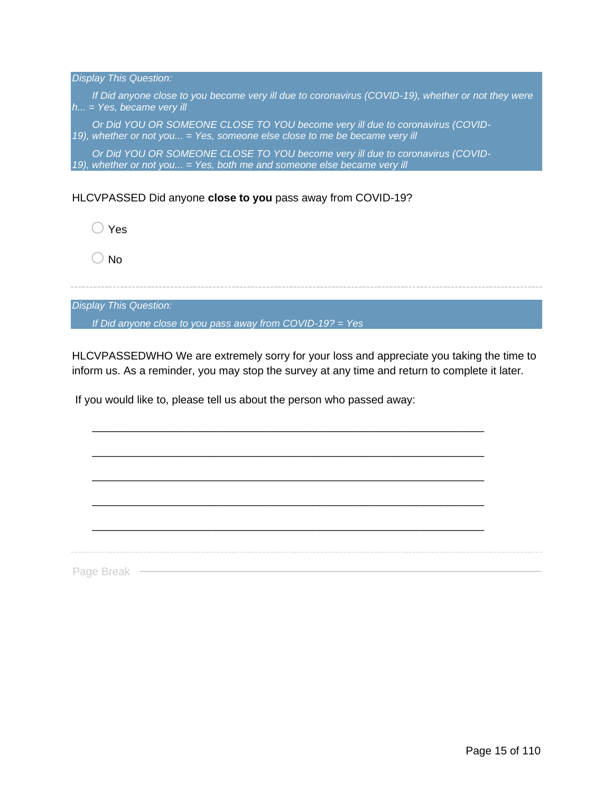| <b>Display This Question:</b>                                                                                                                               |
|-------------------------------------------------------------------------------------------------------------------------------------------------------------|
| If Did anyone close to you become very ill due to coronavirus (COVID-19), whether or not they were<br>$h$ = Yes, became very ill                            |
| Or Did YOU OR SOMEONE CLOSE TO YOU become very ill due to coronavirus (COVID-<br>19), whether or not you = Yes, someone else close to me be became very ill |
| Or Did YOU OR SOMEONE CLOSE TO YOU become very ill due to coronavirus (COVID-<br>19), whether or not you = Yes, both me and someone else became very ill    |
|                                                                                                                                                             |
| HLCVPASSED Did anyone close to you pass away from COVID-19?                                                                                                 |
| Yes                                                                                                                                                         |

 $\bigcirc$  No

*Display This Question: If Did anyone close to you pass away from COVID-19? = Yes*

HLCVPASSEDWHO We are extremely sorry for your loss and appreciate you taking the time to inform us. As a reminder, you may stop the survey at any time and return to complete it later.

\_\_\_\_\_\_\_\_\_\_\_\_\_\_\_\_\_\_\_\_\_\_\_\_\_\_\_\_\_\_\_\_\_\_\_\_\_\_\_\_\_\_\_\_\_\_\_\_\_\_\_\_\_\_\_\_\_\_\_\_\_\_\_\_

\_\_\_\_\_\_\_\_\_\_\_\_\_\_\_\_\_\_\_\_\_\_\_\_\_\_\_\_\_\_\_\_\_\_\_\_\_\_\_\_\_\_\_\_\_\_\_\_\_\_\_\_\_\_\_\_\_\_\_\_\_\_\_\_

\_\_\_\_\_\_\_\_\_\_\_\_\_\_\_\_\_\_\_\_\_\_\_\_\_\_\_\_\_\_\_\_\_\_\_\_\_\_\_\_\_\_\_\_\_\_\_\_\_\_\_\_\_\_\_\_\_\_\_\_\_\_\_\_

\_\_\_\_\_\_\_\_\_\_\_\_\_\_\_\_\_\_\_\_\_\_\_\_\_\_\_\_\_\_\_\_\_\_\_\_\_\_\_\_\_\_\_\_\_\_\_\_\_\_\_\_\_\_\_\_\_\_\_\_\_\_\_\_

If you would like to, please tell us about the person who passed away:

\_\_\_\_\_\_\_\_\_\_\_\_\_\_\_\_\_\_\_\_\_\_\_\_\_\_\_\_\_\_\_\_\_\_\_\_\_\_\_\_\_\_\_\_\_\_\_\_\_\_\_\_\_\_\_\_\_\_\_\_\_\_\_\_ Page Break -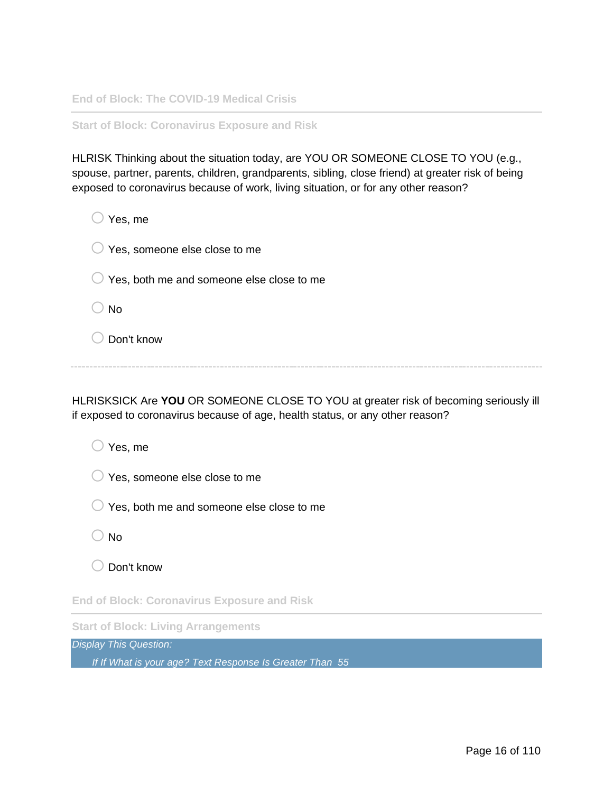**End of Block: The COVID-19 Medical Crisis**

**Start of Block: Coronavirus Exposure and Risk**

HLRISK Thinking about the situation today, are YOU OR SOMEONE CLOSE TO YOU (e.g., spouse, partner, parents, children, grandparents, sibling, close friend) at greater risk of being exposed to coronavirus because of work, living situation, or for any other reason?

| Yes, me                                             |
|-----------------------------------------------------|
| Yes, someone else close to me<br>$\cup$             |
| Yes, both me and someone else close to me<br>$\cup$ |
| <b>No</b>                                           |
| Don't know                                          |

HLRISKSICK Are **YOU** OR SOMEONE CLOSE TO YOU at greater risk of becoming seriously ill if exposed to coronavirus because of age, health status, or any other reason?

| Yes, me                                            |  |  |
|----------------------------------------------------|--|--|
| Yes, someone else close to me                      |  |  |
| Yes, both me and someone else close to me          |  |  |
| No                                                 |  |  |
| Don't know                                         |  |  |
| <b>End of Block: Coronavirus Exposure and Risk</b> |  |  |

**Start of Block: Living Arrangements**

*Display This Question:*

*If If What is your age? Text Response Is Greater Than 55*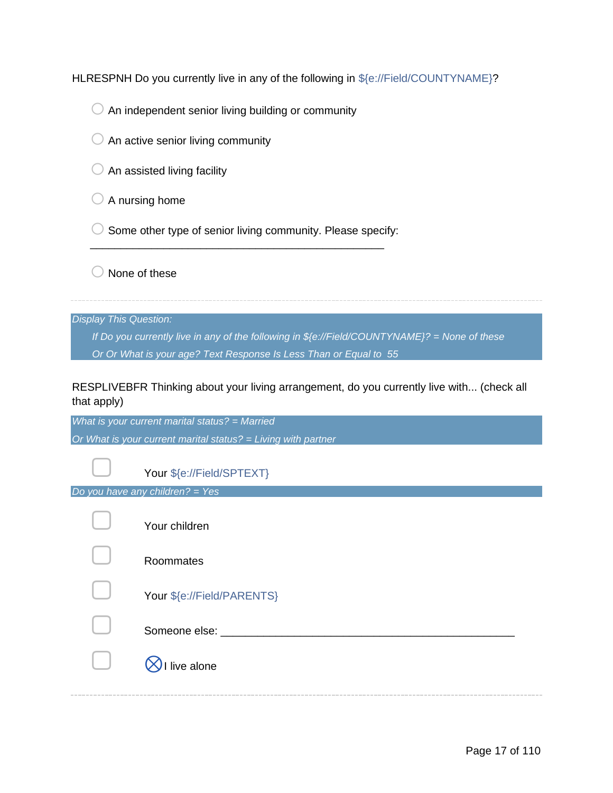HLRESPNH Do you currently live in any of the following in \${e://Field/COUNTYNAME}?

 $\bigcirc$  An independent senior living building or community

- $\bigcirc$  An active senior living community
- $\bigcirc$  An assisted living facility
- $\bigcirc$  A nursing home
- $\bigcirc$  Some other type of senior living community. Please specify:

\_\_\_\_\_\_\_\_\_\_\_\_\_\_\_\_\_\_\_\_\_\_\_\_\_\_\_\_\_\_\_\_\_\_\_\_\_\_\_\_\_\_\_\_\_\_\_\_

 $\bigcirc$  None of these

*Display This Question:*

*If Do you currently live in any of the following in \${e://Field/COUNTYNAME}? = None of these Or Or What is your age? Text Response Is Less Than or Equal to 55*

RESPLIVEBFR Thinking about your living arrangement, do you currently live with... (check all that apply)

*What is your current marital status? = Married Or What is your current marital status? = Living with partner*

|  |  | Your \${e://Field/SPTEXT} |
|--|--|---------------------------|
|--|--|---------------------------|

*Do you have any children? = Yes*

| Your children              |
|----------------------------|
| Roommates                  |
| Your \${e://Field/PARENTS} |
| Someone else:              |
| live alone                 |
|                            |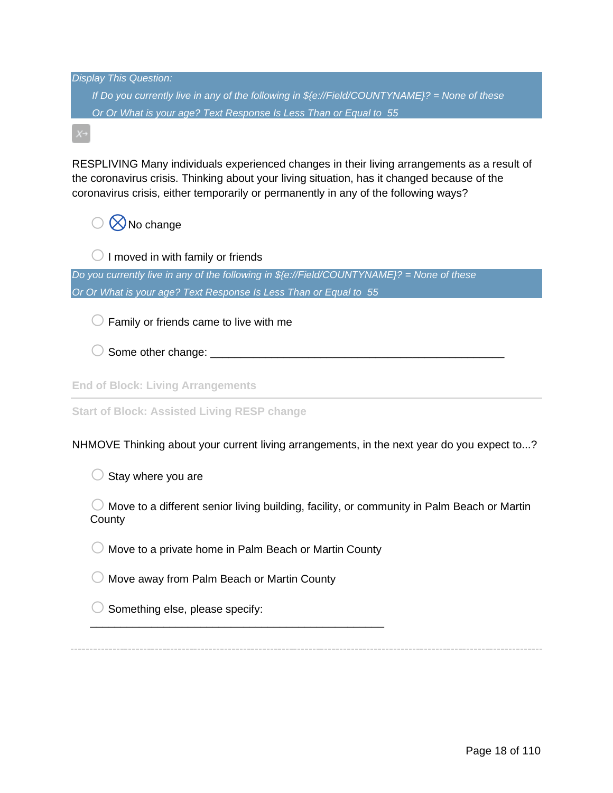| <b>Display This Question:</b>                                                                                                                                                                                                                                                     |
|-----------------------------------------------------------------------------------------------------------------------------------------------------------------------------------------------------------------------------------------------------------------------------------|
| If Do you currently live in any of the following in $\frac{6}{5}$ (e://Field/COUNTYNAME)? = None of these                                                                                                                                                                         |
| Or Or What is your age? Text Response Is Less Than or Equal to 55                                                                                                                                                                                                                 |
|                                                                                                                                                                                                                                                                                   |
| RESPLIVING Many individuals experienced changes in their living arrangements as a result of<br>the coronavirus crisis. Thinking about your living situation, has it changed because of the<br>coronavirus crisis, either temporarily or permanently in any of the following ways? |
| No change                                                                                                                                                                                                                                                                         |
| I moved in with family or friends                                                                                                                                                                                                                                                 |
| Do you currently live in any of the following in $\frac{6}{2}$ //Field/COUNTYNAME}? = None of these                                                                                                                                                                               |
| Or Or What is your age? Text Response Is Less Than or Equal to 55                                                                                                                                                                                                                 |
| Family or friends came to live with me                                                                                                                                                                                                                                            |
|                                                                                                                                                                                                                                                                                   |
| <b>End of Block: Living Arrangements</b>                                                                                                                                                                                                                                          |
| <b>Start of Block: Assisted Living RESP change</b>                                                                                                                                                                                                                                |
| NHMOVE Thinking about your current living arrangements, in the next year do you expect to?                                                                                                                                                                                        |
| Stay where you are                                                                                                                                                                                                                                                                |
| Move to a different senior living building, facility, or community in Palm Beach or Martin<br>County                                                                                                                                                                              |
| Move to a private home in Palm Beach or Martin County                                                                                                                                                                                                                             |
| Move away from Palm Beach or Martin County                                                                                                                                                                                                                                        |
| Something else, please specify:                                                                                                                                                                                                                                                   |
|                                                                                                                                                                                                                                                                                   |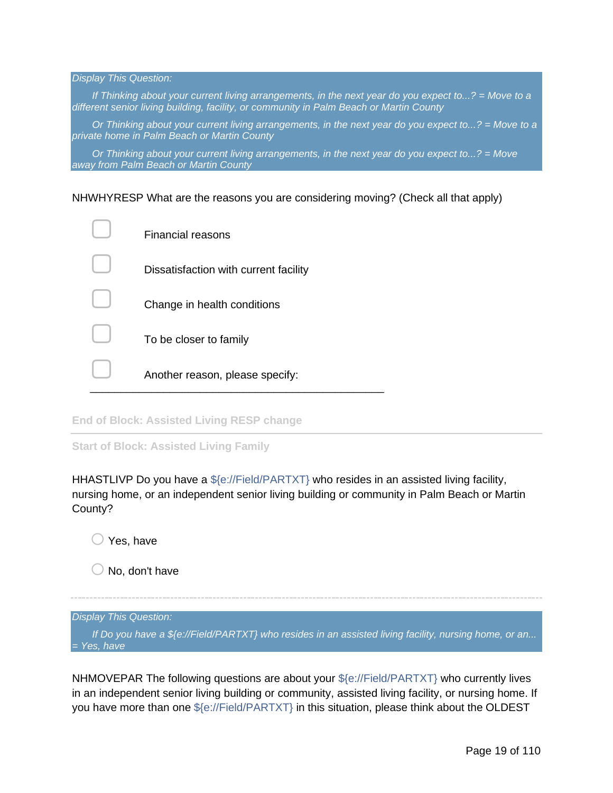*Display This Question:*

*If Thinking about your current living arrangements, in the next year do you expect to...? = Move to a different senior living building, facility, or community in Palm Beach or Martin County*

*Or Thinking about your current living arrangements, in the next year do you expect to...? = Move to a private home in Palm Beach or Martin County*

*Or Thinking about your current living arrangements, in the next year do you expect to...? = Move away from Palm Beach or Martin County*

NHWHYRESP What are the reasons you are considering moving? (Check all that apply)

| <b>Financial reasons</b>              |
|---------------------------------------|
| Dissatisfaction with current facility |
| Change in health conditions           |
| To be closer to family                |
| Another reason, please specify:       |

**End of Block: Assisted Living RESP change**

**Start of Block: Assisted Living Family**

HHASTLIVP Do you have a \${e://Field/PARTXT} who resides in an assisted living facility, nursing home, or an independent senior living building or community in Palm Beach or Martin County?

 $\bigcirc$  Yes, have

 $\bigcirc$  No, don't have

#### *Display This Question:*

*If Do you have a \${e://Field/PARTXT} who resides in an assisted living facility, nursing home, or an... = Yes, have*

NHMOVEPAR The following questions are about your  $\frac{1}{2}$  (e://Field/PARTXT) who currently lives in an independent senior living building or community, assisted living facility, or nursing home. If you have more than one \${e://Field/PARTXT} in this situation, please think about the OLDEST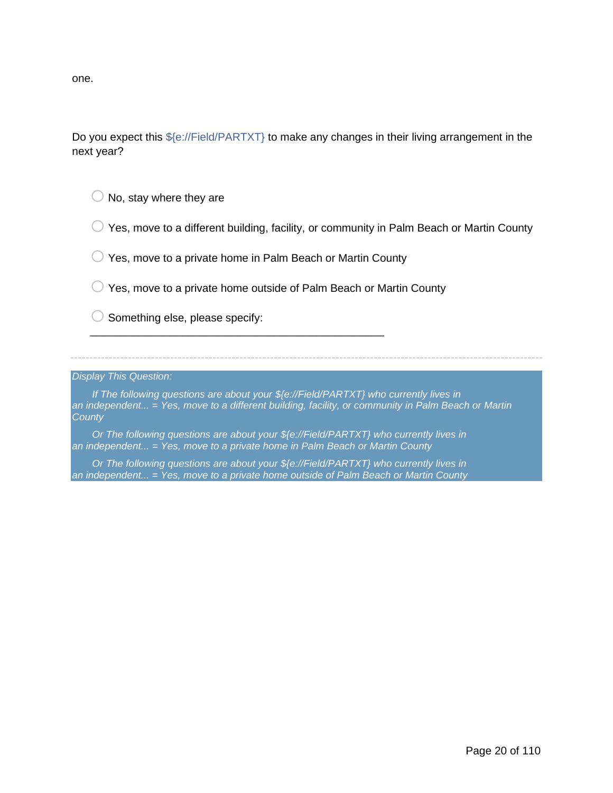one.

Do you expect this  $f(e)/Field/PARTXT$  to make any changes in their living arrangement in the next year?

 $\bigcirc$  No, stay where they are

 $\bigcirc$  Yes, move to a different building, facility, or community in Palm Beach or Martin County

 $\bigcirc$  Yes, move to a private home in Palm Beach or Martin County

\_\_\_\_\_\_\_\_\_\_\_\_\_\_\_\_\_\_\_\_\_\_\_\_\_\_\_\_\_\_\_\_\_\_\_\_\_\_\_\_\_\_\_\_\_\_\_\_

 $\bigcirc$  Yes, move to a private home outside of Palm Beach or Martin County

 $\bigcirc$  Something else, please specify:

*Display This Question:*

*If The following questions are about your \${e://Field/PARTXT} who currently lives in an independent... = Yes, move to a different building, facility, or community in Palm Beach or Martin County*

*Or The following questions are about your \${e://Field/PARTXT} who currently lives in an independent... = Yes, move to a private home in Palm Beach or Martin County*

*Or The following questions are about your \${e://Field/PARTXT} who currently lives in an independent... = Yes, move to a private home outside of Palm Beach or Martin County*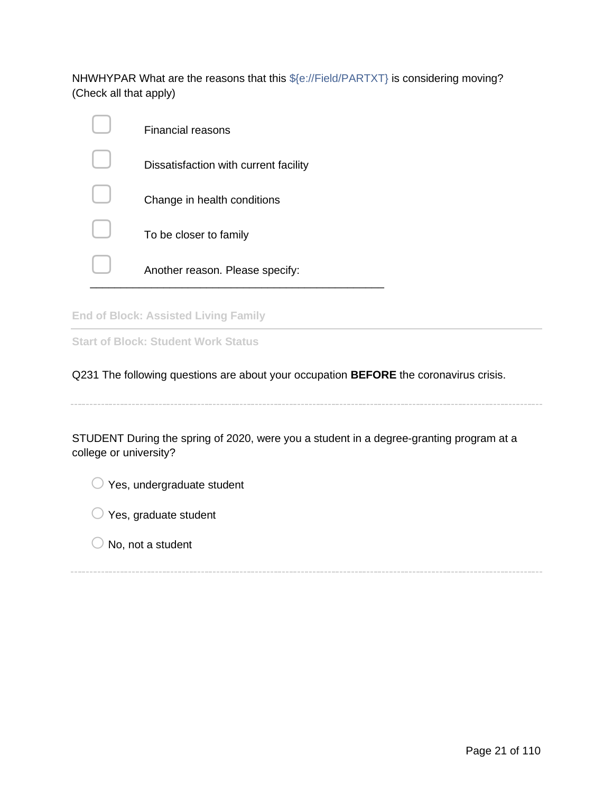NHWHYPAR What are the reasons that this \${e://Field/PARTXT} is considering moving? (Check all that apply)

| Financial reasons                     |
|---------------------------------------|
| Dissatisfaction with current facility |
| Change in health conditions           |
| To be closer to family                |
| Another reason. Please specify:       |

**End of Block: Assisted Living Family**

**Start of Block: Student Work Status**

Q231 The following questions are about your occupation **BEFORE** the coronavirus crisis.

STUDENT During the spring of 2020, were you a student in a degree-granting program at a college or university?

 $\bigcirc$  Yes, undergraduate student

- $\bigcirc$  Yes, graduate student
- $\bigcirc$  No, not a student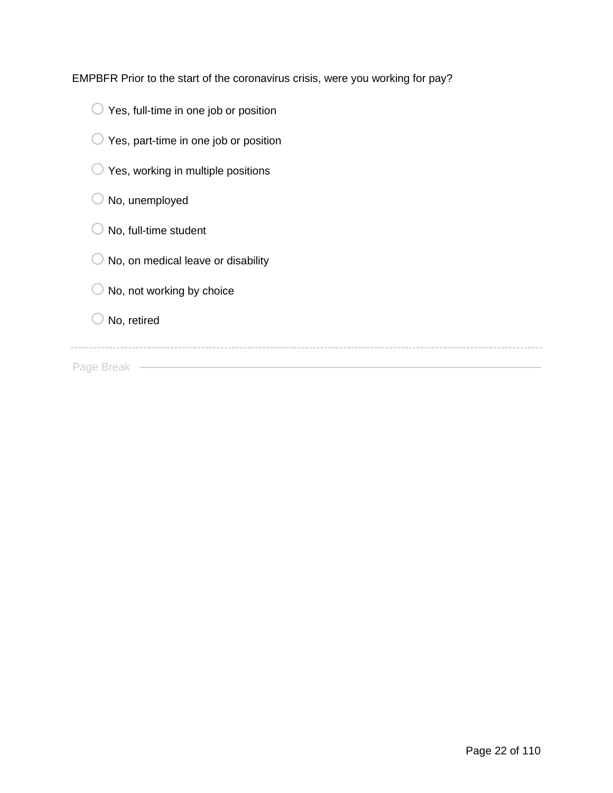EMPBFR Prior to the start of the coronavirus crisis, were you working for pay?

- $\bigcirc$  Yes, full-time in one job or position
- $\bigcirc$  Yes, part-time in one job or position
- $\bigcirc$  Yes, working in multiple positions
- $\bigcirc$  No, unemployed
- $\bigcirc$  No, full-time student
- $\bigcirc$  No, on medical leave or disability
- $\bigcirc$  No, not working by choice

 $\bigcirc$  No, retired

the control of the control of the control of the control of the control of

Page Break –––––––––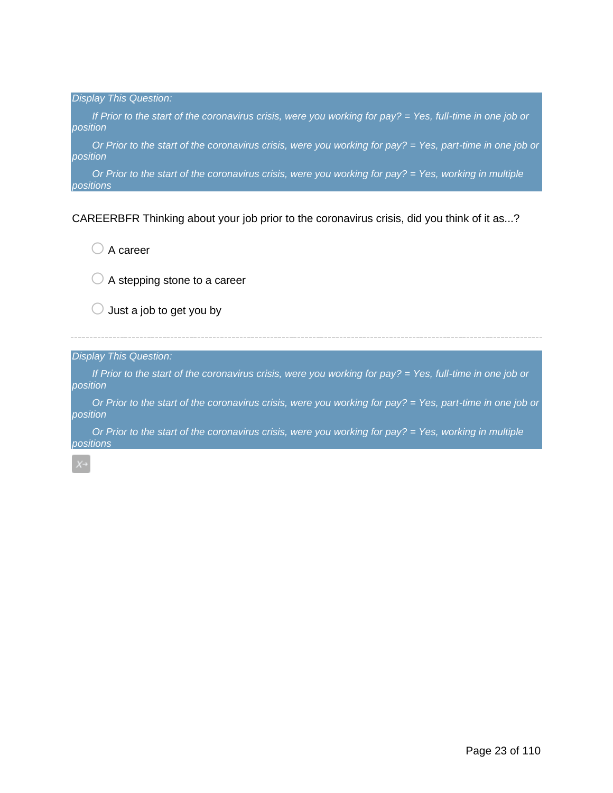*Display This Question: If Prior to the start of the coronavirus crisis, were you working for pay? = Yes, full-time in one job or position Or Prior to the start of the coronavirus crisis, were you working for pay? = Yes, part-time in one job or position*

*Or Prior to the start of the coronavirus crisis, were you working for pay? = Yes, working in multiple positions*

CAREERBFR Thinking about your job prior to the coronavirus crisis, did you think of it as...?

 $\bigcirc$  A career

 $\bigcirc$  A stepping stone to a career

 $\bigcirc$  Just a job to get you by

*Display This Question:*

*If Prior to the start of the coronavirus crisis, were you working for pay? = Yes, full-time in one job or position*

*Or Prior to the start of the coronavirus crisis, were you working for pay? = Yes, part-time in one job or position*

*Or Prior to the start of the coronavirus crisis, were you working for pay? = Yes, working in multiple positions*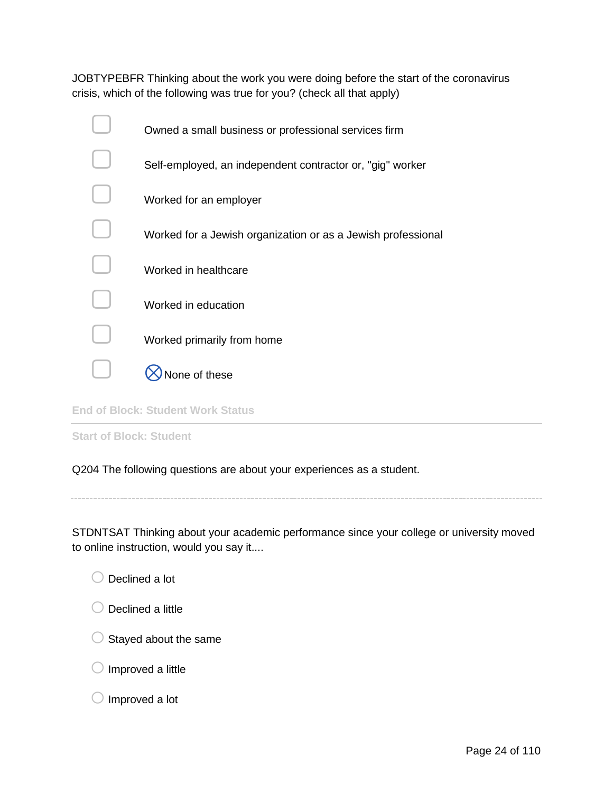JOBTYPEBFR Thinking about the work you were doing before the start of the coronavirus crisis, which of the following was true for you? (check all that apply)

| Owned a small business or professional services firm         |
|--------------------------------------------------------------|
| Self-employed, an independent contractor or, "gig" worker    |
| Worked for an employer                                       |
| Worked for a Jewish organization or as a Jewish professional |
| Worked in healthcare                                         |
| Worked in education                                          |
| Worked primarily from home                                   |
| าe of these                                                  |
|                                                              |

**End of Block: Student Work Status**

**Start of Block: Student**

Q204 The following questions are about your experiences as a student.

STDNTSAT Thinking about your academic performance since your college or university moved to online instruction, would you say it....

| $\bigcirc$ Declined a lot |
|---------------------------|

| $\bigcirc$ Declined a little |
|------------------------------|

- $\bigcirc$  Stayed about the same
- $\bigcirc$  Improved a little

 $\bigcirc$  Improved a lot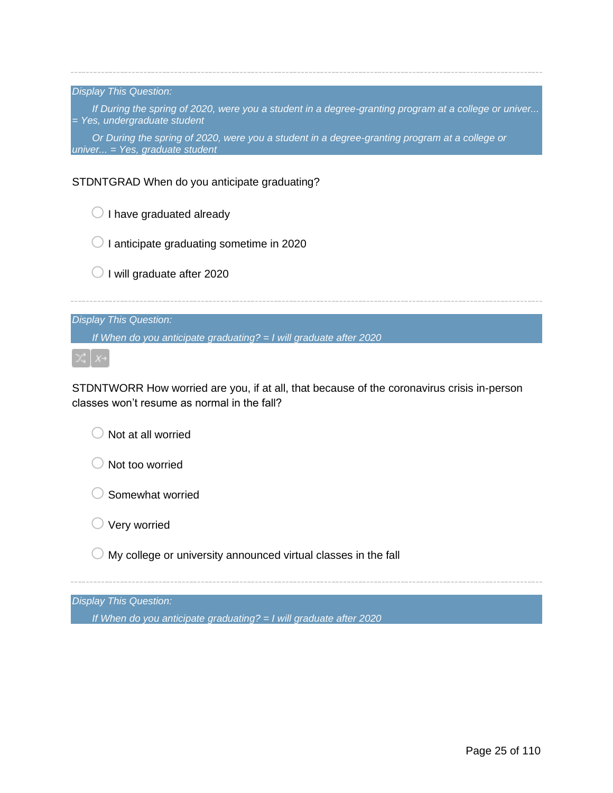*Display This Question:*

*If During the spring of 2020, were you a student in a degree-granting program at a college or univer... = Yes, undergraduate student*

*Or During the spring of 2020, were you a student in a degree-granting program at a college or univer... = Yes, graduate student*

#### STDNTGRAD When do you anticipate graduating?

| I have graduated already                                           |
|--------------------------------------------------------------------|
| I anticipate graduating sometime in 2020                           |
| I will graduate after 2020                                         |
|                                                                    |
| <b>Display This Question:</b>                                      |
| If When do you anticipate graduating? = I will graduate after 2020 |
|                                                                    |

STDNTWORR How worried are you, if at all, that because of the coronavirus crisis in-person classes won't resume as normal in the fall?

 $\bigcirc$  Not at all worried

 $\bigcirc$  Not too worried

 $\bigcirc$  Somewhat worried

 $\bigcirc$  Very worried

 $\bigcirc$  My college or university announced virtual classes in the fall

*Display This Question:*

*If When do you anticipate graduating? = I will graduate after 2020*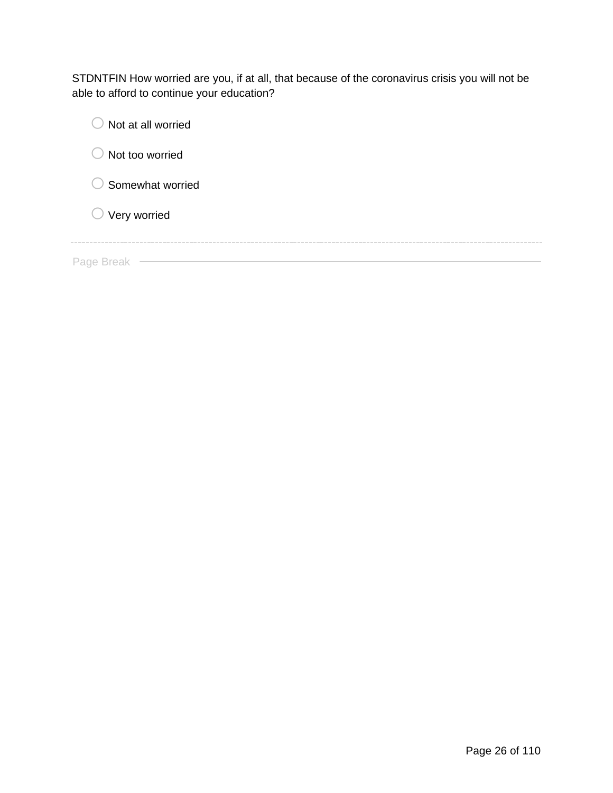STDNTFIN How worried are you, if at all, that because of the coronavirus crisis you will not be able to afford to continue your education?

| Not at all worried      |  |
|-------------------------|--|
| Not too worried         |  |
| Somewhat worried        |  |
| $\bigcirc$ Very worried |  |
|                         |  |
| Page Break              |  |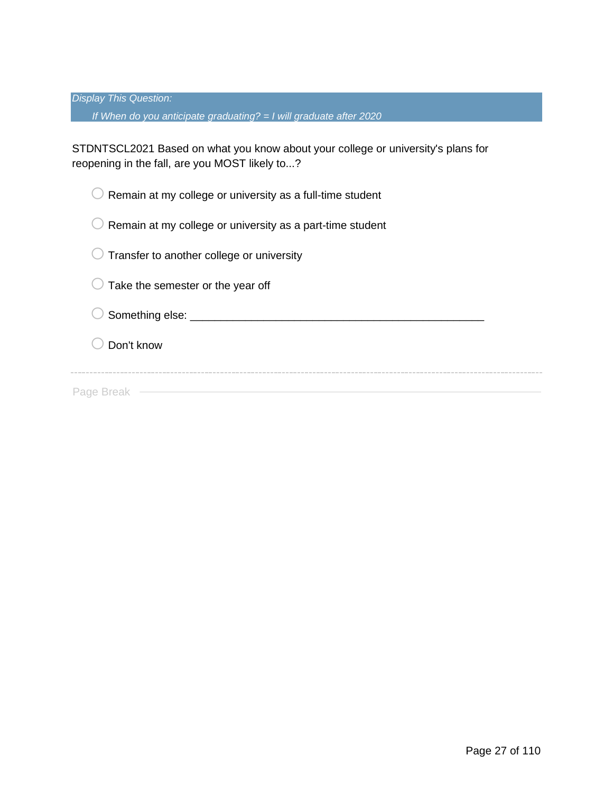*Display This Question:*

*If When do you anticipate graduating? = I will graduate after 2020*

STDNTSCL2021 Based on what you know about your college or university's plans for reopening in the fall, are you MOST likely to...?

 $\bigcirc$  Remain at my college or university as a full-time student  $\bigcirc$  Remain at my college or university as a part-time student

 $\bigcirc$  Transfer to another college or university

 $\bigcirc$  Take the semester or the year off

o Something else: \_\_\_\_\_\_\_\_\_\_\_\_\_\_\_\_\_\_\_\_\_\_\_\_\_\_\_\_\_\_\_\_\_\_\_\_\_\_\_\_\_\_\_\_\_\_\_\_

 $\bigcirc$  Don't know

Page Break ––––––––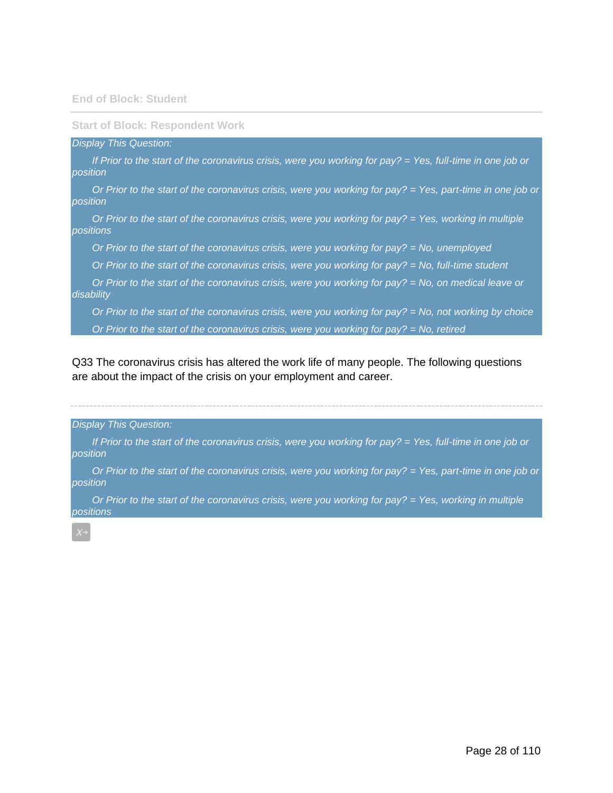#### **Start of Block: Respondent Work**

#### *Display This Question:*

*If Prior to the start of the coronavirus crisis, were you working for pay? = Yes, full-time in one job or position*

*Or Prior to the start of the coronavirus crisis, were you working for pay? = Yes, part-time in one job or position*

*Or Prior to the start of the coronavirus crisis, were you working for pay? = Yes, working in multiple positions*

*Or Prior to the start of the coronavirus crisis, were you working for pay? = No, unemployed*

*Or Prior to the start of the coronavirus crisis, were you working for pay? = No, full-time student*

*Or Prior to the start of the coronavirus crisis, were you working for pay? = No, on medical leave or disability*

*Or Prior to the start of the coronavirus crisis, were you working for pay? = No, not working by choice*

*Or Prior to the start of the coronavirus crisis, were you working for pay? = No, retired*

Q33 The coronavirus crisis has altered the work life of many people. The following questions are about the impact of the crisis on your employment and career.

#### *Display This Question:*

*If Prior to the start of the coronavirus crisis, were you working for pay? = Yes, full-time in one job or position*

*Or Prior to the start of the coronavirus crisis, were you working for pay? = Yes, part-time in one job or position*

*Or Prior to the start of the coronavirus crisis, were you working for pay? = Yes, working in multiple positions*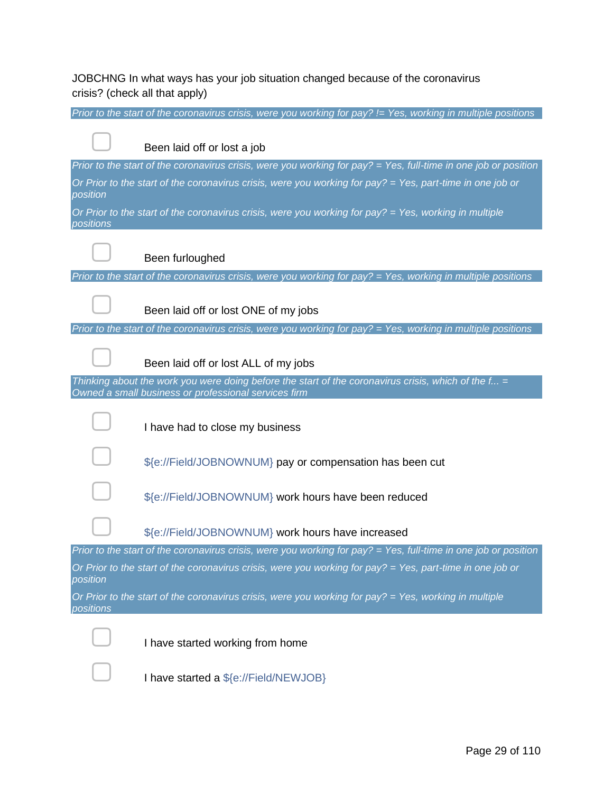JOBCHNG In what ways has your job situation changed because of the coronavirus crisis? (check all that apply)

|           | Prior to the start of the coronavirus crisis, were you working for pay? $=$ Yes, working in multiple positions  |
|-----------|-----------------------------------------------------------------------------------------------------------------|
|           | Been laid off or lost a job                                                                                     |
|           | Prior to the start of the coronavirus crisis, were you working for pay? = Yes, full-time in one job or position |
| position  | Or Prior to the start of the coronavirus crisis, were you working for pay? = Yes, part-time in one job or       |
| positions | Or Prior to the start of the coronavirus crisis, were you working for pay? $=$ Yes, working in multiple         |
|           | Been furloughed                                                                                                 |
|           | Prior to the start of the coronavirus crisis, were you working for pay? $=$ Yes, working in multiple positions  |
|           | Been laid off or lost ONE of my jobs                                                                            |
|           | Prior to the start of the coronavirus crisis, were you working for $pay? = Yes$ , working in multiple positions |
|           | Been laid off or lost ALL of my jobs                                                                            |
|           | Thinking about the work you were doing before the start of the coronavirus crisis, which of the $f_{\dots}$ =   |
|           | Owned a small business or professional services firm                                                            |
|           | I have had to close my business                                                                                 |
|           | \${e://Field/JOBNOWNUM} pay or compensation has been cut                                                        |
|           | \${e://Field/JOBNOWNUM} work hours have been reduced                                                            |
|           | \${e://Field/JOBNOWNUM} work hours have increased                                                               |
|           | Prior to the start of the coronavirus crisis, were you working for pay? = Yes, full-time in one job or position |
| position  | Or Prior to the start of the coronavirus crisis, were you working for pay? $=$ Yes, part-time in one job or     |
| positions | Or Prior to the start of the coronavirus crisis, were you working for pay? = Yes, working in multiple           |
|           | I have started working from home                                                                                |
|           | I have started a \${e://Field/NEWJOB}                                                                           |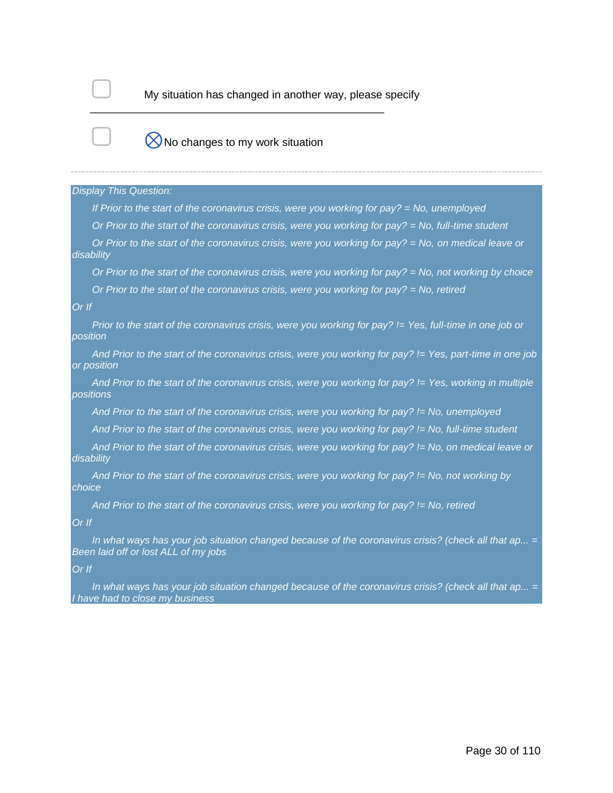

My situation has changed in another way, please specify

# $\bigotimes$ No changes to my work situation

\_\_\_\_\_\_\_\_\_\_\_\_\_\_\_\_\_\_\_\_\_\_\_\_\_\_\_\_\_\_\_\_\_\_\_\_\_\_\_\_\_\_\_\_\_\_\_\_

#### *Display This Question:*

*If Prior to the start of the coronavirus crisis, were you working for pay? = No, unemployed*

*Or Prior to the start of the coronavirus crisis, were you working for pay? = No, full-time student*

*Or Prior to the start of the coronavirus crisis, were you working for pay? = No, on medical leave or disability*

*Or Prior to the start of the coronavirus crisis, were you working for pay? = No, not working by choice*

*Or Prior to the start of the coronavirus crisis, were you working for pay? = No, retired*

#### *Or If*

*Prior to the start of the coronavirus crisis, were you working for pay? != Yes, full-time in one job or position*

*And Prior to the start of the coronavirus crisis, were you working for pay? != Yes, part-time in one job or position*

*And Prior to the start of the coronavirus crisis, were you working for pay? != Yes, working in multiple positions*

*And Prior to the start of the coronavirus crisis, were you working for pay? != No, unemployed*

*And Prior to the start of the coronavirus crisis, were you working for pay? != No, full-time student*

*And Prior to the start of the coronavirus crisis, were you working for pay? != No, on medical leave or disability*

*And Prior to the start of the coronavirus crisis, were you working for pay? != No, not working by choice*

*And Prior to the start of the coronavirus crisis, were you working for pay? != No, retired*

#### *Or If*

*In what ways has your job situation changed because of the coronavirus crisis? (check all that ap... = Been laid off or lost ALL of my jobs*

#### *Or If*

*In what ways has your job situation changed because of the coronavirus crisis? (check all that ap... = I have had to close my business*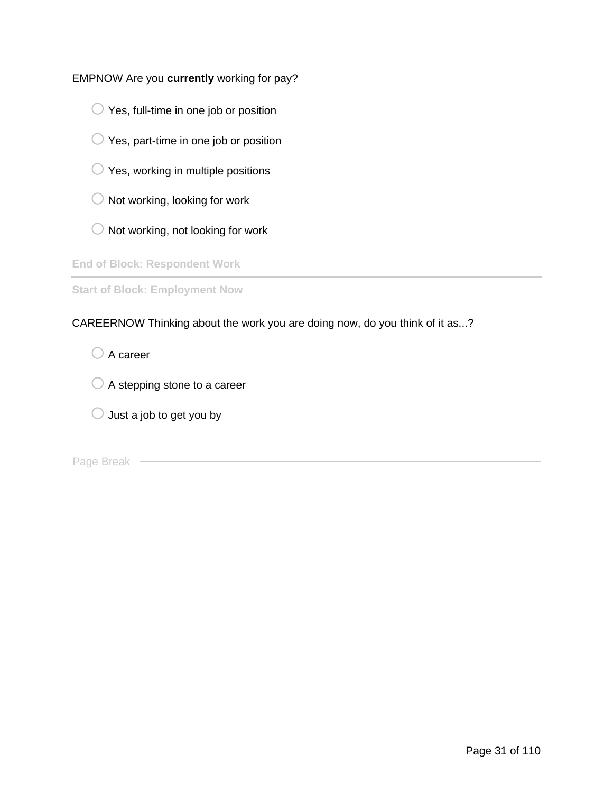## EMPNOW Are you **currently** working for pay?

- $\bigcirc$  Yes, full-time in one job or position
- $\bigcirc$  Yes, part-time in one job or position
- $\bigcirc$  Yes, working in multiple positions
- $\bigcirc$  Not working, looking for work
- $\bigcirc$  Not working, not looking for work

**End of Block: Respondent Work**

**Start of Block: Employment Now**

CAREERNOW Thinking about the work you are doing now, do you think of it as...?

 $\bigcirc$  A career

 $\bigcirc$  A stepping stone to a career

 $\bigcirc$  Just a job to get you by

Page Break —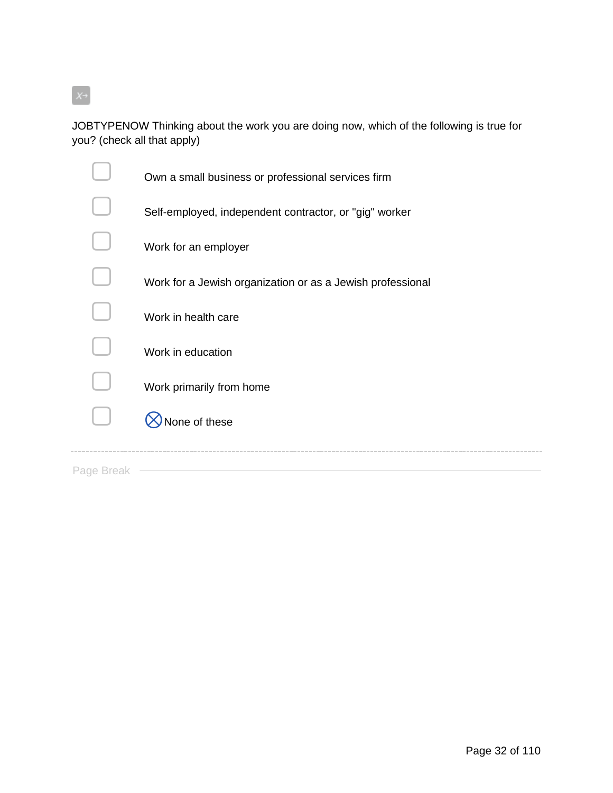$X \rightarrow$ 

JOBTYPENOW Thinking about the work you are doing now, which of the following is true for you? (check all that apply)

| one of these                                               |
|------------------------------------------------------------|
| Work primarily from home                                   |
| Work in education                                          |
| Work in health care                                        |
| Work for a Jewish organization or as a Jewish professional |
| Work for an employer                                       |
| Self-employed, independent contractor, or "gig" worker     |
| Own a small business or professional services firm         |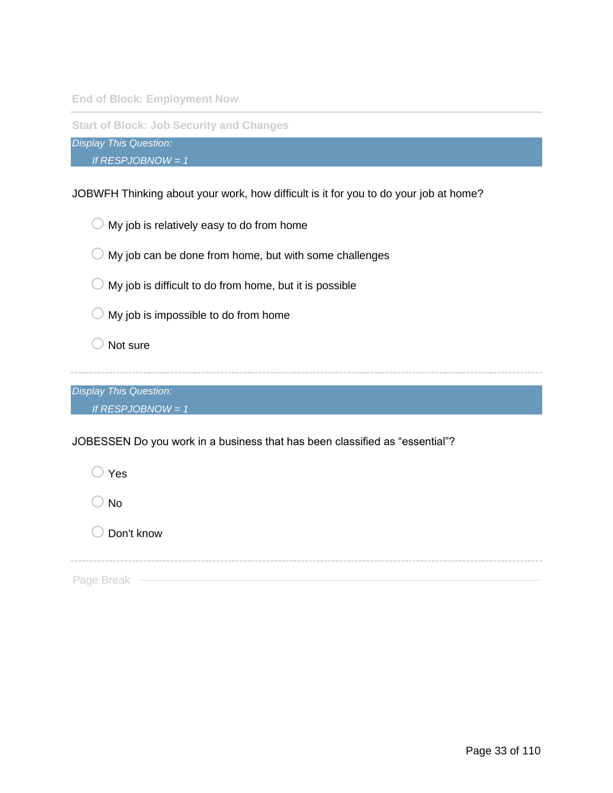**End of Block: Employment Now**

**Start of Block: Job Security and Changes**

*Display This Question:*

*If RESPJOBNOW = 1*

JOBWFH Thinking about your work, how difficult is it for you to do your job at home?



 $\bigcirc$  My job can be done from home, but with some challenges

 $\bigcirc$  My job is difficult to do from home, but it is possible

 $\bigcirc$  My job is impossible to do from home

 $\bigcirc$  Not sure

*Display This Question: If RESPJOBNOW = 1*

JOBESSEN Do you work in a business that has been classified as "essential"?

 $\bigcirc$  Yes  $\bigcirc$  No  $\bigcirc$  Don't know

Page Break -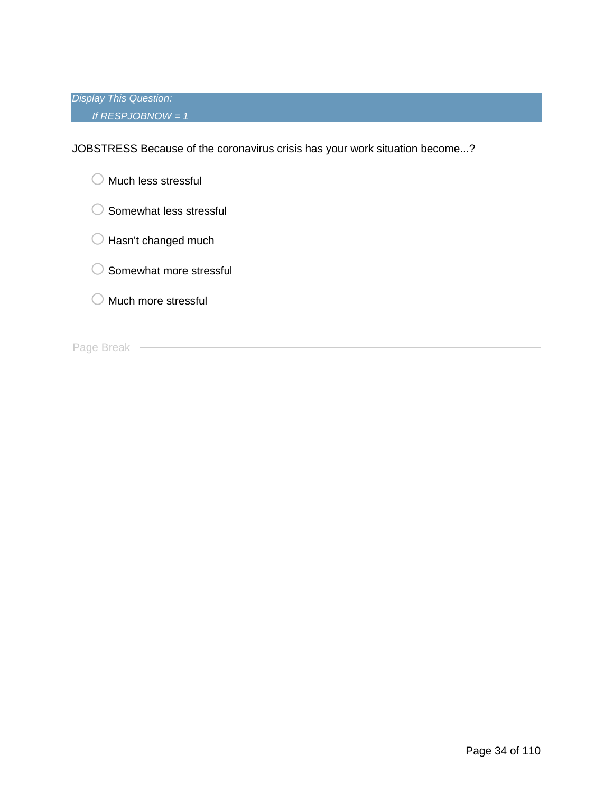*Display This Question: If RESPJOBNOW = 1*

JOBSTRESS Because of the coronavirus crisis has your work situation become...?

| Much less stressful     |
|-------------------------|
| Somewhat less stressful |
| Hasn't changed much     |
| Somewhat more stressful |
| Much more stressful     |
|                         |
| Page Break              |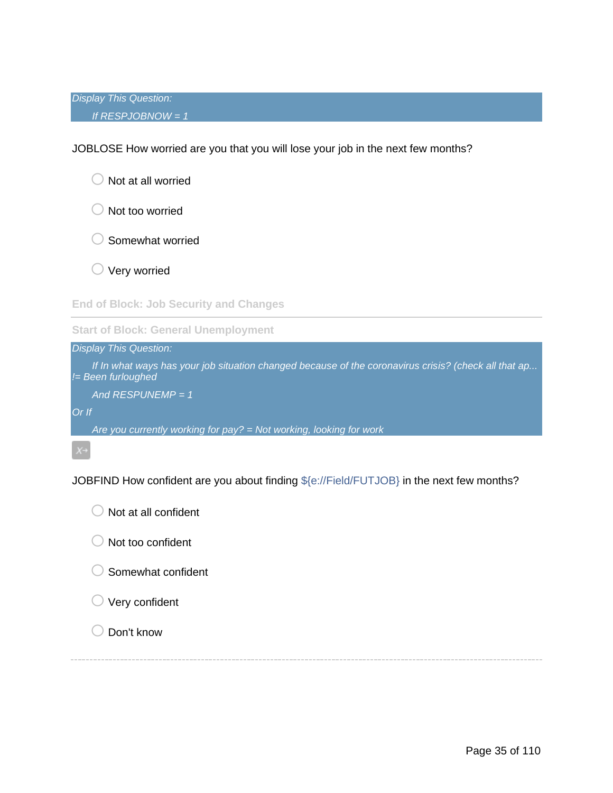JOBLOSE How worried are you that you will lose your job in the next few months?

|  | $\bigcirc$ Not at all worried |
|--|-------------------------------|

- $\bigcirc$  Not too worried
- $\bigcirc$  Somewhat worried
- $\bigcirc$  Very worried

**End of Block: Job Security and Changes**

**Start of Block: General Unemployment**

*Display This Question: If In what ways has your job situation changed because of the coronavirus crisis? (check all that ap... != Been furloughed And RESPUNEMP = 1 Or If*

*Are you currently working for pay? = Not working, looking for work*

JOBFIND How confident are you about finding \${e://Field/FUTJOB} in the next few months?

| $\bigcirc$ Not at all confident |
|---------------------------------|
| $\bigcirc$ Not too confident    |
| $\bigcirc$ Somewhat confident   |
| $\bigcirc$ Very confident       |
| $\bigcup$ Don't know            |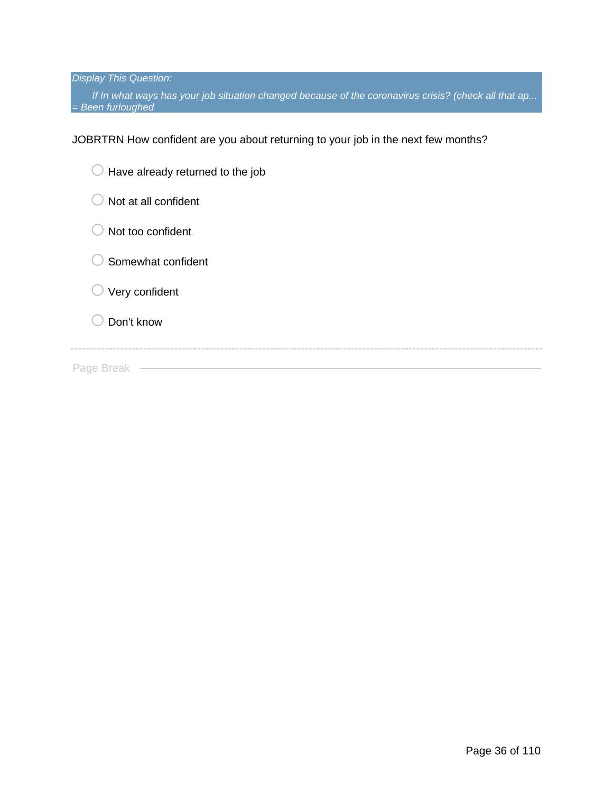*Display This Question:*

*If In what ways has your job situation changed because of the coronavirus crisis? (check all that ap... = Been furloughed*

JOBRTRN How confident are you about returning to your job in the next few months?

| Have already returned to the job<br>U |
|---------------------------------------|
| Not at all confident                  |
| Not too confident                     |
| Somewhat confident                    |
| Very confident                        |
| Don't know                            |
|                                       |
| Page Break                            |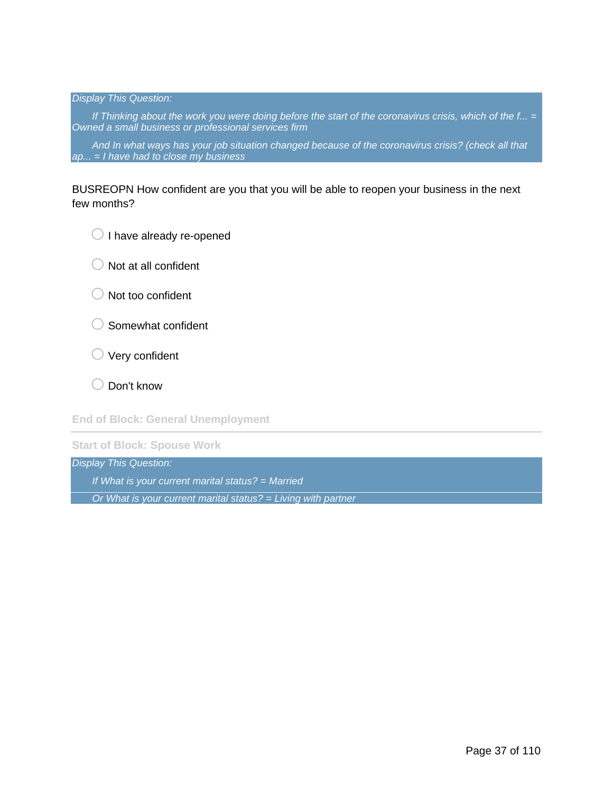### *Display This Question:*

*If Thinking about the work you were doing before the start of the coronavirus crisis, which of the f... = Owned a small business or professional services firm*

*And In what ways has your job situation changed because of the coronavirus crisis? (check all that ap... = I have had to close my business*

## BUSREOPN How confident are you that you will be able to reopen your business in the next few months?

 $\bigcirc$  I have already re-opened

 $\bigcirc$  Not at all confident

- $\bigcirc$  Not too confident
- $\bigcirc$  Somewhat confident
- $\bigcirc$  Very confident

 $\bigcirc$  Don't know

**End of Block: General Unemployment**

**Start of Block: Spouse Work**

*Display This Question:*

*If What is your current marital status? = Married*

*Or What is your current marital status? = Living with partner*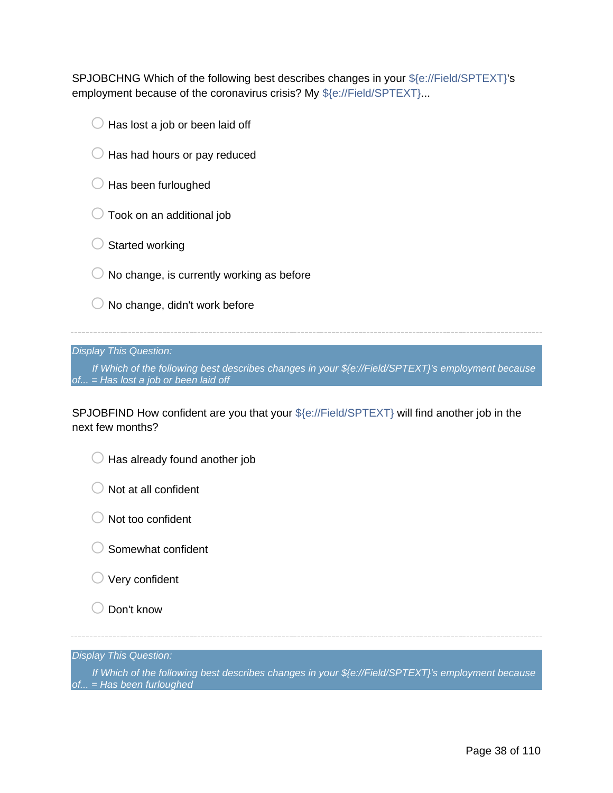SPJOBCHNG Which of the following best describes changes in your \${e://Field/SPTEXT}'s employment because of the coronavirus crisis? My \${e://Field/SPTEXT}...

- $\bigcirc$  Has lost a job or been laid off
- $\bigcirc$  Has had hours or pay reduced
- $\bigcirc$  Has been furloughed
- $\bigcirc$  Took on an additional job
- $\bigcirc$  Started working
- $\bigcirc$  No change, is currently working as before
- $\bigcirc$  No change, didn't work before

*Display This Question:*

*If Which of the following best describes changes in your \${e://Field/SPTEXT}'s employment because of... = Has lost a job or been laid off*

SPJOBFIND How confident are you that your \${e://Field/SPTEXT} will find another job in the next few months?

|  | $\bigcirc$ Has already found another job |  |  |
|--|------------------------------------------|--|--|

 $\bigcirc$  Not at all confident

- $\bigcirc$  Not too confident
- $\bigcirc$  Somewhat confident
- $\bigcirc$  Very confident
- $\bigcirc$  Don't know

*Display This Question:*

*If Which of the following best describes changes in your \${e://Field/SPTEXT}'s employment because of... = Has been furloughed*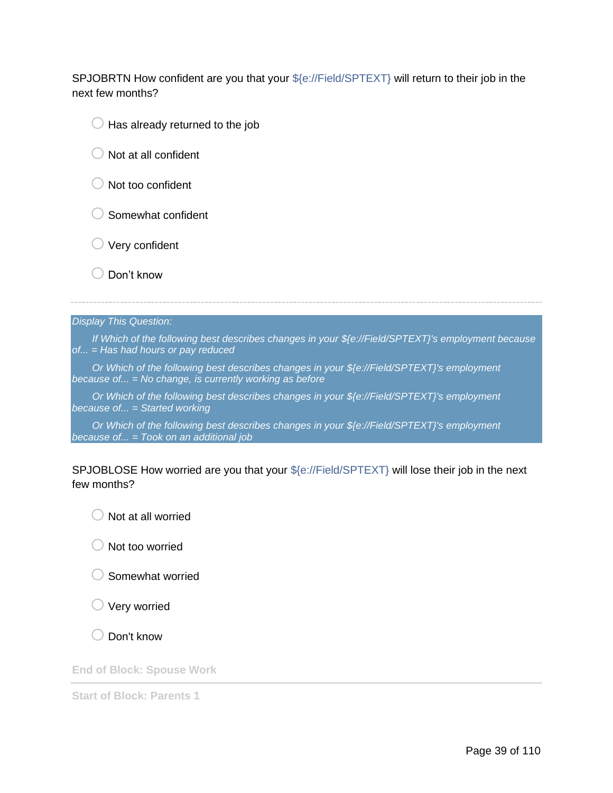SPJOBRTN How confident are you that your \${e://Field/SPTEXT} will return to their job in the next few months?

- $\Box$  Has already returned to the job
- $\bigcirc$  Not at all confident
- $\bigcirc$  Not too confident
- $\bigcirc$  Somewhat confident
- $\bigcirc$  Very confident
- $\bigcirc$  Don't know

### *Display This Question:*

*If Which of the following best describes changes in your \${e://Field/SPTEXT}'s employment because of... = Has had hours or pay reduced*

*Or Which of the following best describes changes in your \${e://Field/SPTEXT}'s employment because of... = No change, is currently working as before*

*Or Which of the following best describes changes in your \${e://Field/SPTEXT}'s employment because of... = Started working*

*Or Which of the following best describes changes in your \${e://Field/SPTEXT}'s employment because of... = Took on an additional job*

## SPJOBLOSE How worried are you that your \${e://Field/SPTEXT} will lose their job in the next few months?

 $\bigcirc$  Not at all worried

 $\bigcirc$  Not too worried

o Somewhat worried

 $\bigcirc$  Very worried

Don't know

**End of Block: Spouse Work**

**Start of Block: Parents 1**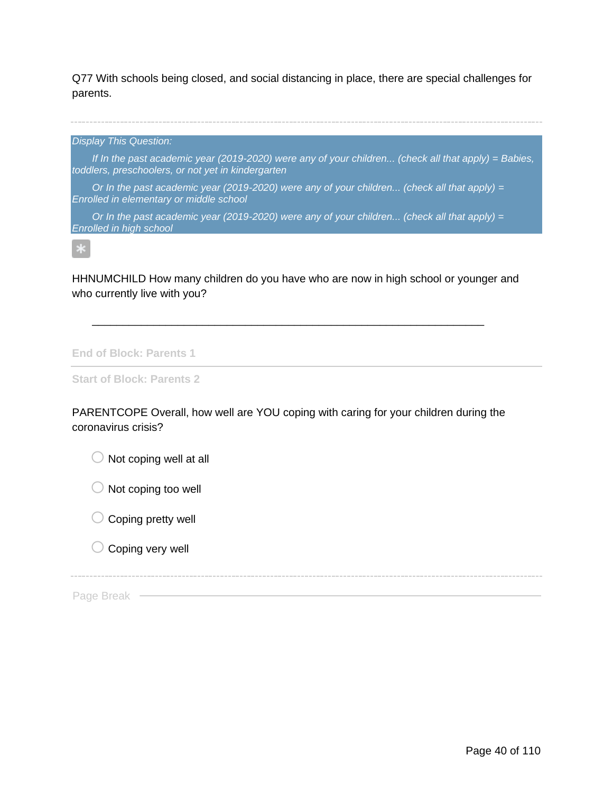Q77 With schools being closed, and social distancing in place, there are special challenges for parents.

*Display This Question:*

*If In the past academic year (2019-2020) were any of your children... (check all that apply) = Babies, toddlers, preschoolers, or not yet in kindergarten*

*Or In the past academic year (2019-2020) were any of your children... (check all that apply) = Enrolled in elementary or middle school*

*Or In the past academic year (2019-2020) were any of your children... (check all that apply) = Enrolled in high school*

 $\ast$ 

HHNUMCHILD How many children do you have who are now in high school or younger and who currently live with you?

\_\_\_\_\_\_\_\_\_\_\_\_\_\_\_\_\_\_\_\_\_\_\_\_\_\_\_\_\_\_\_\_\_\_\_\_\_\_\_\_\_\_\_\_\_\_\_\_\_\_\_\_\_\_\_\_\_\_\_\_\_\_\_\_

**End of Block: Parents 1**

**Start of Block: Parents 2**

PARENTCOPE Overall, how well are YOU coping with caring for your children during the coronavirus crisis?

 $\bigcirc$  Not coping well at all

 $\bigcirc$  Not coping too well

 $\bigcirc$  Coping pretty well

 $\bigcirc$  Coping very well

Page Break -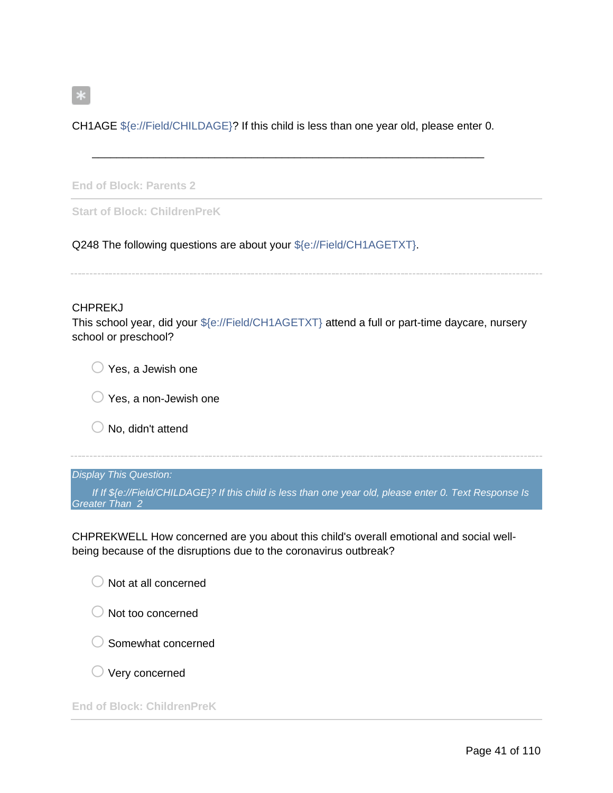CH1AGE \${e://Field/CHILDAGE}? If this child is less than one year old, please enter 0.

\_\_\_\_\_\_\_\_\_\_\_\_\_\_\_\_\_\_\_\_\_\_\_\_\_\_\_\_\_\_\_\_\_\_\_\_\_\_\_\_\_\_\_\_\_\_\_\_\_\_\_\_\_\_\_\_\_\_\_\_\_\_\_\_

**End of Block: Parents 2**

**Start of Block: ChildrenPreK**

Q248 The following questions are about your \${e://Field/CH1AGETXT}.

### **CHPREKJ**

 $\ast$ 

This school year, did your \${e://Field/CH1AGETXT} attend a full or part-time daycare, nursery school or preschool?

 $\bigcirc$  Yes, a Jewish one

 $\bigcirc$  Yes, a non-Jewish one

 $\bigcirc$  No, didn't attend

## *Display This Question:*

*If If \${e://Field/CHILDAGE}? If this child is less than one year old, please enter 0. Text Response Is Greater Than 2*

CHPREKWELL How concerned are you about this child's overall emotional and social wellbeing because of the disruptions due to the coronavirus outbreak?

|  | $\bigcirc$ Not at all concerned |  |
|--|---------------------------------|--|

 $\bigcirc$  Not too concerned

 $\bigcirc$  Somewhat concerned

 $\bigcirc$  Very concerned

**End of Block: ChildrenPreK**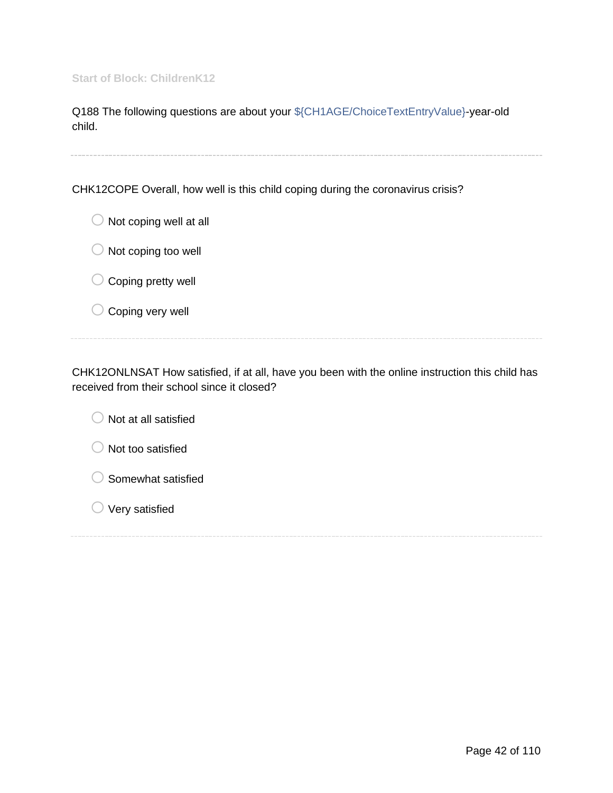Q188 The following questions are about your \${CH1AGE/ChoiceTextEntryValue}-year-old child.

CHK12COPE Overall, how well is this child coping during the coronavirus crisis?

| Not coping well at all<br>$\cup$ |
|----------------------------------|
| $\bigcirc$ Not coping too well   |
| $\bigcirc$ Coping pretty well    |
| $\bigcirc$ Coping very well      |
|                                  |

CHK12ONLNSAT How satisfied, if at all, have you been with the online instruction this child has received from their school since it closed?

| Not at all satisfied |  |
|----------------------|--|
| Not too satisfied    |  |
| Somewhat satisfied   |  |
| Very satisfied       |  |
|                      |  |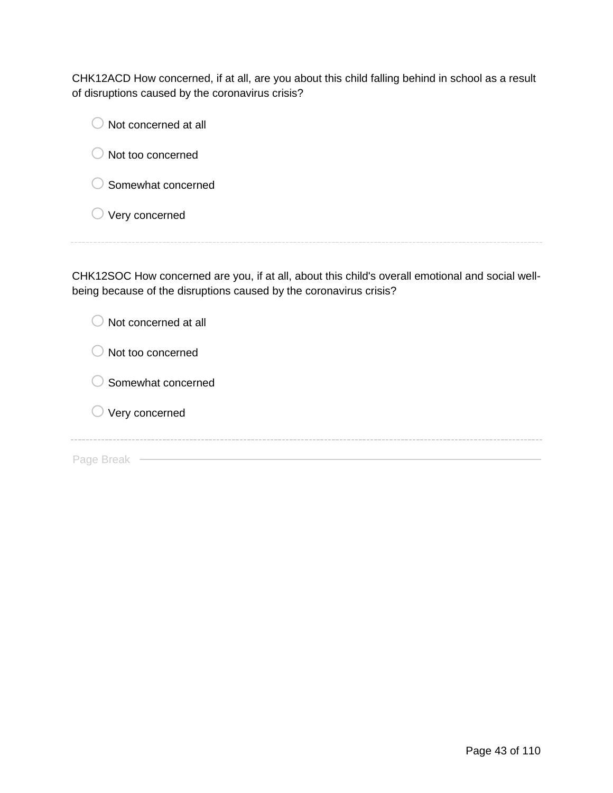CHK12ACD How concerned, if at all, are you about this child falling behind in school as a result of disruptions caused by the coronavirus crisis?

| Not concerned at all |  |  |
|----------------------|--|--|
| Not too concerned    |  |  |
| Somewhat concerned   |  |  |
| Very concerned       |  |  |
|                      |  |  |

CHK12SOC How concerned are you, if at all, about this child's overall emotional and social wellbeing because of the disruptions caused by the coronavirus crisis?

| Not concerned at all<br>$\mathcal{L}$ |  |
|---------------------------------------|--|
| Not too concerned                     |  |
| Somewhat concerned<br>a P             |  |
| $\bigcirc$ Very concerned             |  |
| Page Break                            |  |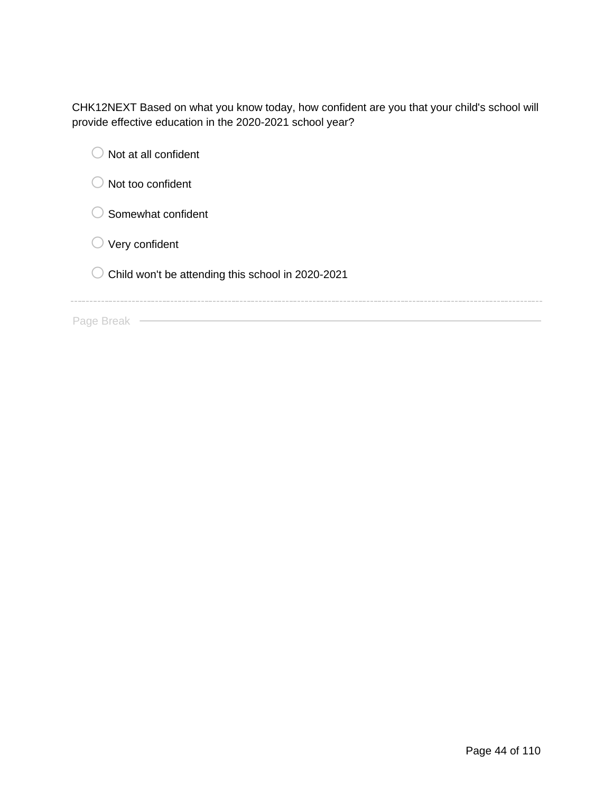CHK12NEXT Based on what you know today, how confident are you that your child's school will provide effective education in the 2020-2021 school year?

| Not at all confident                              |
|---------------------------------------------------|
| Not too confident                                 |
| Somewhat confident                                |
| Very confident                                    |
| Child won't be attending this school in 2020-2021 |
|                                                   |
| Page Break                                        |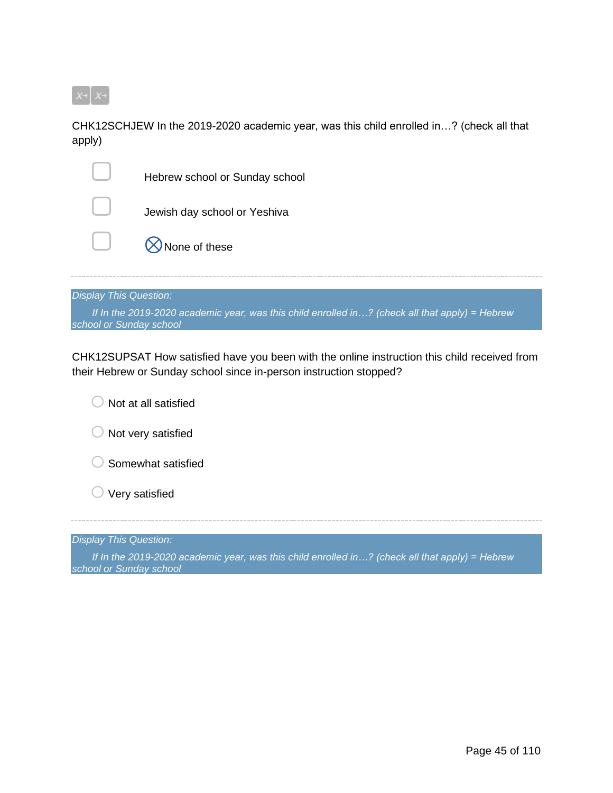

CHK12SCHJEW In the 2019-2020 academic year, was this child enrolled in…? (check all that apply)

| Hebrew school or Sunday school |
|--------------------------------|
| Jewish day school or Yeshiva   |
| $\bigotimes$ None of these     |
|                                |

## *Display This Question:*

*If In the 2019-2020 academic year, was this child enrolled in…? (check all that apply) = Hebrew school or Sunday school*

CHK12SUPSAT How satisfied have you been with the online instruction this child received from their Hebrew or Sunday school since in-person instruction stopped?

| Not at all satisfied                                                                                                      |
|---------------------------------------------------------------------------------------------------------------------------|
| Not very satisfied                                                                                                        |
| Somewhat satisfied                                                                                                        |
| Very satisfied                                                                                                            |
|                                                                                                                           |
| <b>Display This Question:</b>                                                                                             |
| If In the 2019-2020 academic year, was this child enrolled in? (check all that apply) = Hebrew<br>school or Sunday school |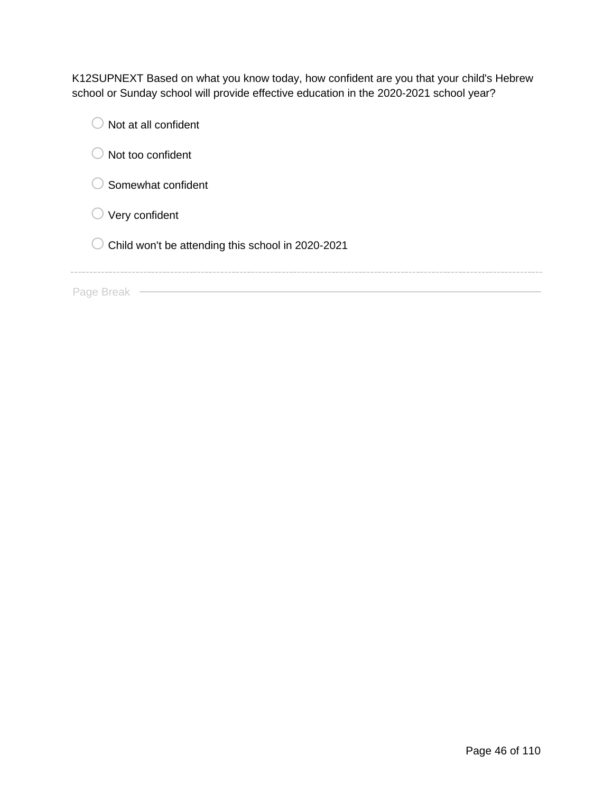K12SUPNEXT Based on what you know today, how confident are you that your child's Hebrew school or Sunday school will provide effective education in the 2020-2021 school year?

| Not at all confident                              |
|---------------------------------------------------|
| Not too confident                                 |
| Somewhat confident                                |
| Very confident                                    |
| Child won't be attending this school in 2020-2021 |
|                                                   |
| Page Break                                        |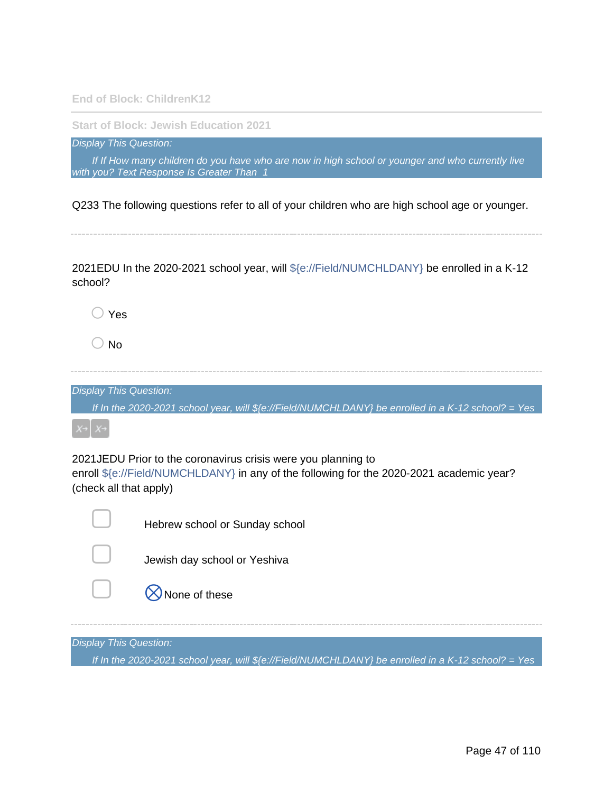**End of Block: ChildrenK12**

**Start of Block: Jewish Education 2021**

*Display This Question:*

*If If How many children do you have who are now in high school or younger and who currently live with you? Text Response Is Greater Than 1*

Q233 The following questions refer to all of your children who are high school age or younger.

2021EDU In the 2020-2021 school year, will \${e://Field/NUMCHLDANY} be enrolled in a K-12 school?

 $\bigcirc$  Yes

 $\bigcirc$  No

*Display This Question:*

*If In the 2020-2021 school year, will \${e://Field/NUMCHLDANY} be enrolled in a K-12 school? = Yes*

2021JEDU Prior to the coronavirus crisis were you planning to enroll \${e://Field/NUMCHLDANY} in any of the following for the 2020-2021 academic year? (check all that apply)



Hebrew school or Sunday school



Jewish day school or Yeshiva

 $\bowtie$  None of these

*Display This Question:*

*If In the 2020-2021 school year, will \${e://Field/NUMCHLDANY} be enrolled in a K-12 school? = Yes*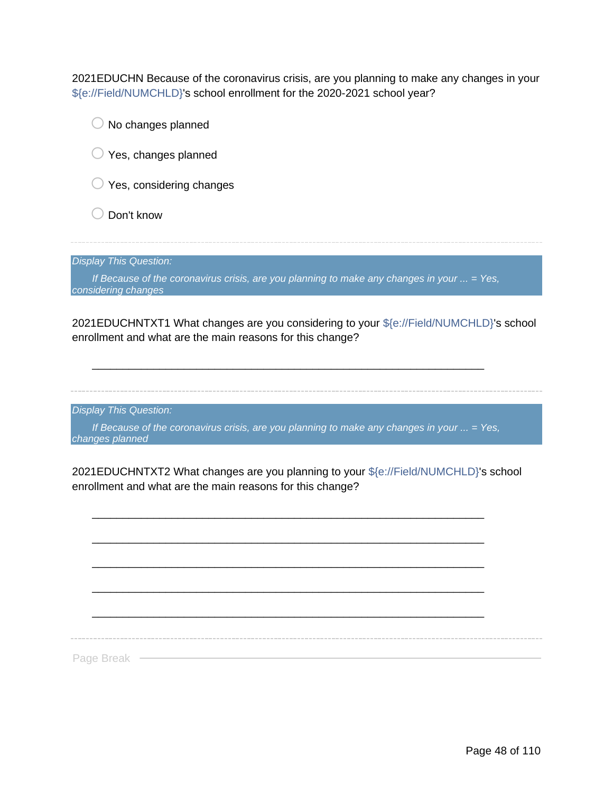2021EDUCHN Because of the coronavirus crisis, are you planning to make any changes in your \${e://Field/NUMCHLD}'s school enrollment for the 2020-2021 school year?



enrollment and what are the main reasons for this change?

*Display This Question:*

*If Because of the coronavirus crisis, are you planning to make any changes in your ... = Yes, changes planned*

\_\_\_\_\_\_\_\_\_\_\_\_\_\_\_\_\_\_\_\_\_\_\_\_\_\_\_\_\_\_\_\_\_\_\_\_\_\_\_\_\_\_\_\_\_\_\_\_\_\_\_\_\_\_\_\_\_\_\_\_\_\_\_\_

2021EDUCHNTXT2 What changes are you planning to your \${e://Field/NUMCHLD}'s school enrollment and what are the main reasons for this change?

\_\_\_\_\_\_\_\_\_\_\_\_\_\_\_\_\_\_\_\_\_\_\_\_\_\_\_\_\_\_\_\_\_\_\_\_\_\_\_\_\_\_\_\_\_\_\_\_\_\_\_\_\_\_\_\_\_\_\_\_\_\_\_\_

\_\_\_\_\_\_\_\_\_\_\_\_\_\_\_\_\_\_\_\_\_\_\_\_\_\_\_\_\_\_\_\_\_\_\_\_\_\_\_\_\_\_\_\_\_\_\_\_\_\_\_\_\_\_\_\_\_\_\_\_\_\_\_\_

\_\_\_\_\_\_\_\_\_\_\_\_\_\_\_\_\_\_\_\_\_\_\_\_\_\_\_\_\_\_\_\_\_\_\_\_\_\_\_\_\_\_\_\_\_\_\_\_\_\_\_\_\_\_\_\_\_\_\_\_\_\_\_\_

\_\_\_\_\_\_\_\_\_\_\_\_\_\_\_\_\_\_\_\_\_\_\_\_\_\_\_\_\_\_\_\_\_\_\_\_\_\_\_\_\_\_\_\_\_\_\_\_\_\_\_\_\_\_\_\_\_\_\_\_\_\_\_\_ \_\_\_\_\_\_\_\_\_\_\_\_\_\_\_\_\_\_\_\_\_\_\_\_\_\_\_\_\_\_\_\_\_\_\_\_\_\_\_\_\_\_\_\_\_\_\_\_\_\_\_\_\_\_\_\_\_\_\_\_\_\_\_\_

Page Break -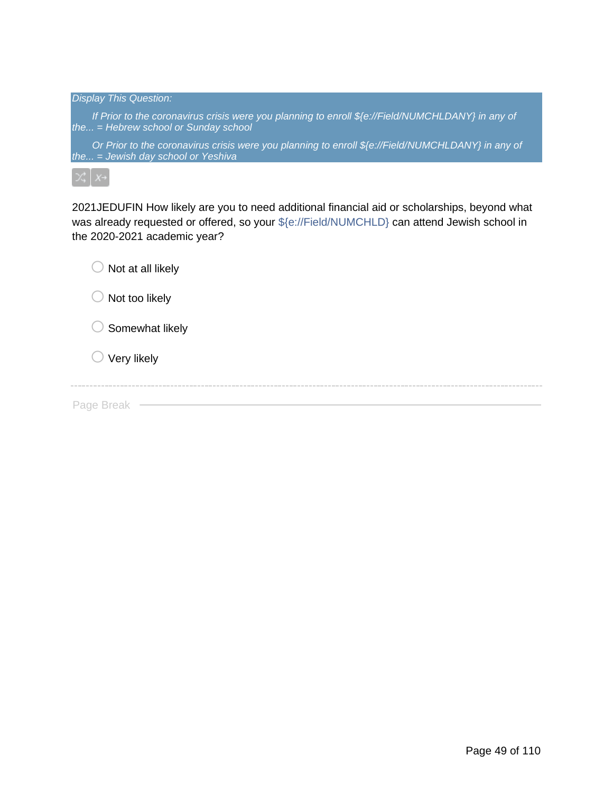| <b>Display This Question:</b>                                                                                                               |
|---------------------------------------------------------------------------------------------------------------------------------------------|
| If Prior to the coronavirus crisis were you planning to enroll \${e://Field/NUMCHLDANY} in any of<br>the $=$ Hebrew school or Sunday school |
| Or Prior to the coronavirus crisis were you planning to enroll \${e://Field/NUMCHLDANY} in any of<br>the = Jewish day school or Yeshiva     |
| $\chi^*$ $x \rightarrow$                                                                                                                    |

2021JEDUFIN How likely are you to need additional financial aid or scholarships, beyond what was already requested or offered, so your \${e://Field/NUMCHLD} can attend Jewish school in the 2020-2021 academic year?

| Not at all likely<br>こフ  |  |  |
|--------------------------|--|--|
| Not too likely<br>e.     |  |  |
| Somewhat likely<br>k i f |  |  |
| $\bigcirc$ Very likely   |  |  |
| Page Break               |  |  |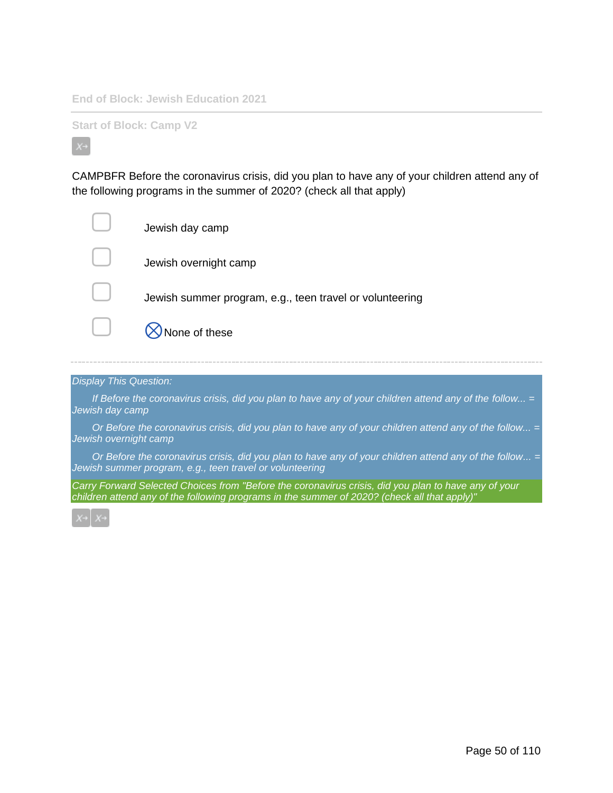**End of Block: Jewish Education 2021**

**Start of Block: Camp V2**

CAMPBFR Before the coronavirus crisis, did you plan to have any of your children attend any of the following programs in the summer of 2020? (check all that apply)

| Jewish day camp                                          |
|----------------------------------------------------------|
| Jewish overnight camp                                    |
| Jewish summer program, e.g., teen travel or volunteering |
| None of these                                            |

#### *Display This Question:*

*If Before the coronavirus crisis, did you plan to have any of your children attend any of the follow... = Jewish day camp*

*Or Before the coronavirus crisis, did you plan to have any of your children attend any of the follow... = Jewish overnight camp*

*Or Before the coronavirus crisis, did you plan to have any of your children attend any of the follow... = Jewish summer program, e.g., teen travel or volunteering*

*Carry Forward Selected Choices from "Before the coronavirus crisis, did you plan to have any of your children attend any of the following programs in the summer of 2020? (check all that apply)"*

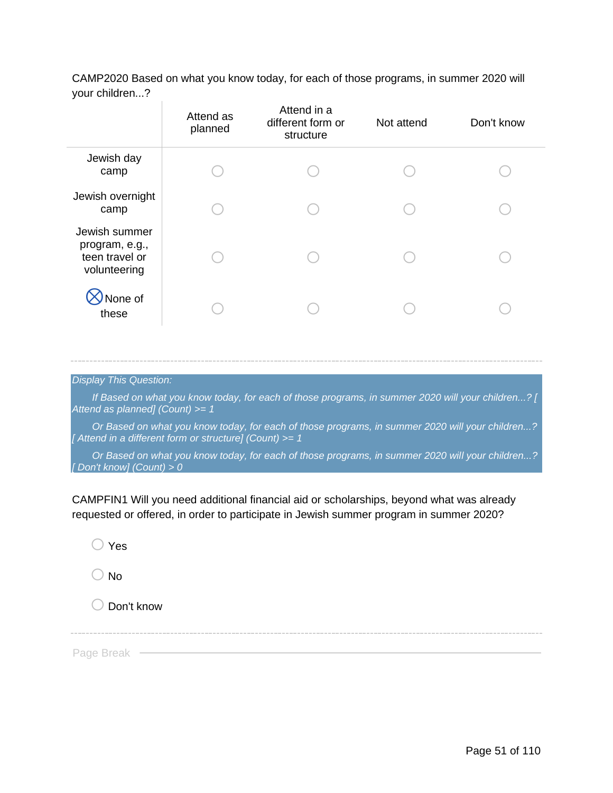CAMP2020 Based on what you know today, for each of those programs, in summer 2020 will your children...?

|                                                                   | Attend as<br>planned | Attend in a<br>different form or<br>structure | Not attend | Don't know |
|-------------------------------------------------------------------|----------------------|-----------------------------------------------|------------|------------|
| Jewish day<br>camp                                                |                      |                                               |            |            |
| Jewish overnight<br>camp                                          |                      |                                               |            |            |
| Jewish summer<br>program, e.g.,<br>teen travel or<br>volunteering |                      |                                               |            |            |
| None of<br>these                                                  |                      |                                               |            |            |

*Display This Question:*

*If Based on what you know today, for each of those programs, in summer 2020 will your children...? [ Attend as planned] (Count) >= 1*

*Or Based on what you know today, for each of those programs, in summer 2020 will your children...? [ Attend in a different form or structure] (Count) >= 1*

*Or Based on what you know today, for each of those programs, in summer 2020 will your children...? [ Don't know] (Count) > 0*

CAMPFIN1 Will you need additional financial aid or scholarships, beyond what was already requested or offered, in order to participate in Jewish summer program in summer 2020?

 $\bigcirc$  Yes

 $\bigcirc$  No

 $\bigcirc$  Don't know

Page Break ·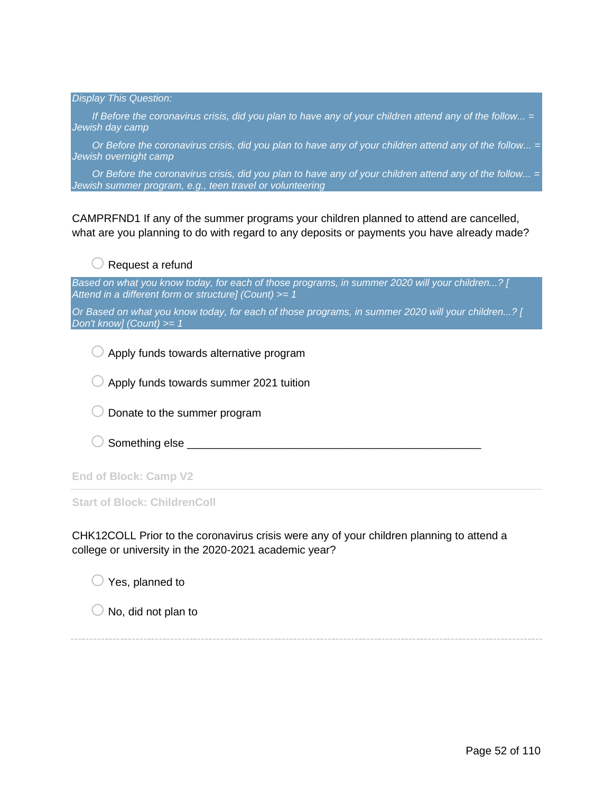*Display This Question:*

*If Before the coronavirus crisis, did you plan to have any of your children attend any of the follow... = Jewish day camp*

*Or Before the coronavirus crisis, did you plan to have any of your children attend any of the follow... = Jewish overnight camp*

*Or Before the coronavirus crisis, did you plan to have any of your children attend any of the follow... = Jewish summer program, e.g., teen travel or volunteering*

CAMPRFND1 If any of the summer programs your children planned to attend are cancelled, what are you planning to do with regard to any deposits or payments you have already made?

 $\bigcirc$  Request a refund

*Based on what you know today, for each of those programs, in summer 2020 will your children...? [ Attend in a different form or structure] (Count) >= 1*

*Or Based on what you know today, for each of those programs, in summer 2020 will your children...? [ Don't know] (Count) >= 1*

 $\bigcirc$  Apply funds towards alternative program

 $\bigcirc$  Apply funds towards summer 2021 tuition

 $\bigcirc$  Donate to the summer program

 $\bigcirc$  Something else

**End of Block: Camp V2**

**Start of Block: ChildrenColl**

CHK12COLL Prior to the coronavirus crisis were any of your children planning to attend a college or university in the 2020-2021 academic year?

 $\bigcirc$  Yes, planned to

 $\bigcirc$  No, did not plan to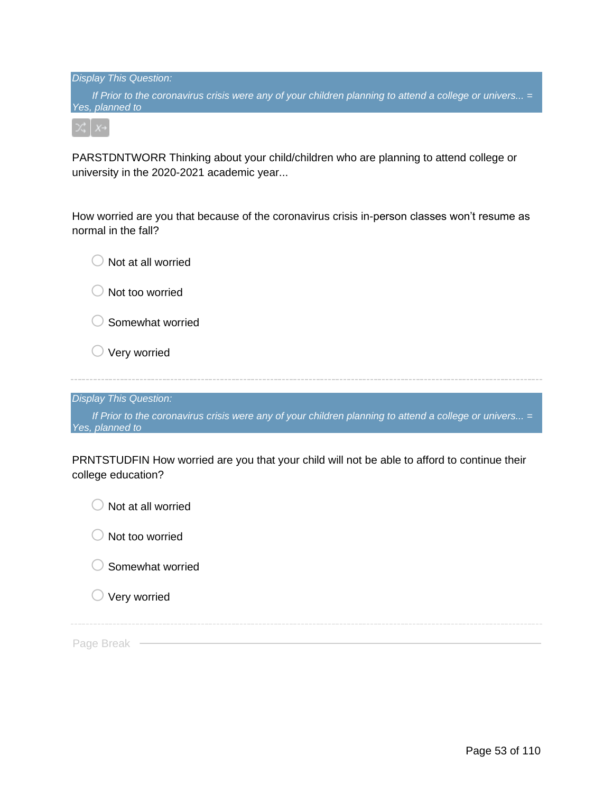*Display This Question: If Prior to the coronavirus crisis were any of your children planning to attend a college or univers... = Yes, planned to*

PARSTDNTWORR Thinking about your child/children who are planning to attend college or university in the 2020-2021 academic year...

How worried are you that because of the coronavirus crisis in-person classes won't resume as normal in the fall?

| Not at all worried                                                                                                        |
|---------------------------------------------------------------------------------------------------------------------------|
| Not too worried                                                                                                           |
| Somewhat worried                                                                                                          |
| Very worried                                                                                                              |
|                                                                                                                           |
| <b>Display This Question:</b>                                                                                             |
| If Prior to the coronavirus crisis were any of your children planning to attend a college or univers =<br>Yes, planned to |
| PRNTSTUDFIN How worried are you that your child will not be able to afford to continue their<br>college education?        |
| Not at all worried                                                                                                        |
| Not too worried                                                                                                           |
| Somewhat worried                                                                                                          |

 $\bigcirc$  Very worried

Page Break -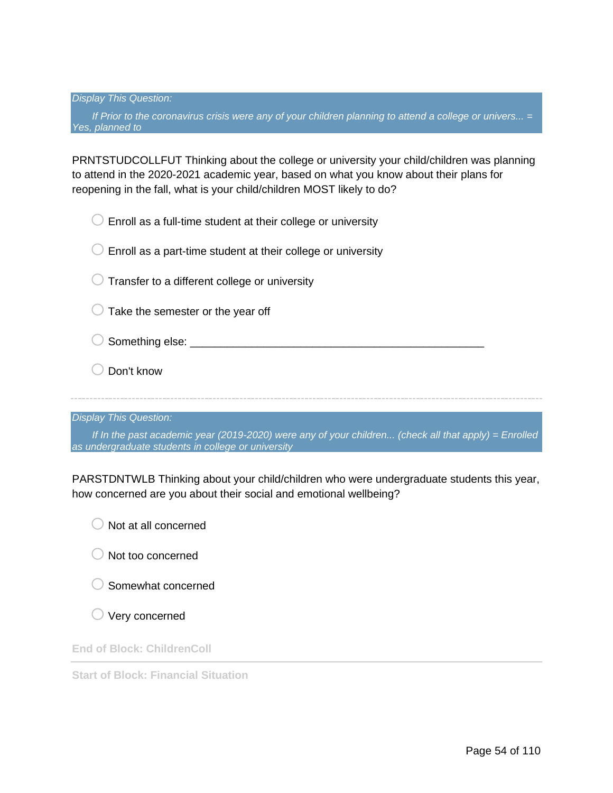*Display This Question:*

*If Prior to the coronavirus crisis were any of your children planning to attend a college or univers... = Yes, planned to*

PRNTSTUDCOLLFUT Thinking about the college or university your child/children was planning to attend in the 2020-2021 academic year, based on what you know about their plans for reopening in the fall, what is your child/children MOST likely to do?

| Enroll as a full-time student at their college or university                                                                                               |
|------------------------------------------------------------------------------------------------------------------------------------------------------------|
| Enroll as a part-time student at their college or university                                                                                               |
| Transfer to a different college or university                                                                                                              |
| Take the semester or the year off                                                                                                                          |
| Something else: __                                                                                                                                         |
| Don't know                                                                                                                                                 |
|                                                                                                                                                            |
| <b>Display This Question:</b>                                                                                                                              |
| If In the past academic year (2019-2020) were any of your children (check all that apply) = Enrolled<br>as undergraduate students in college or university |

PARSTDNTWLB Thinking about your child/children who were undergraduate students this year, how concerned are you about their social and emotional wellbeing?



- $\bigcirc$  Somewhat concerned
- $\bigcirc$  Very concerned

**End of Block: ChildrenColl**

**Start of Block: Financial Situation**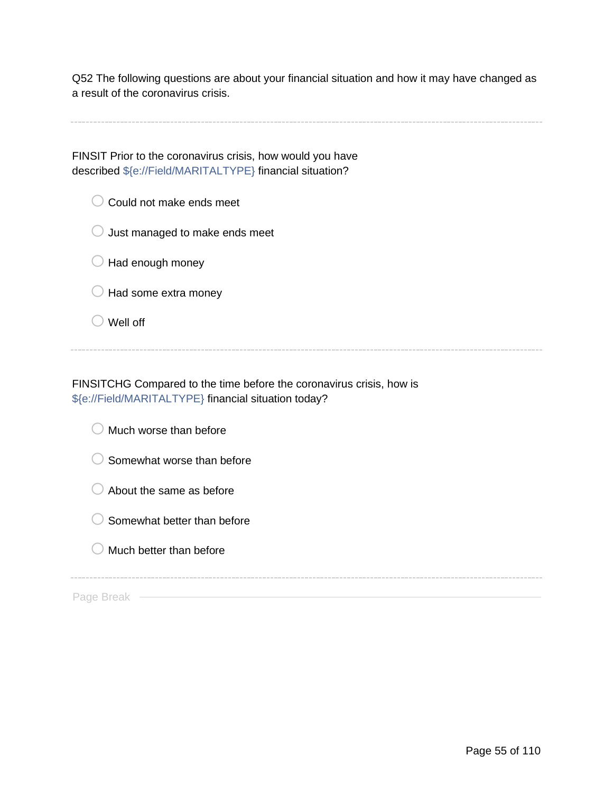Q52 The following questions are about your financial situation and how it may have changed as a result of the coronavirus crisis.

FINSIT Prior to the coronavirus crisis, how would you have described \${e://Field/MARITALTYPE} financial situation?

 $\bigcirc$  Could not make ends meet

 $\bigcirc$  Just managed to make ends meet

 $\bigcirc$  Had enough money

 $\bigcirc$  Had some extra money

 $\bigcirc$  Well off

FINSITCHG Compared to the time before the coronavirus crisis, how is \${e://Field/MARITALTYPE} financial situation today?

 $\bigcirc$  Much worse than before

 $\bigcirc$  Somewhat worse than before

 $\bigcirc$  About the same as before

 $\bigcirc$  Somewhat better than before

 $\bigcirc$  Much better than before

Page Break –––––––––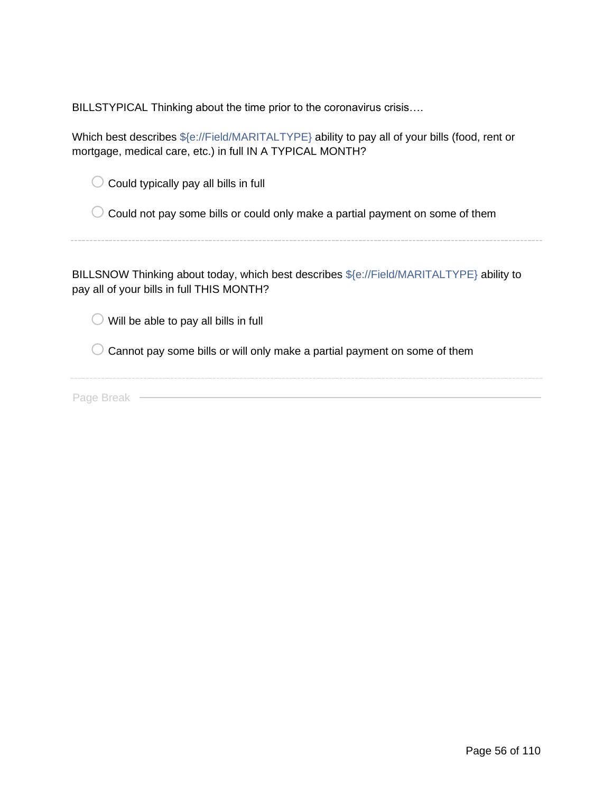BILLSTYPICAL Thinking about the time prior to the coronavirus crisis….

Which best describes  $$(e://Field/MARITALTYPE)$  ability to pay all of your bills (food, rent or mortgage, medical care, etc.) in full IN A TYPICAL MONTH?

 $\bigcirc$  Could not pay some bills or could only make a partial payment on some of them

BILLSNOW Thinking about today, which best describes \${e://Field/MARITALTYPE} ability to pay all of your bills in full THIS MONTH?

 $\bigcirc$  Will be able to pay all bills in full

 $\bigcirc$  Cannot pay some bills or will only make a partial payment on some of them

Page Break —————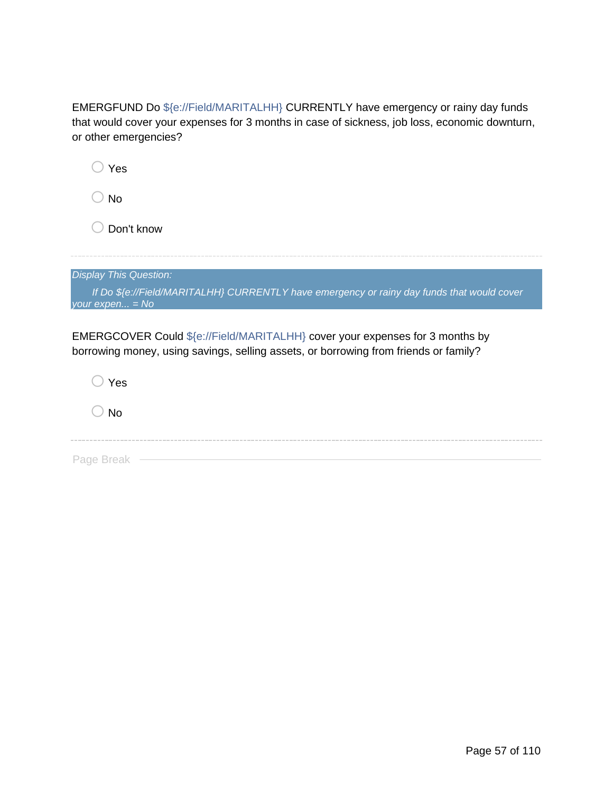EMERGFUND Do \${e://Field/MARITALHH} CURRENTLY have emergency or rainy day funds that would cover your expenses for 3 months in case of sickness, job loss, economic downturn, or other emergencies?

| 'es                                                                                                                                                                  |
|----------------------------------------------------------------------------------------------------------------------------------------------------------------------|
| No                                                                                                                                                                   |
| Don't know                                                                                                                                                           |
|                                                                                                                                                                      |
| <b>Display This Question:</b>                                                                                                                                        |
| If Do \${e://Field/MARITALHH} CURRENTLY have emergency or rainy day funds that would cover<br>your $expen = No$                                                      |
| EMERGCOVER Could \${e://Field/MARITALHH} cover your expenses for 3 months by<br>borrowing money, using savings, selling assets, or borrowing from friends or family? |
|                                                                                                                                                                      |

Page Break —

 $\bigcirc$  No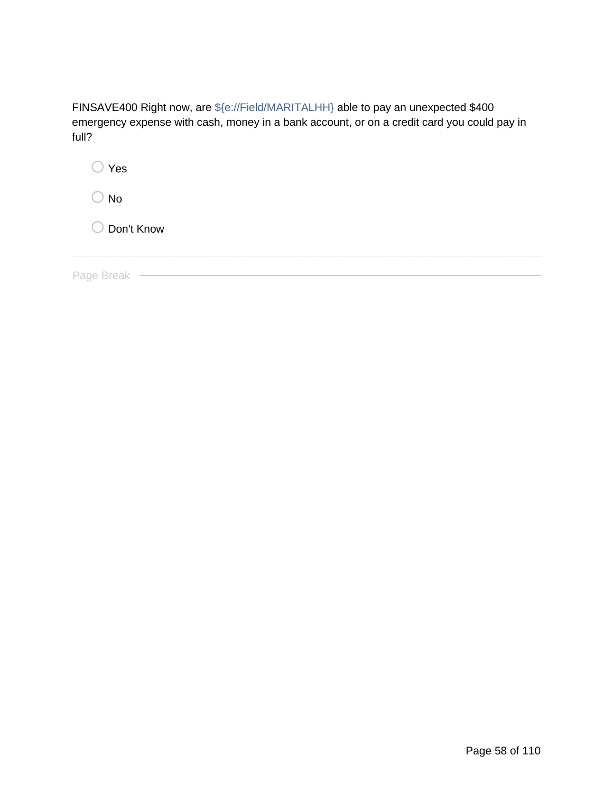| FINSAVE400 Right now, are \${e://Field/MARITALHH} able to pay an unexpected \$400          |
|--------------------------------------------------------------------------------------------|
| emergency expense with cash, money in a bank account, or on a credit card you could pay in |
| full?                                                                                      |

| $\bigcirc$ Yes |
|----------------|
| No             |
| O Don't Know   |
|                |
| Page Break     |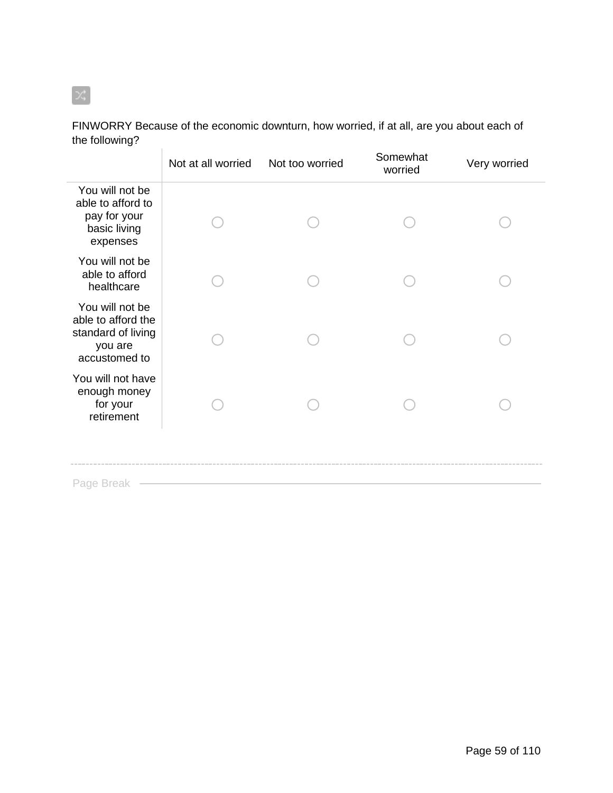#### FINWORRY Because of the economic downturn, how worried, if at all, are you about each of the following? Ŷ.

|                                                                                         | Not at all worried | Not too worried | Somewhat<br>worried | Very worried |
|-----------------------------------------------------------------------------------------|--------------------|-----------------|---------------------|--------------|
| You will not be<br>able to afford to<br>pay for your<br>basic living<br>expenses        |                    |                 |                     |              |
| You will not be<br>able to afford<br>healthcare                                         |                    |                 |                     |              |
| You will not be<br>able to afford the<br>standard of living<br>you are<br>accustomed to |                    |                 |                     |              |
| You will not have<br>enough money<br>for your<br>retirement                             |                    |                 |                     |              |
| Page Break                                                                              |                    |                 |                     |              |

 $\propto$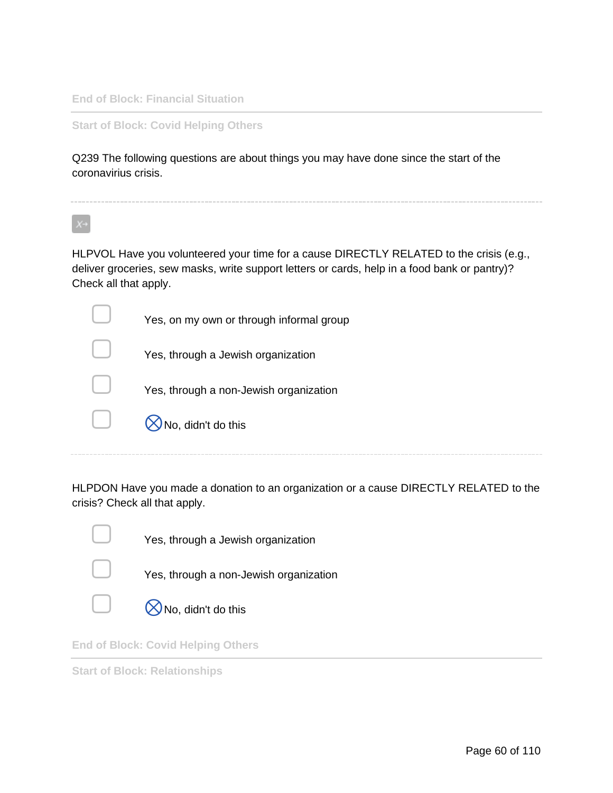**End of Block: Financial Situation**

**Start of Block: Covid Helping Others**

Q239 The following questions are about things you may have done since the start of the coronavirius crisis.

HLPVOL Have you volunteered your time for a cause DIRECTLY RELATED to the crisis (e.g., deliver groceries, sew masks, write support letters or cards, help in a food bank or pantry)? Check all that apply.

|        | Yes, on my own or through informal group |
|--------|------------------------------------------|
|        | Yes, through a Jewish organization       |
|        | Yes, through a non-Jewish organization   |
| $\Box$ | $\bigotimes$ No, didn't do this          |
|        |                                          |

HLPDON Have you made a donation to an organization or a cause DIRECTLY RELATED to the crisis? Check all that apply.



Yes, through a Jewish organization



Yes, through a non-Jewish organization



▢ ⊗No, didn't do this

**End of Block: Covid Helping Others**

**Start of Block: Relationships**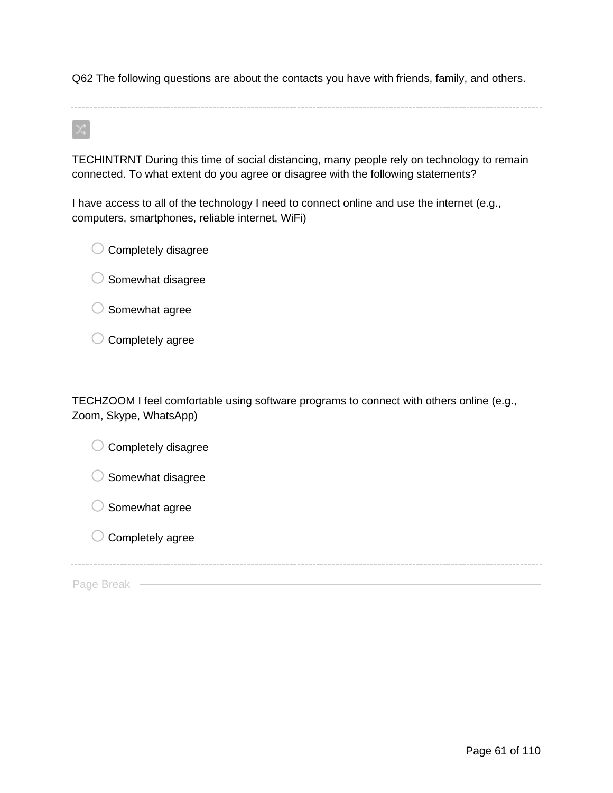Q62 The following questions are about the contacts you have with friends, family, and others.

TECHINTRNT During this time of social distancing, many people rely on technology to remain connected. To what extent do you agree or disagree with the following statements?

I have access to all of the technology I need to connect online and use the internet (e.g., computers, smartphones, reliable internet, WiFi)

 $\bigcirc$  Completely disagree  $\bigcirc$  Somewhat disagree  $\bigcirc$  Somewhat agree  $\bigcirc$  Completely agree

TECHZOOM I feel comfortable using software programs to connect with others online (e.g., Zoom, Skype, WhatsApp)

| Completely disagree |
|---------------------|
| Somewhat disagree   |
| Somewhat agree      |
| Completely agree    |
|                     |
| Page                |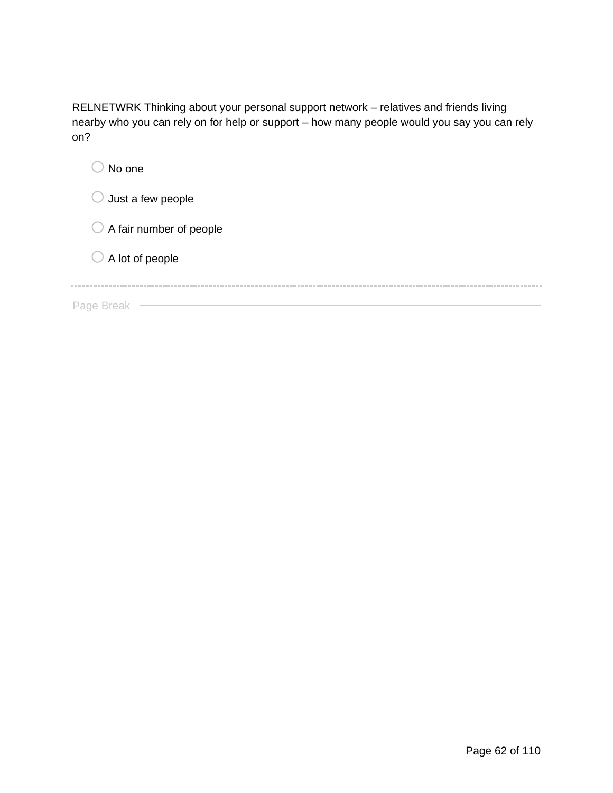RELNETWRK Thinking about your personal support network – relatives and friends living nearby who you can rely on for help or support – how many people would you say you can rely on?

| No one                             |
|------------------------------------|
| Just a few people                  |
| $\bigcirc$ A fair number of people |
| $\bigcirc$ A lot of people         |
|                                    |
| Page                               |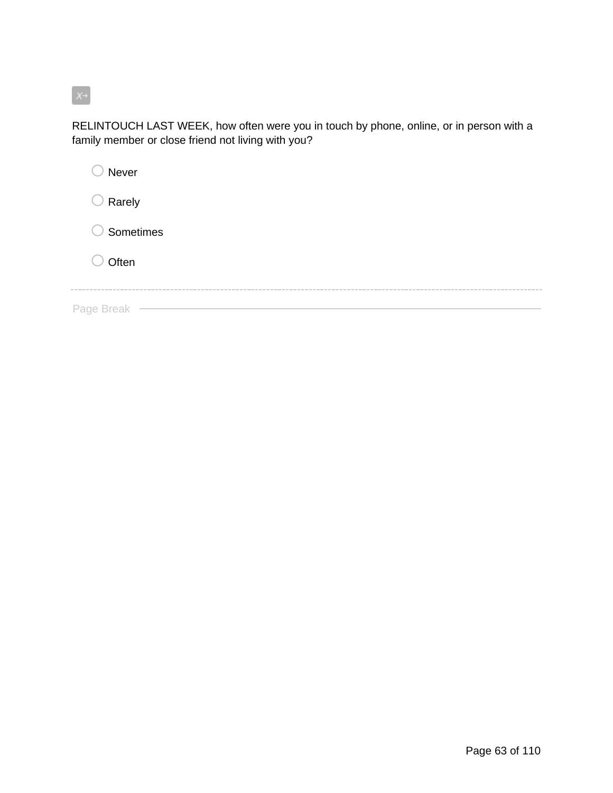# $X^+$

RELINTOUCH LAST WEEK, how often were you in touch by phone, online, or in person with a family member or close friend not living with you?

| Never            |                      |  |
|------------------|----------------------|--|
| $\supset$ Rarely |                      |  |
|                  | $\bigcirc$ Sometimes |  |
| Often            |                      |  |
| Page Break       |                      |  |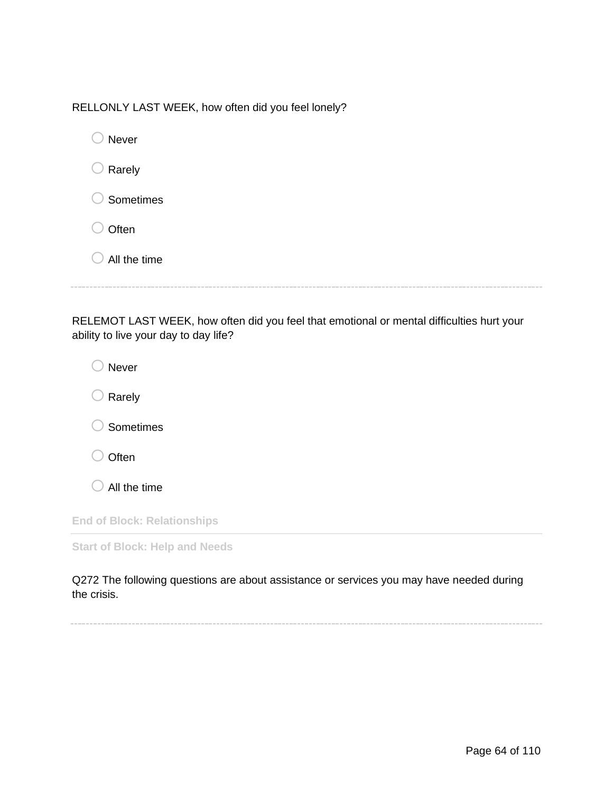| RELLONLY LAST WEEK, how often did you feel lonely? |
|----------------------------------------------------|
|----------------------------------------------------|

| Never        |  |
|--------------|--|
| Rarely       |  |
| Sometimes    |  |
| Often        |  |
| All the time |  |
|              |  |

RELEMOT LAST WEEK, how often did you feel that emotional or mental difficulties hurt your ability to live your day to day life?

| <b>Never</b>                          |  |
|---------------------------------------|--|
| Rarely                                |  |
| Sometimes                             |  |
| Often                                 |  |
| All the time                          |  |
| <b>End of Block: Relationships</b>    |  |
| <b>Start of Block: Help and Needs</b> |  |

Q272 The following questions are about assistance or services you may have needed during the crisis.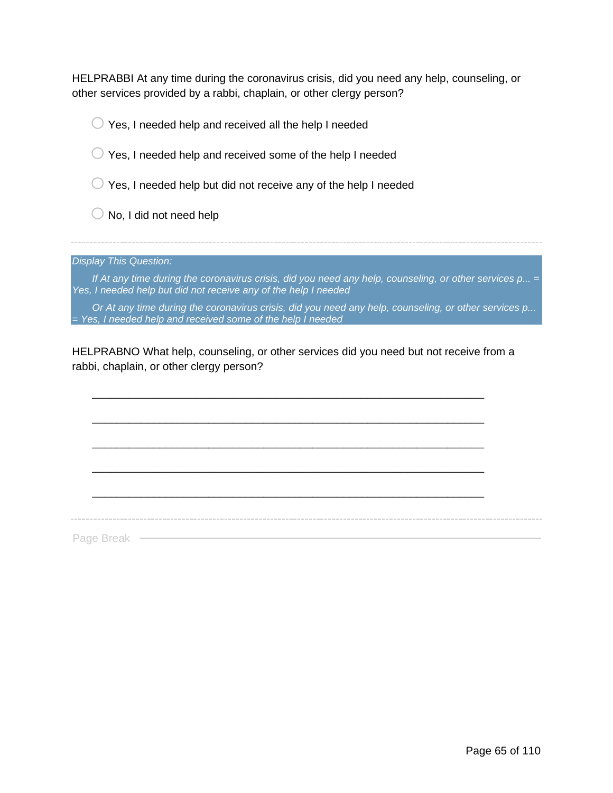HELPRABBI At any time during the coronavirus crisis, did you need any help, counseling, or other services provided by a rabbi, chaplain, or other clergy person?

 $\bigcirc$  Yes, I needed help and received all the help I needed  $\bigcirc$  Yes, I needed help and received some of the help I needed  $\bigcirc$  Yes, I needed help but did not receive any of the help I needed  $\bigcirc$  No, I did not need help *Display This Question: If At any time during the coronavirus crisis, did you need any help, counseling, or other services p... = Yes, I needed help but did not receive any of the help I needed*

*Or At any time during the coronavirus crisis, did you need any help, counseling, or other services p... = Yes, I needed help and received some of the help I needed*

HELPRABNO What help, counseling, or other services did you need but not receive from a rabbi, chaplain, or other clergy person?

\_\_\_\_\_\_\_\_\_\_\_\_\_\_\_\_\_\_\_\_\_\_\_\_\_\_\_\_\_\_\_\_\_\_\_\_\_\_\_\_\_\_\_\_\_\_\_\_\_\_\_\_\_\_\_\_\_\_\_\_\_\_\_\_

\_\_\_\_\_\_\_\_\_\_\_\_\_\_\_\_\_\_\_\_\_\_\_\_\_\_\_\_\_\_\_\_\_\_\_\_\_\_\_\_\_\_\_\_\_\_\_\_\_\_\_\_\_\_\_\_\_\_\_\_\_\_\_\_

\_\_\_\_\_\_\_\_\_\_\_\_\_\_\_\_\_\_\_\_\_\_\_\_\_\_\_\_\_\_\_\_\_\_\_\_\_\_\_\_\_\_\_\_\_\_\_\_\_\_\_\_\_\_\_\_\_\_\_\_\_\_\_\_ \_\_\_\_\_\_\_\_\_\_\_\_\_\_\_\_\_\_\_\_\_\_\_\_\_\_\_\_\_\_\_\_\_\_\_\_\_\_\_\_\_\_\_\_\_\_\_\_\_\_\_\_\_\_\_\_\_\_\_\_\_\_\_\_ \_\_\_\_\_\_\_\_\_\_\_\_\_\_\_\_\_\_\_\_\_\_\_\_\_\_\_\_\_\_\_\_\_\_\_\_\_\_\_\_\_\_\_\_\_\_\_\_\_\_\_\_\_\_\_\_\_\_\_\_\_\_\_\_ Page Break -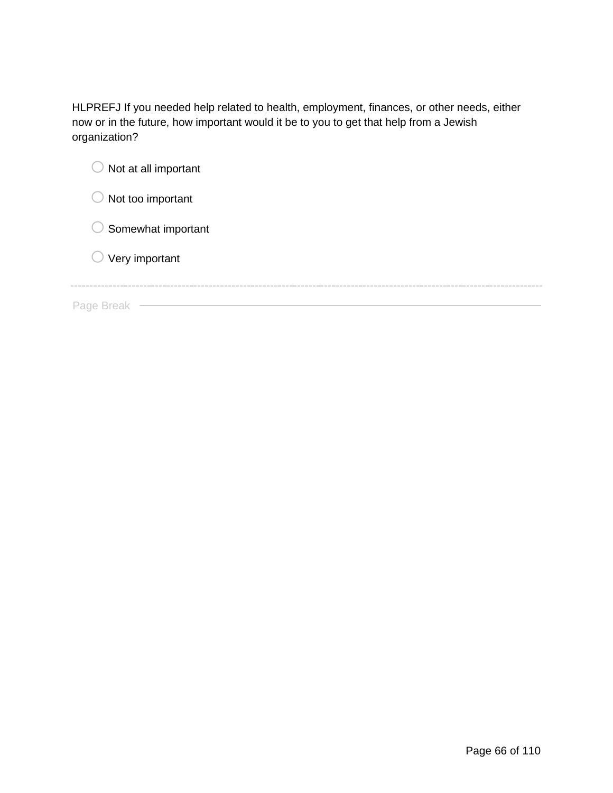HLPREFJ If you needed help related to health, employment, finances, or other needs, either now or in the future, how important would it be to you to get that help from a Jewish organization?

| Not at all important      |
|---------------------------|
| Not too important         |
| Somewhat important        |
| $\bigcirc$ Very important |
|                           |
| Page Break                |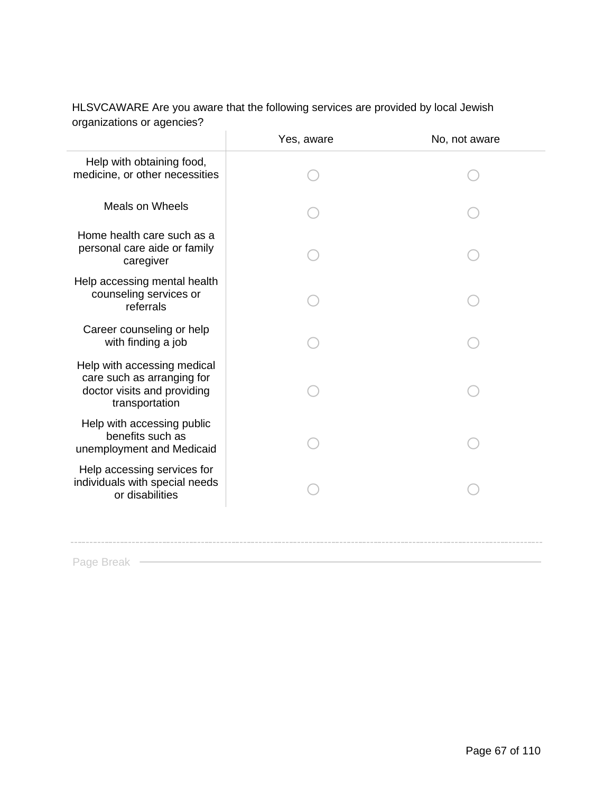|                                                                                                            | Yes, aware | No, not aware |
|------------------------------------------------------------------------------------------------------------|------------|---------------|
| Help with obtaining food,<br>medicine, or other necessities                                                |            |               |
| <b>Meals on Wheels</b>                                                                                     |            |               |
| Home health care such as a<br>personal care aide or family<br>caregiver                                    |            |               |
| Help accessing mental health<br>counseling services or<br>referrals                                        |            |               |
| Career counseling or help<br>with finding a job                                                            |            |               |
| Help with accessing medical<br>care such as arranging for<br>doctor visits and providing<br>transportation |            |               |
| Help with accessing public<br>benefits such as<br>unemployment and Medicaid                                |            |               |
| Help accessing services for<br>individuals with special needs<br>or disabilities                           |            |               |
|                                                                                                            |            |               |

## HLSVCAWARE Are you aware that the following services are provided by local Jewish organizations or agencies?

Page Break —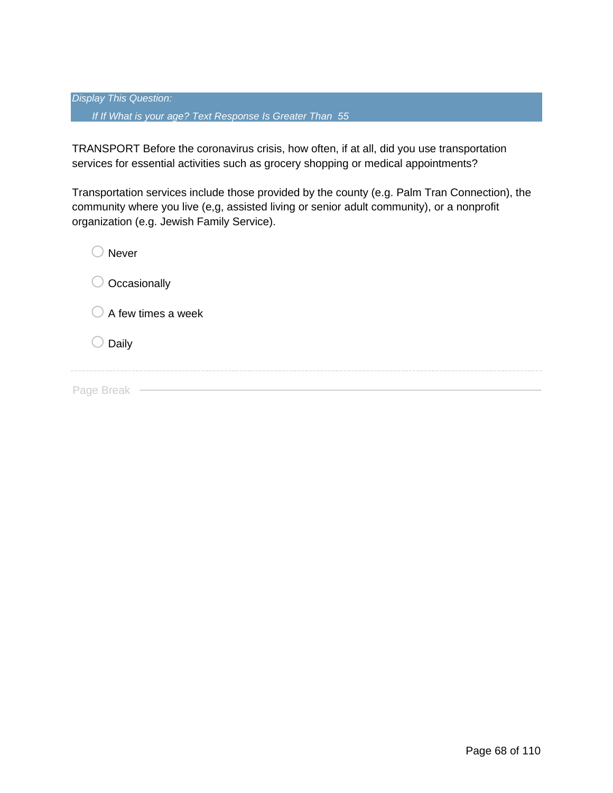*Display This Question: If If What is your age? Text Response Is Greater Than 55*

TRANSPORT Before the coronavirus crisis, how often, if at all, did you use transportation services for essential activities such as grocery shopping or medical appointments?

Transportation services include those provided by the county (e.g. Palm Tran Connection), the community where you live (e,g, assisted living or senior adult community), or a nonprofit organization (e.g. Jewish Family Service).

| Never                         |
|-------------------------------|
| Occasionally                  |
| $\bigcirc$ A few times a week |
| Daily                         |
| Page Break                    |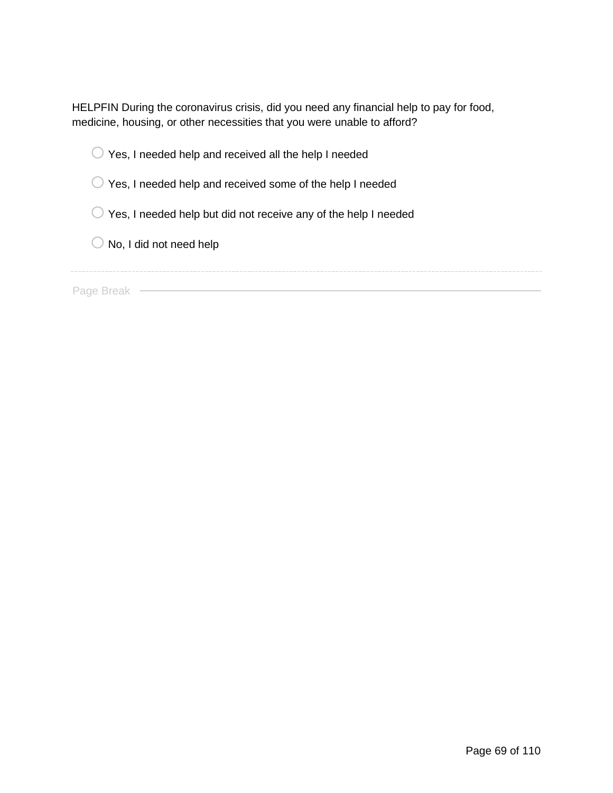HELPFIN During the coronavirus crisis, did you need any financial help to pay for food, medicine, housing, or other necessities that you were unable to afford?

|  | $\bigcirc$ Yes, I needed help and received all the help I needed |  |
|--|------------------------------------------------------------------|--|

 $\bigcirc$  Yes, I needed help and received some of the help I needed

 $\bigcirc$  Yes, I needed help but did not receive any of the help I needed

 $\bigcirc$  No, I did not need help

Page Break – **Contract Contract Contract Contract Contract Contract Contract Contract Contract Contract Contract Contract Contract Contract Contract Contract Contract Contract Contract Contract Contract Contract Contract C**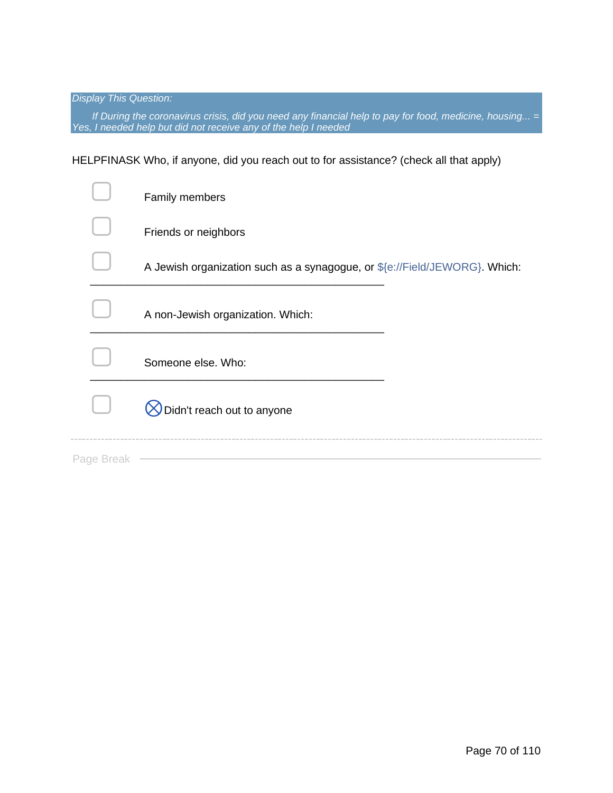*Display This Question:*

*If During the coronavirus crisis, did you need any financial help to pay for food, medicine, housing... = Yes, I needed help but did not receive any of the help I needed*

HELPFINASK Who, if anyone, did you reach out to for assistance? (check all that apply)

|            | Family members                                                             |  |
|------------|----------------------------------------------------------------------------|--|
|            | Friends or neighbors                                                       |  |
|            | A Jewish organization such as a synagogue, or \${e://Field/JEWORG}. Which: |  |
|            | A non-Jewish organization. Which:                                          |  |
|            | Someone else. Who:                                                         |  |
|            | Didn't reach out to anyone                                                 |  |
| Page Break |                                                                            |  |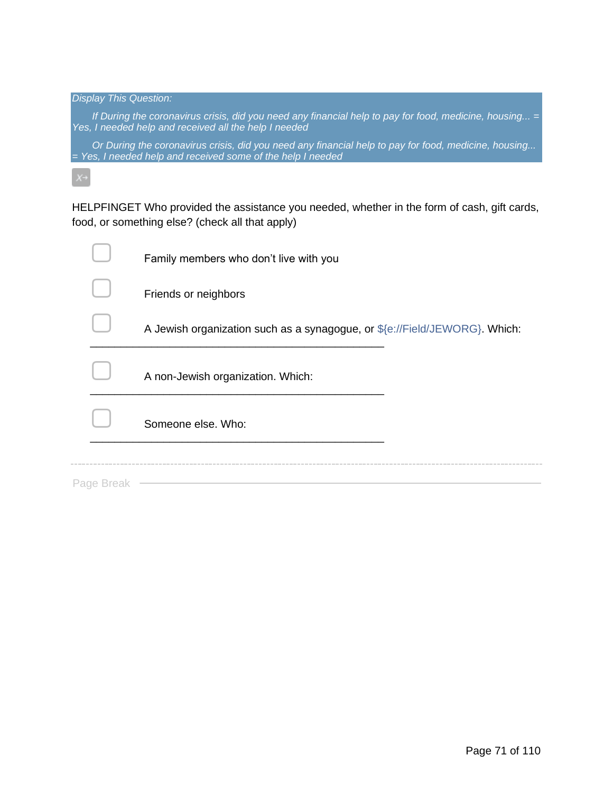*Display This Question: If During the coronavirus crisis, did you need any financial help to pay for food, medicine, housing... = Yes, I needed help and received all the help I needed Or During the coronavirus crisis, did you need any financial help to pay for food, medicine, housing... = Yes, I needed help and received some of the help I needed*

HELPFINGET Who provided the assistance you needed, whether in the form of cash, gift cards, food, or something else? (check all that apply)

|            | Family members who don't live with you                                     |
|------------|----------------------------------------------------------------------------|
|            | Friends or neighbors                                                       |
|            | A Jewish organization such as a synagogue, or \${e://Field/JEWORG}. Which: |
|            | A non-Jewish organization. Which:                                          |
|            | Someone else, Who:                                                         |
|            |                                                                            |
| Page Break |                                                                            |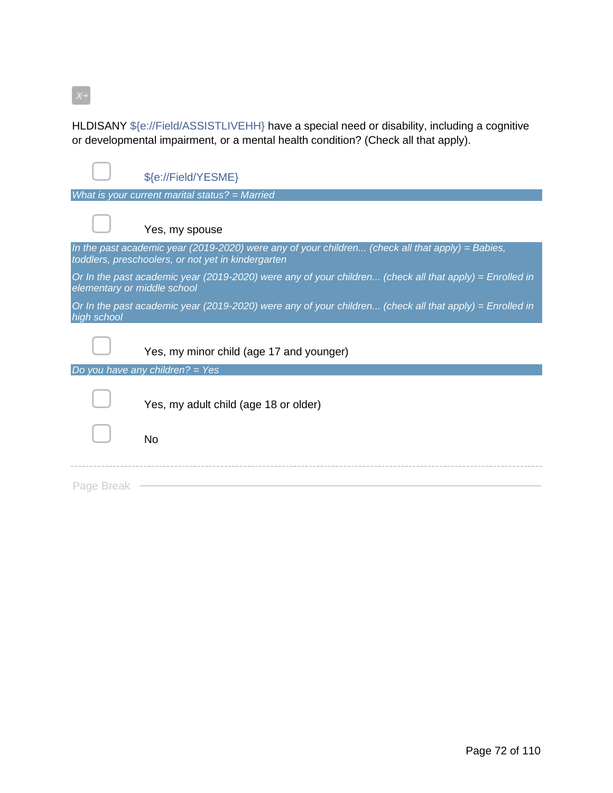$X \rightarrow$ 

HLDISANY \${e://Field/ASSISTLIVEHH} have a special need or disability, including a cognitive or developmental impairment, or a mental health condition? (Check all that apply).

|                             | \${e://Field/YESME}                                                                                                                                    |
|-----------------------------|--------------------------------------------------------------------------------------------------------------------------------------------------------|
|                             | What is your current marital status? = Married                                                                                                         |
|                             | Yes, my spouse                                                                                                                                         |
|                             | In the past academic year (2019-2020) were any of your children (check all that apply) = Babies,<br>toddlers, preschoolers, or not yet in kindergarten |
| elementary or middle school | Or In the past academic year (2019-2020) were any of your children (check all that apply) = Enrolled in                                                |
| high school                 | Or In the past academic year (2019-2020) were any of your children (check all that apply) = Enrolled in                                                |
|                             | Yes, my minor child (age 17 and younger)                                                                                                               |
|                             | Do you have any children? = Yes                                                                                                                        |
|                             | Yes, my adult child (age 18 or older)                                                                                                                  |
|                             | <b>No</b>                                                                                                                                              |
| Page Break                  |                                                                                                                                                        |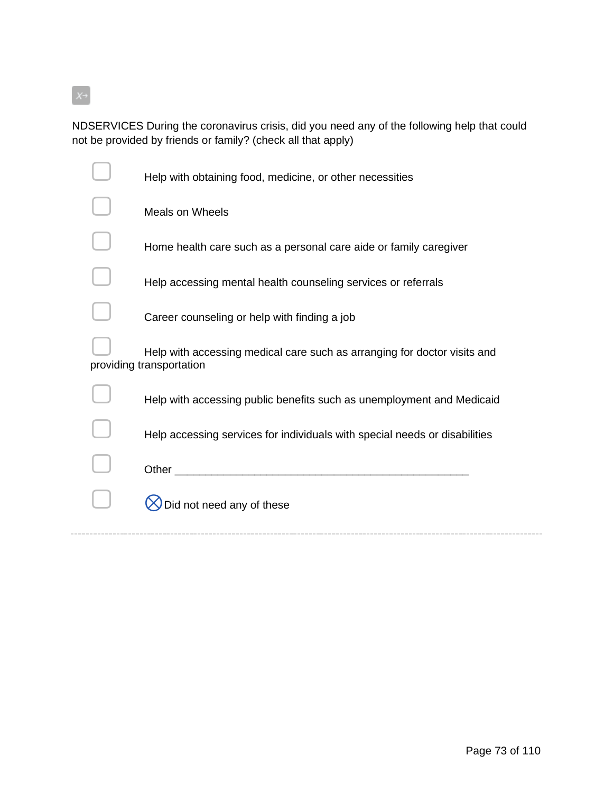$X \rightarrow$ 

NDSERVICES During the coronavirus crisis, did you need any of the following help that could not be provided by friends or family? (check all that apply)

| Help with obtaining food, medicine, or other necessities                                             |
|------------------------------------------------------------------------------------------------------|
| <b>Meals on Wheels</b>                                                                               |
| Home health care such as a personal care aide or family caregiver                                    |
| Help accessing mental health counseling services or referrals                                        |
| Career counseling or help with finding a job                                                         |
| Help with accessing medical care such as arranging for doctor visits and<br>providing transportation |
| Help with accessing public benefits such as unemployment and Medicaid                                |
| Help accessing services for individuals with special needs or disabilities                           |
| Other                                                                                                |
| Did not need any of these                                                                            |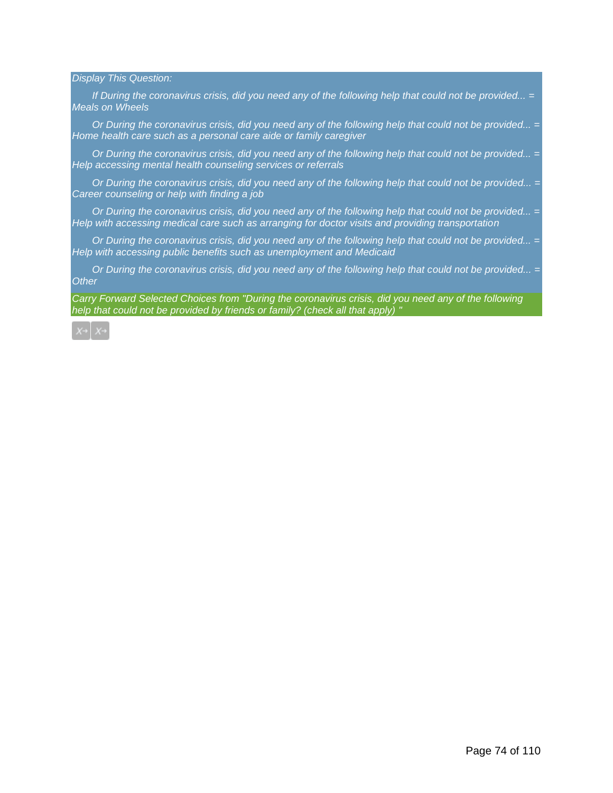*Display This Question:*

*If During the coronavirus crisis, did you need any of the following help that could not be provided... = Meals on Wheels*

*Or During the coronavirus crisis, did you need any of the following help that could not be provided... = Home health care such as a personal care aide or family caregiver*

*Or During the coronavirus crisis, did you need any of the following help that could not be provided... = Help accessing mental health counseling services or referrals*

*Or During the coronavirus crisis, did you need any of the following help that could not be provided... = Career counseling or help with finding a job*

*Or During the coronavirus crisis, did you need any of the following help that could not be provided... = Help with accessing medical care such as arranging for doctor visits and providing transportation*

*Or During the coronavirus crisis, did you need any of the following help that could not be provided... = Help with accessing public benefits such as unemployment and Medicaid*

*Or During the coronavirus crisis, did you need any of the following help that could not be provided... = Other*

*Carry Forward Selected Choices from "During the coronavirus crisis, did you need any of the following help that could not be provided by friends or family? (check all that apply) "*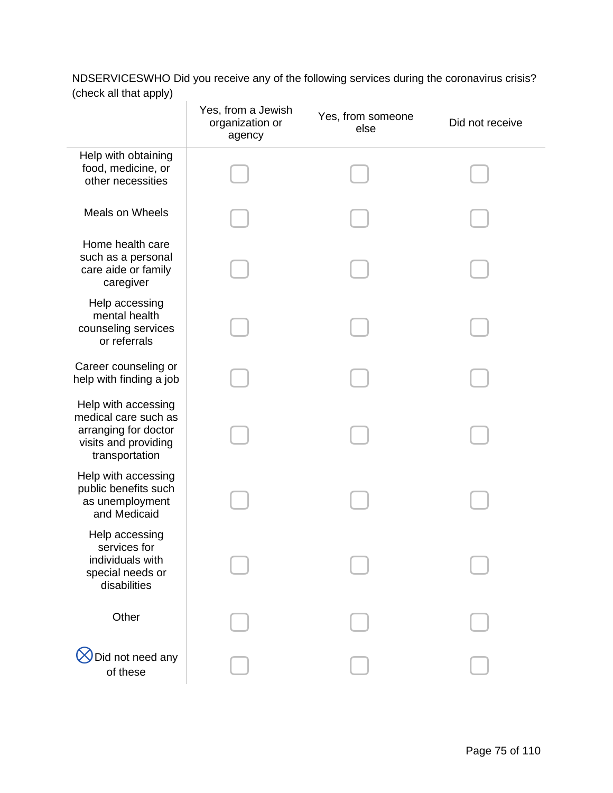NDSERVICESWHO Did you receive any of the following services during the coronavirus crisis? (check all that apply)

|                                                                                                               | Yes, from a Jewish<br>organization or<br>agency | Yes, from someone<br>else | Did not receive |
|---------------------------------------------------------------------------------------------------------------|-------------------------------------------------|---------------------------|-----------------|
| Help with obtaining<br>food, medicine, or<br>other necessities                                                |                                                 |                           |                 |
| <b>Meals on Wheels</b>                                                                                        |                                                 |                           |                 |
| Home health care<br>such as a personal<br>care aide or family<br>caregiver                                    |                                                 |                           |                 |
| Help accessing<br>mental health<br>counseling services<br>or referrals                                        |                                                 |                           |                 |
| Career counseling or<br>help with finding a job                                                               |                                                 |                           |                 |
| Help with accessing<br>medical care such as<br>arranging for doctor<br>visits and providing<br>transportation |                                                 |                           |                 |
| Help with accessing<br>public benefits such<br>as unemployment<br>and Medicaid                                |                                                 |                           |                 |
| Help accessing<br>services for<br>individuals with<br>special needs or<br>disabilities                        |                                                 |                           |                 |
| Other                                                                                                         |                                                 |                           |                 |
| Did not need any<br>of these                                                                                  |                                                 |                           |                 |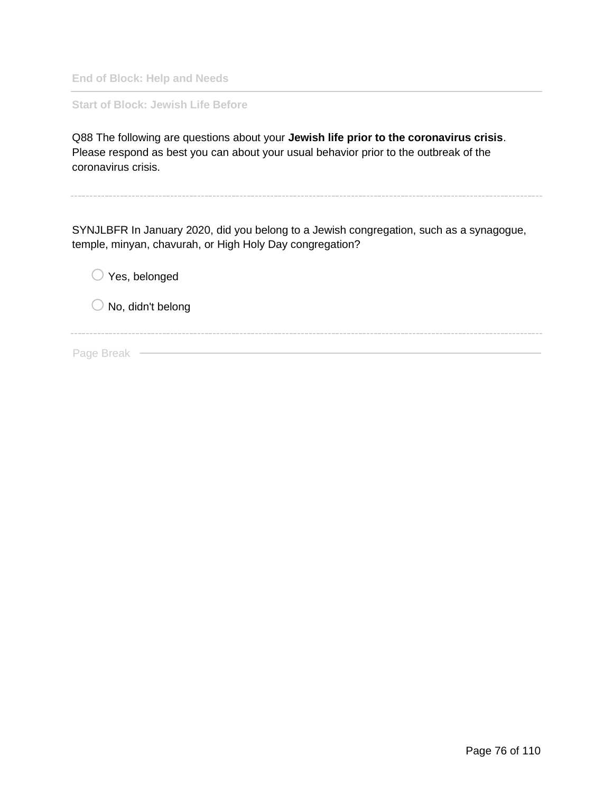**End of Block: Help and Needs**

**Start of Block: Jewish Life Before**

Q88 The following are questions about your **Jewish life prior to the coronavirus crisis**. Please respond as best you can about your usual behavior prior to the outbreak of the coronavirus crisis.

SYNJLBFR In January 2020, did you belong to a Jewish congregation, such as a synagogue, temple, minyan, chavurah, or High Holy Day congregation?

 $\bigcirc$  Yes, belonged

 $\bigcirc$  No, didn't belong

Page Break —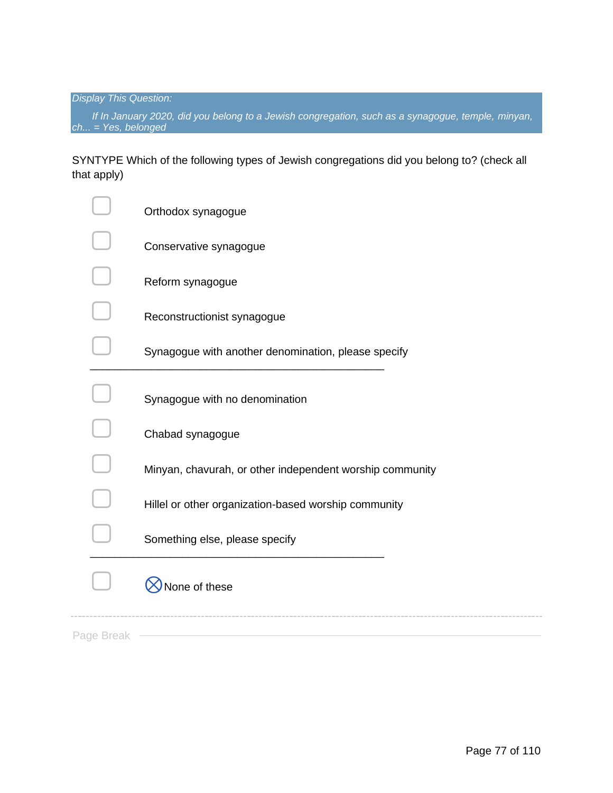*Display This Question:*

*If In January 2020, did you belong to a Jewish congregation, such as a synagogue, temple, minyan, ch... = Yes, belonged*

SYNTYPE Which of the following types of Jewish congregations did you belong to? (check all that apply)

|            | Orthodox synagogue                                       |
|------------|----------------------------------------------------------|
|            | Conservative synagogue                                   |
|            | Reform synagogue                                         |
|            | Reconstructionist synagogue                              |
|            | Synagogue with another denomination, please specify      |
|            | Synagogue with no denomination                           |
|            | Chabad synagogue                                         |
|            | Minyan, chavurah, or other independent worship community |
|            | Hillel or other organization-based worship community     |
|            | Something else, please specify                           |
|            | None of these                                            |
| Page Break |                                                          |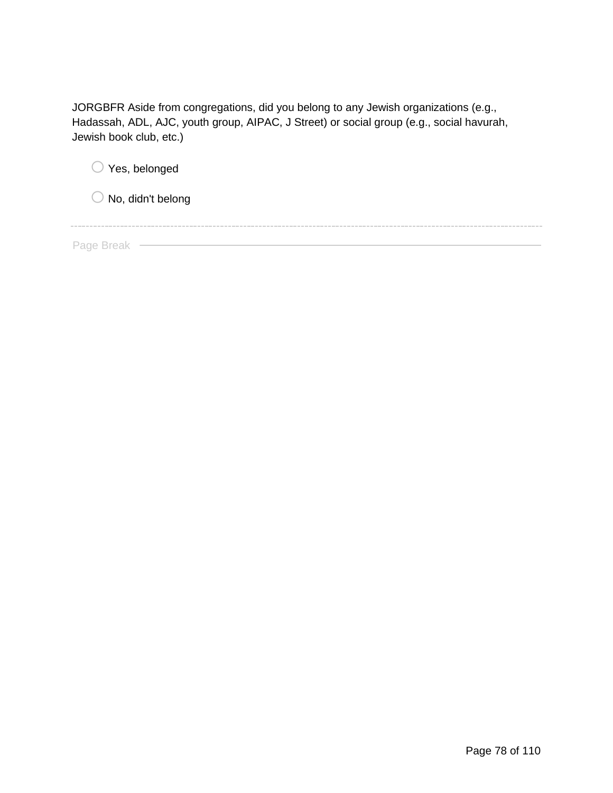JORGBFR Aside from congregations, did you belong to any Jewish organizations (e.g., Hadassah, ADL, AJC, youth group, AIPAC, J Street) or social group (e.g., social havurah, Jewish book club, etc.)

| $\bigcirc$ Yes, belonged     |  |  |
|------------------------------|--|--|
| $\bigcirc$ No, didn't belong |  |  |
|                              |  |  |
| Page Break                   |  |  |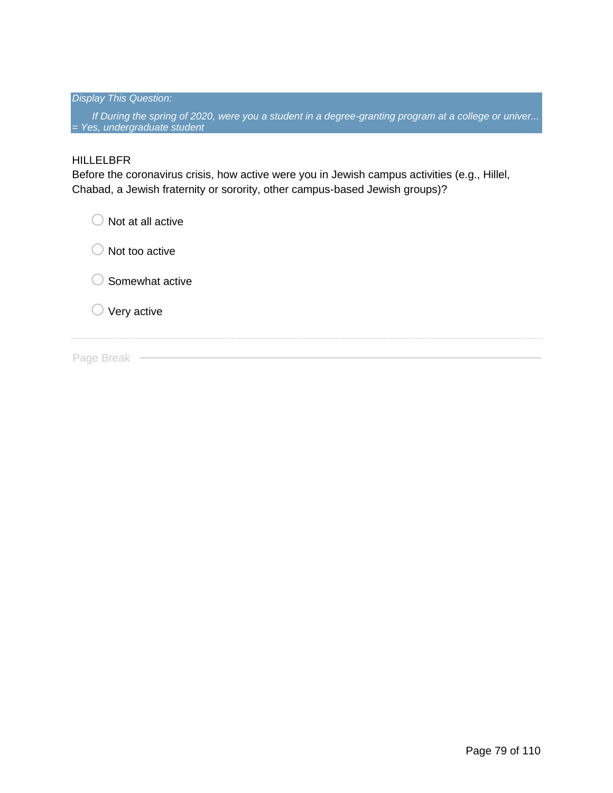#### *Display This Question:*

*If During the spring of 2020, were you a student in a degree-granting program at a college or univer... = Yes, undergraduate student*

#### HILLELBFR

Before the coronavirus crisis, how active were you in Jewish campus activities (e.g., Hillel, Chabad, a Jewish fraternity or sorority, other campus-based Jewish groups)?

| Not at all active<br>k P   |
|----------------------------|
| Not too active             |
| $\bigcirc$ Somewhat active |
| $\bigcirc$ Very active     |
| Page Break                 |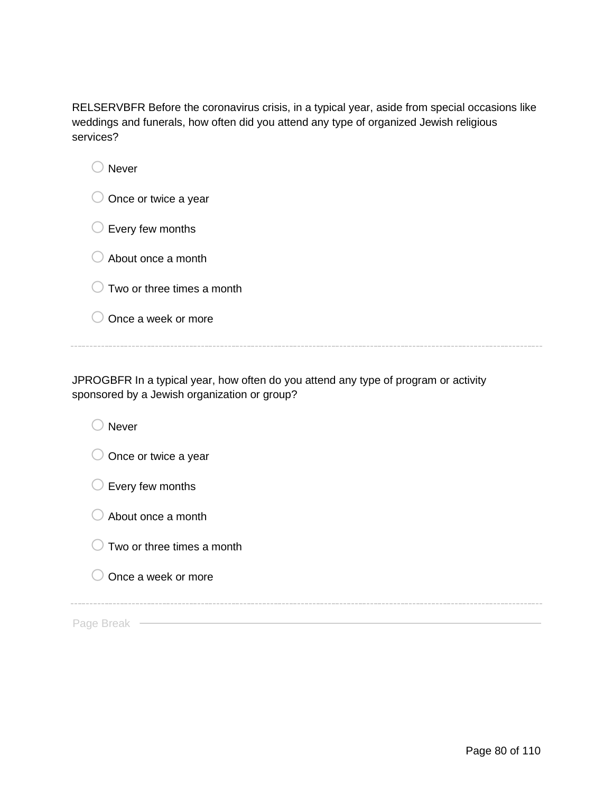RELSERVBFR Before the coronavirus crisis, in a typical year, aside from special occasions like weddings and funerals, how often did you attend any type of organized Jewish religious services?

| <b>Never</b>               |
|----------------------------|
| Once or twice a year       |
| Every few months<br>∪      |
| About once a month         |
| Two or three times a month |
| Once a week or more        |
|                            |

JPROGBFR In a typical year, how often do you attend any type of program or activity sponsored by a Jewish organization or group?

| <b>Never</b>               |
|----------------------------|
| Once or twice a year       |
| Every few months           |
| About once a month         |
| Two or three times a month |
| Once a week or more        |
|                            |
| Page                       |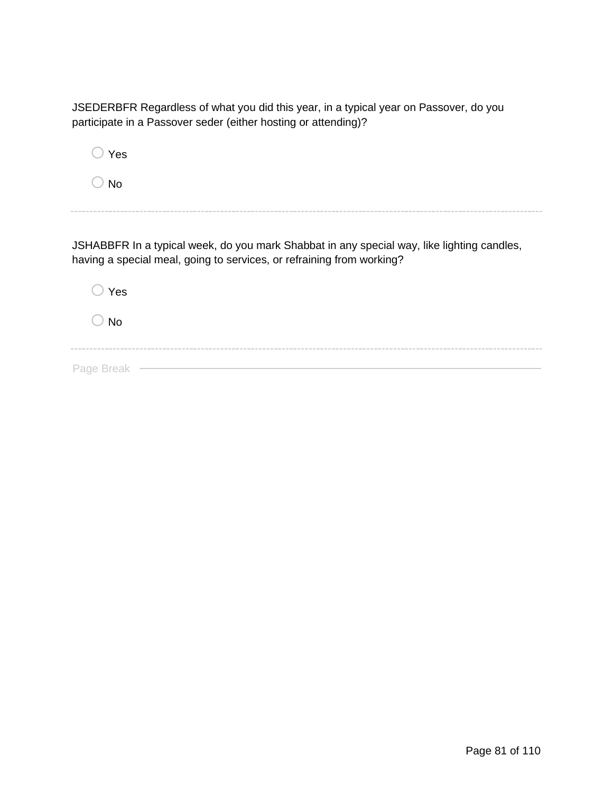JSEDERBFR Regardless of what you did this year, in a typical year on Passover, do you participate in a Passover seder (either hosting or attending)?

i.

| Yes                                                                                                                                                                 |  |
|---------------------------------------------------------------------------------------------------------------------------------------------------------------------|--|
| N٥                                                                                                                                                                  |  |
|                                                                                                                                                                     |  |
| JSHABBFR In a typical week, do you mark Shabbat in any special way, like lighting candles,<br>having a special meal, going to services, or refraining from working? |  |

| $\bigcirc$ Yes |  |  |  |  |
|----------------|--|--|--|--|
| $\bigcirc$ No  |  |  |  |  |
|                |  |  |  |  |
| Page Break -   |  |  |  |  |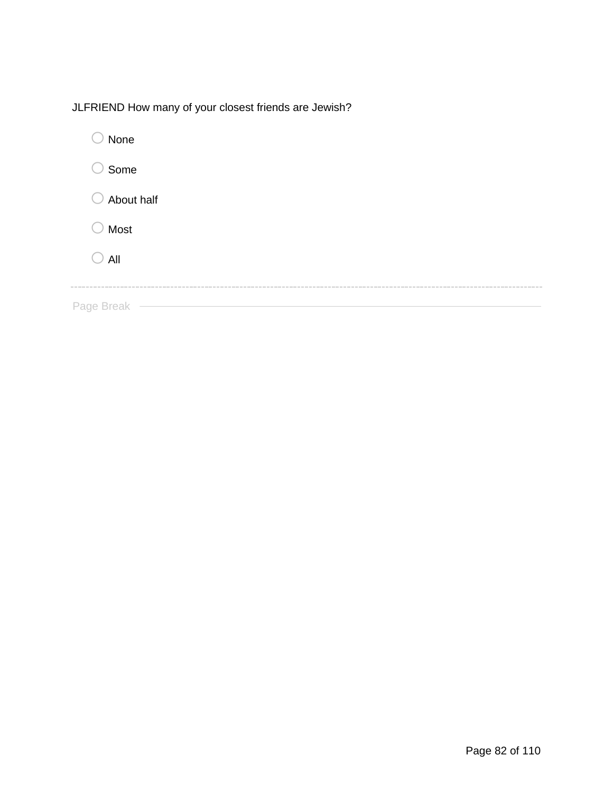JLFRIEND How many of your closest friends are Jewish?

| None       |
|------------|
| Some       |
| About half |
| Most       |
| All        |
|            |
| Page Break |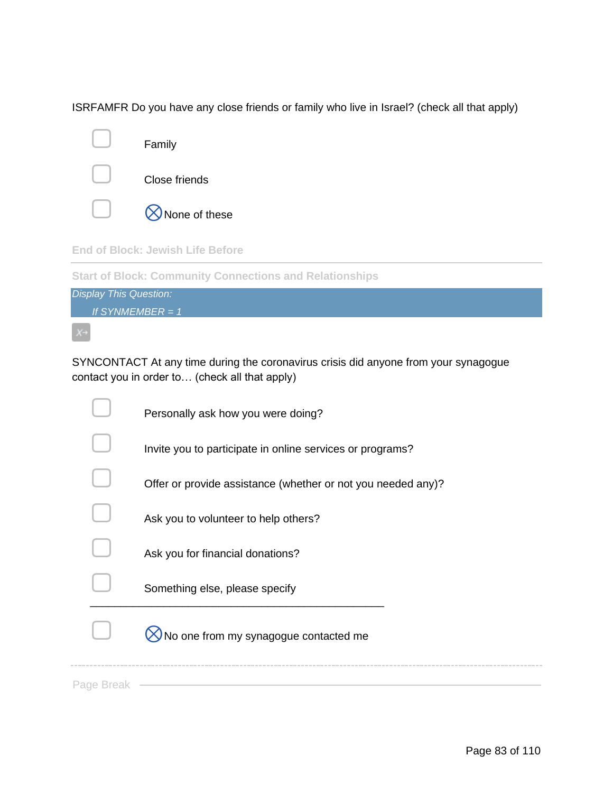ISRFAMFR Do you have any close friends or family who live in Israel? (check all that apply)



**End of Block: Jewish Life Before**

**Start of Block: Community Connections and Relationships**



SYNCONTACT At any time during the coronavirus crisis did anyone from your synagogue contact you in order to… (check all that apply)

|            | Personally ask how you were doing?                           |
|------------|--------------------------------------------------------------|
|            | Invite you to participate in online services or programs?    |
|            | Offer or provide assistance (whether or not you needed any)? |
|            | Ask you to volunteer to help others?                         |
|            | Ask you for financial donations?                             |
|            | Something else, please specify                               |
|            | No one from my synagogue contacted me                        |
| Page Breal |                                                              |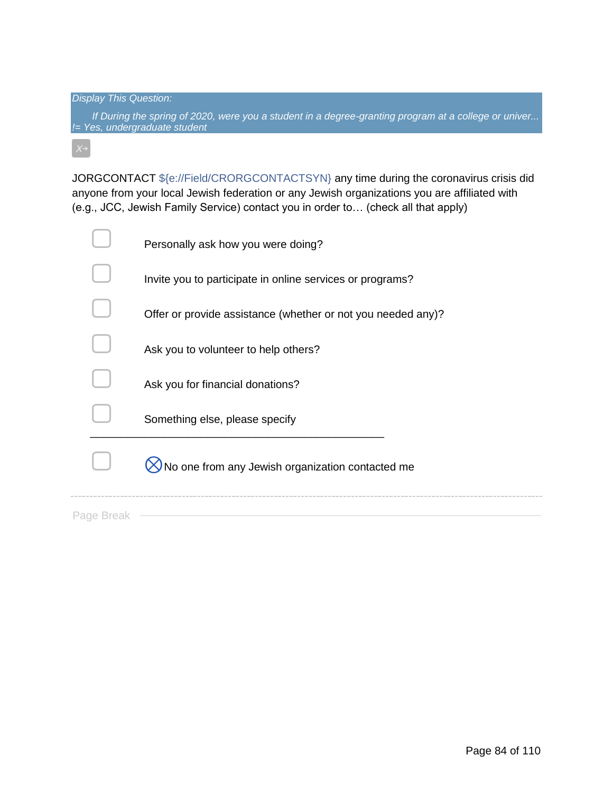#### *Display This Question:*

*If During the spring of 2020, were you a student in a degree-granting program at a college or univer... != Yes, undergraduate student*

JORGCONTACT \${e://Field/CRORGCONTACTSYN} any time during the coronavirus crisis did anyone from your local Jewish federation or any Jewish organizations you are affiliated with (e.g., JCC, Jewish Family Service) contact you in order to… (check all that apply)

|          | Personally ask how you were doing?                           |
|----------|--------------------------------------------------------------|
|          | Invite you to participate in online services or programs?    |
|          | Offer or provide assistance (whether or not you needed any)? |
|          | Ask you to volunteer to help others?                         |
|          | Ask you for financial donations?                             |
|          | Something else, please specify                               |
|          | No one from any Jewish organization contacted me             |
| Page Bre |                                                              |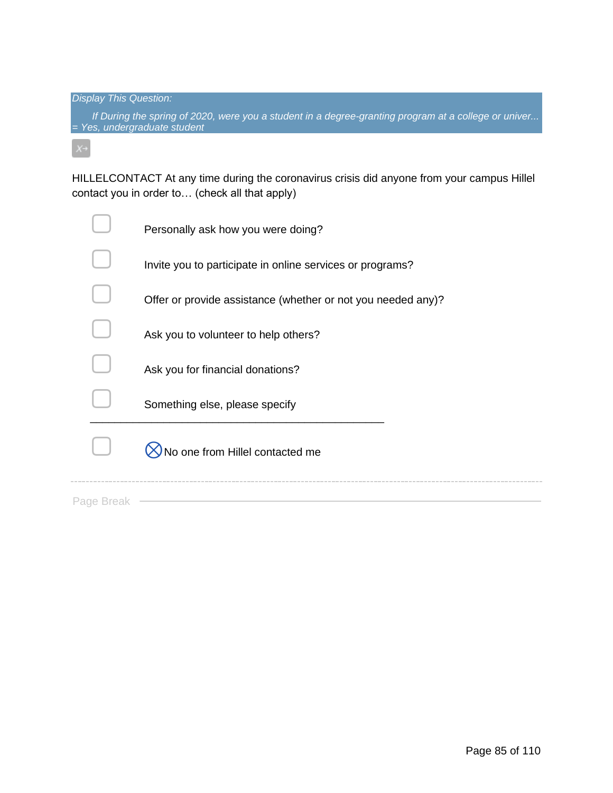*Display This Question:*

*If During the spring of 2020, were you a student in a degree-granting program at a college or univer... = Yes, undergraduate student*

HILLELCONTACT At any time during the coronavirus crisis did anyone from your campus Hillel contact you in order to… (check all that apply)

|            | Personally ask how you were doing?                           |
|------------|--------------------------------------------------------------|
|            | Invite you to participate in online services or programs?    |
|            | Offer or provide assistance (whether or not you needed any)? |
|            | Ask you to volunteer to help others?                         |
|            | Ask you for financial donations?                             |
|            | Something else, please specify                               |
|            | No one from Hillel contacted me                              |
| Page Break |                                                              |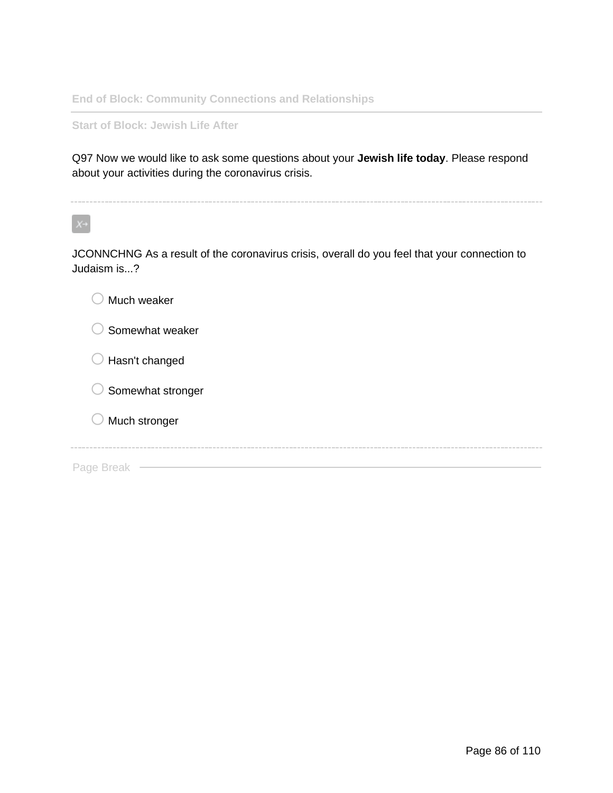**End of Block: Community Connections and Relationships**

**Start of Block: Jewish Life After**

Q97 Now we would like to ask some questions about your **Jewish life today**. Please respond about your activities during the coronavirus crisis.

 $X \rightarrow$ 

JCONNCHNG As a result of the coronavirus crisis, overall do you feel that your connection to Judaism is...?

| Much weaker       |  |
|-------------------|--|
| Somewhat weaker   |  |
| Hasn't changed    |  |
| Somewhat stronger |  |
| Much stronger     |  |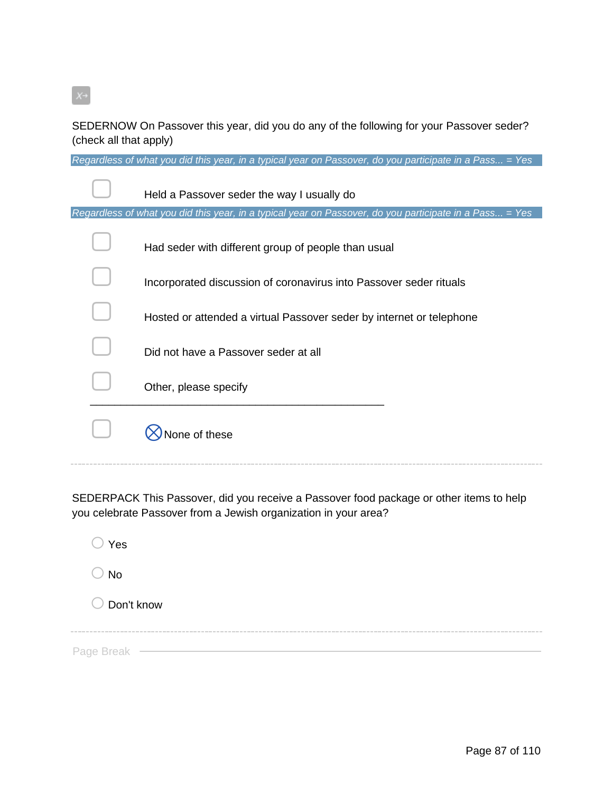SEDERNOW On Passover this year, did you do any of the following for your Passover seder? (check all that apply)

*Regardless of what you did this year, in a typical year on Passover, do you participate in a Pass... = Yes*

| Held a Passover seder the way I usually do                                                              |
|---------------------------------------------------------------------------------------------------------|
| Regardless of what you did this year, in a typical year on Passover, do you participate in a Pass = Yes |
| Had seder with different group of people than usual                                                     |
| Incorporated discussion of coronavirus into Passover seder rituals                                      |
| Hosted or attended a virtual Passover seder by internet or telephone                                    |
| Did not have a Passover seder at all                                                                    |
| Other, please specify                                                                                   |
| e of these                                                                                              |

SEDERPACK This Passover, did you receive a Passover food package or other items to help you celebrate Passover from a Jewish organization in your area?

| )Yes         |  |  |  |
|--------------|--|--|--|
| ) No         |  |  |  |
| O Don't know |  |  |  |
|              |  |  |  |
| Page Break   |  |  |  |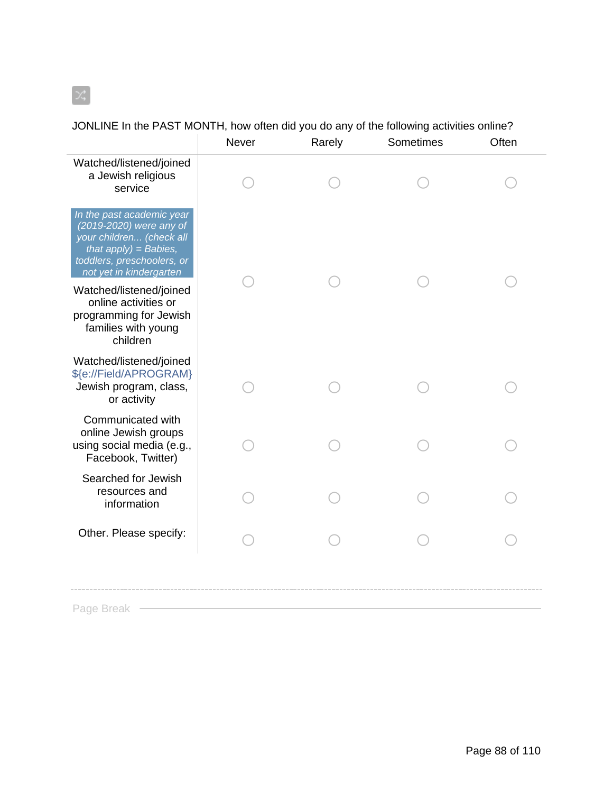$\mathbb{X}$ 

|                                                                                                                                                                     | Never | Rarely | Sometimes | Often |
|---------------------------------------------------------------------------------------------------------------------------------------------------------------------|-------|--------|-----------|-------|
| Watched/listened/joined<br>a Jewish religious<br>service                                                                                                            |       |        |           |       |
| In the past academic year<br>(2019-2020) were any of<br>your children (check all<br>that $apply$ = Babies,<br>toddlers, preschoolers, or<br>not yet in kindergarten |       |        |           |       |
| Watched/listened/joined<br>online activities or<br>programming for Jewish<br>families with young<br>children                                                        |       |        |           |       |
| Watched/listened/joined<br>\${e://Field/APROGRAM}<br>Jewish program, class,<br>or activity                                                                          |       |        |           |       |
| Communicated with<br>online Jewish groups<br>using social media (e.g.,<br>Facebook, Twitter)                                                                        |       |        |           |       |
| Searched for Jewish<br>resources and<br>information                                                                                                                 |       |        |           |       |
| Other. Please specify:                                                                                                                                              |       |        |           |       |
|                                                                                                                                                                     |       |        |           |       |

JONLINE In the PAST MONTH, how often did you do any of the following activities online?

Page Break —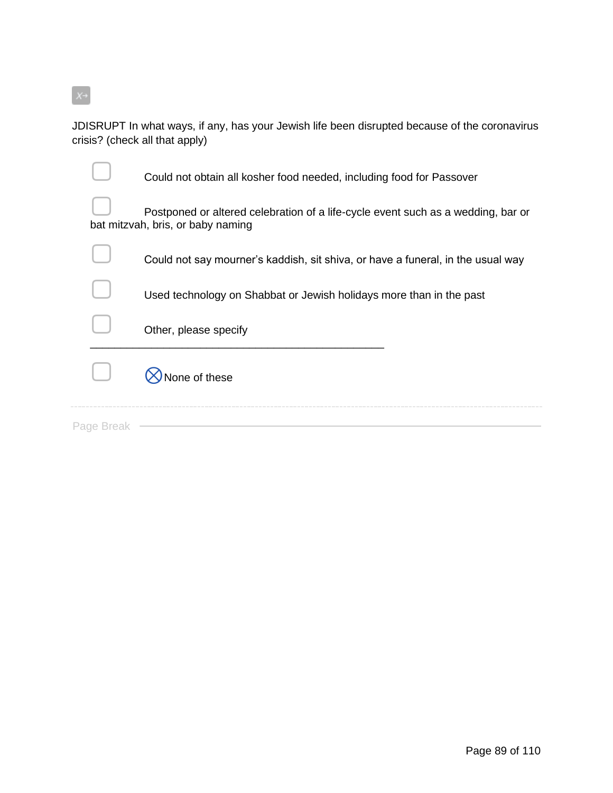

JDISRUPT In what ways, if any, has your Jewish life been disrupted because of the coronavirus crisis? (check all that apply)

|            | Could not obtain all kosher food needed, including food for Passover                                                  |
|------------|-----------------------------------------------------------------------------------------------------------------------|
|            | Postponed or altered celebration of a life-cycle event such as a wedding, bar or<br>bat mitzvah, bris, or baby naming |
|            | Could not say mourner's kaddish, sit shiva, or have a funeral, in the usual way                                       |
|            | Used technology on Shabbat or Jewish holidays more than in the past                                                   |
|            | Other, please specify                                                                                                 |
|            | lone of these                                                                                                         |
| Page Breal |                                                                                                                       |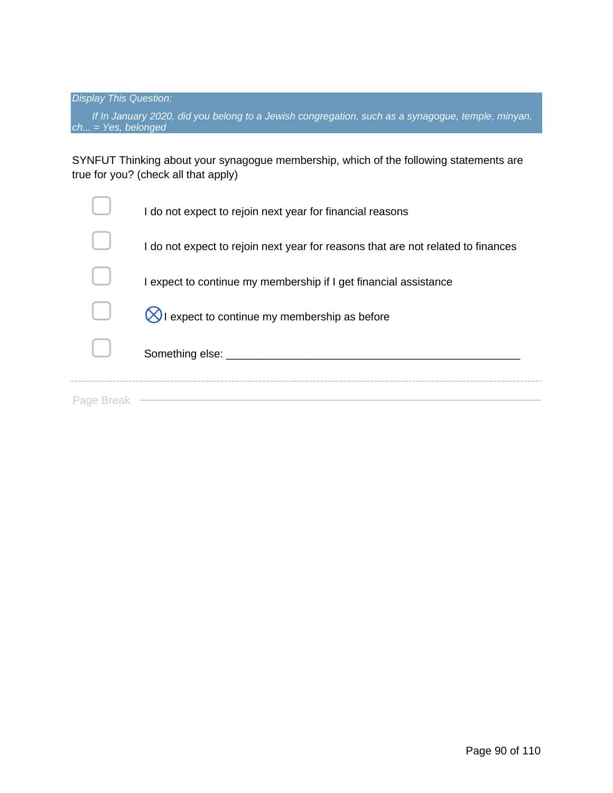*If In January 2020, did you belong to a Jewish congregation, such as a synagogue, temple, minyan, ch... = Yes, belonged*

SYNFUT Thinking about your synagogue membership, which of the following statements are true for you? (check all that apply)

|            | I do not expect to rejoin next year for financial reasons                        |
|------------|----------------------------------------------------------------------------------|
|            | I do not expect to rejoin next year for reasons that are not related to finances |
|            | I expect to continue my membership if I get financial assistance                 |
|            | I expect to continue my membership as before                                     |
|            | Something else: ________                                                         |
| Page Break |                                                                                  |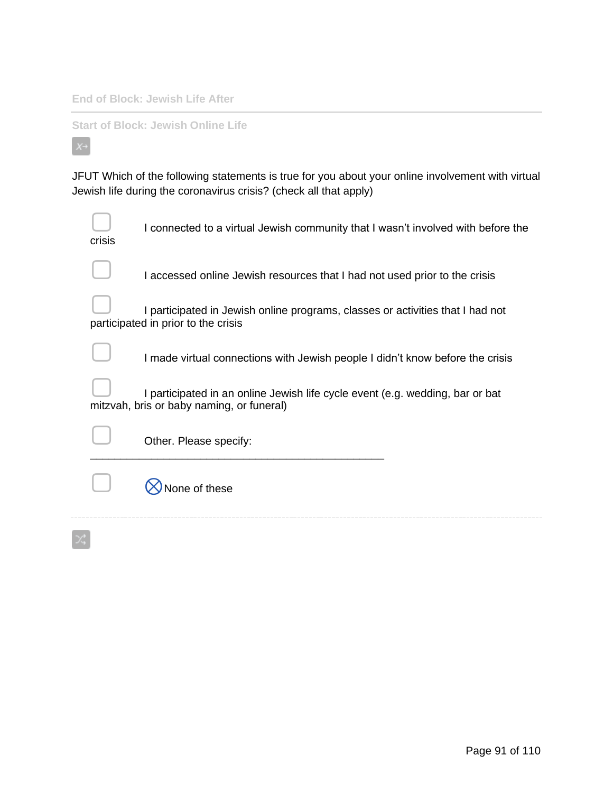**End of Block: Jewish Life After**

**Start of Block: Jewish Online Life**

 $X \rightarrow$ 

JFUT Which of the following statements is true for you about your online involvement with virtual Jewish life during the coronavirus crisis? (check all that apply)

| crisis | I connected to a virtual Jewish community that I wasn't involved with before the                                           |
|--------|----------------------------------------------------------------------------------------------------------------------------|
|        | I accessed online Jewish resources that I had not used prior to the crisis                                                 |
|        | I participated in Jewish online programs, classes or activities that I had not<br>participated in prior to the crisis      |
|        | I made virtual connections with Jewish people I didn't know before the crisis                                              |
|        | I participated in an online Jewish life cycle event (e.g. wedding, bar or bat<br>mitzvah, bris or baby naming, or funeral) |
|        | Other. Please specify:                                                                                                     |
|        | <b>Jone of these</b>                                                                                                       |
|        |                                                                                                                            |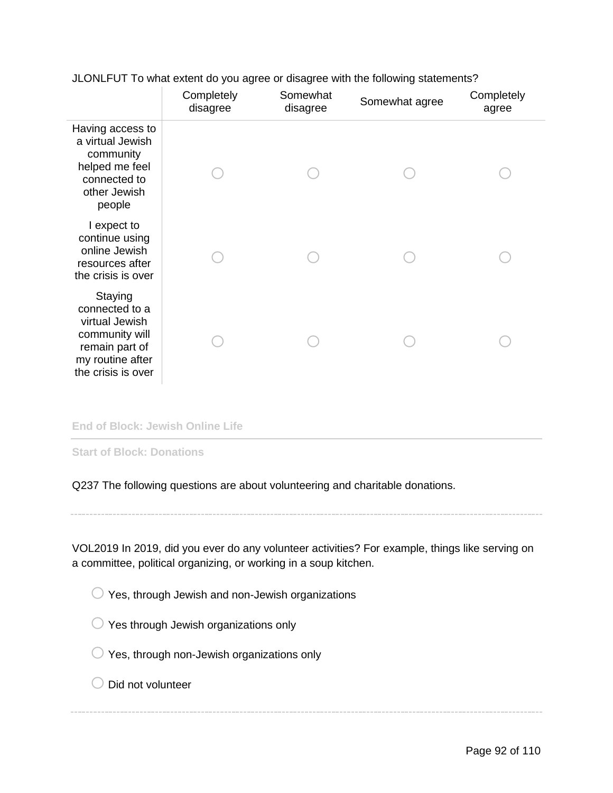|                                                                                                                           | Completely<br>disagree | Somewhat<br>disagree | Somewhat agree | Completely<br>agree |
|---------------------------------------------------------------------------------------------------------------------------|------------------------|----------------------|----------------|---------------------|
| Having access to<br>a virtual Jewish<br>community<br>helped me feel<br>connected to<br>other Jewish<br>people             |                        |                      |                |                     |
| I expect to<br>continue using<br>online Jewish<br>resources after<br>the crisis is over                                   |                        |                      |                |                     |
| Staying<br>connected to a<br>virtual Jewish<br>community will<br>remain part of<br>my routine after<br>the crisis is over |                        |                      |                |                     |

JLONLFUT To what extent do you agree or disagree with the following statements?

#### **End of Block: Jewish Online Life**

**Start of Block: Donations**

Q237 The following questions are about volunteering and charitable donations.

VOL2019 In 2019, did you ever do any volunteer activities? For example, things like serving on a committee, political organizing, or working in a soup kitchen.

 $\bigcirc$  Yes, through Jewish and non-Jewish organizations

 $\bigcirc$  Yes through Jewish organizations only

- $\bigcirc$  Yes, through non-Jewish organizations only
- $\bigcirc$  Did not volunteer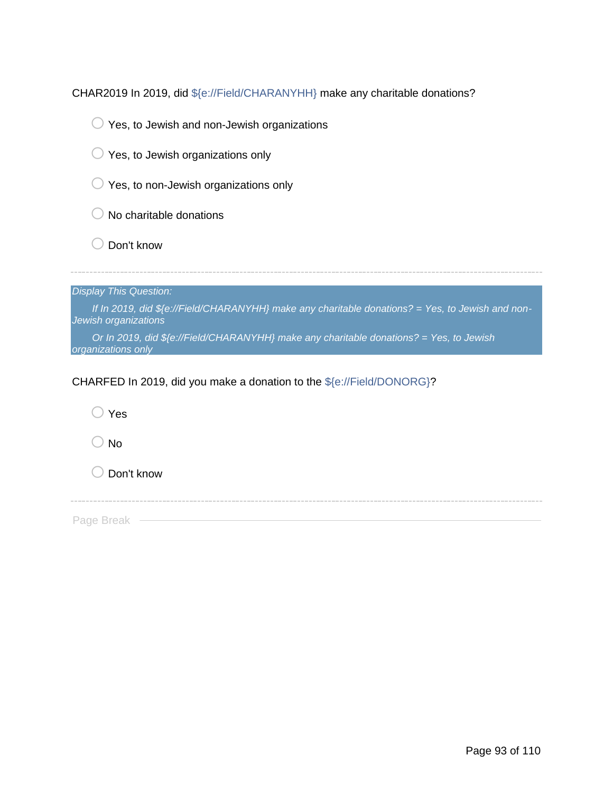CHAR2019 In 2019, did \${e://Field/CHARANYHH} make any charitable donations?



- $\bigcirc$  Yes, to Jewish organizations only
- $\bigcirc$  Yes, to non-Jewish organizations only
- $\bigcirc$  No charitable donations
- $\bigcirc$  Don't know

|  | <b>Display This Question:</b> |
|--|-------------------------------|
|  |                               |

*If In 2019, did \${e://Field/CHARANYHH} make any charitable donations? = Yes, to Jewish and non-Jewish organizations*

*Or In 2019, did \${e://Field/CHARANYHH} make any charitable donations? = Yes, to Jewish organizations only*

CHARFED In 2019, did you make a donation to the \${e://Field/DONORG}?

| $\supset$ Yes |  |  |
|---------------|--|--|
| $\supset$ No  |  |  |
| O Don't know  |  |  |
|               |  |  |
| Page Break    |  |  |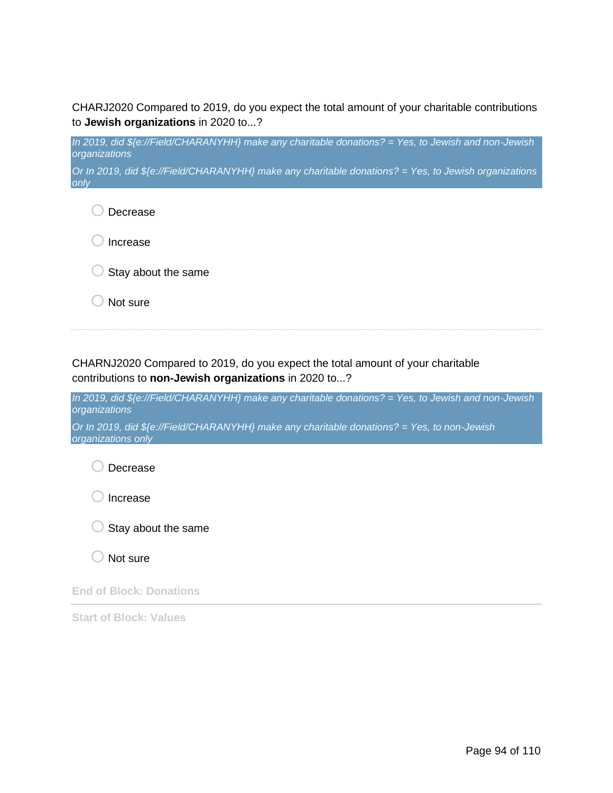CHARJ2020 Compared to 2019, do you expect the total amount of your charitable contributions to **Jewish organizations** in 2020 to...?

*In 2019, did \${e://Field/CHARANYHH} make any charitable donations? = Yes, to Jewish and non-Jewish organizations*

*Or In 2019, did \${e://Field/CHARANYHH} make any charitable donations? = Yes, to Jewish organizations only*

o Decrease lncrease

 $\bigcirc$  Stay about the same

 $\bigcirc$  Not sure

CHARNJ2020 Compared to 2019, do you expect the total amount of your charitable contributions to **non-Jewish organizations** in 2020 to...?

*In 2019, did \${e://Field/CHARANYHH} make any charitable donations? = Yes, to Jewish and non-Jewish organizations*

*Or In 2019, did \${e://Field/CHARANYHH} make any charitable donations? = Yes, to non-Jewish organizations only*

O Decrease

 $\bigcirc$  Increase



Not sure

**End of Block: Donations**

**Start of Block: Values**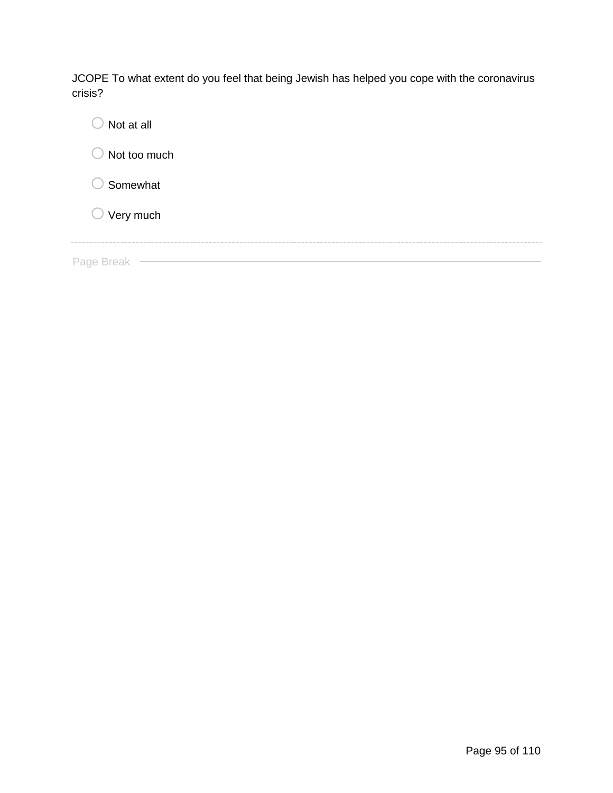JCOPE To what extent do you feel that being Jewish has helped you cope with the coronavirus crisis?

| Not at all                                        |
|---------------------------------------------------|
| Not too much                                      |
| Somewhat                                          |
| $\bigcirc$ Very much                              |
| state state state with the state state state with |
| Page Break                                        |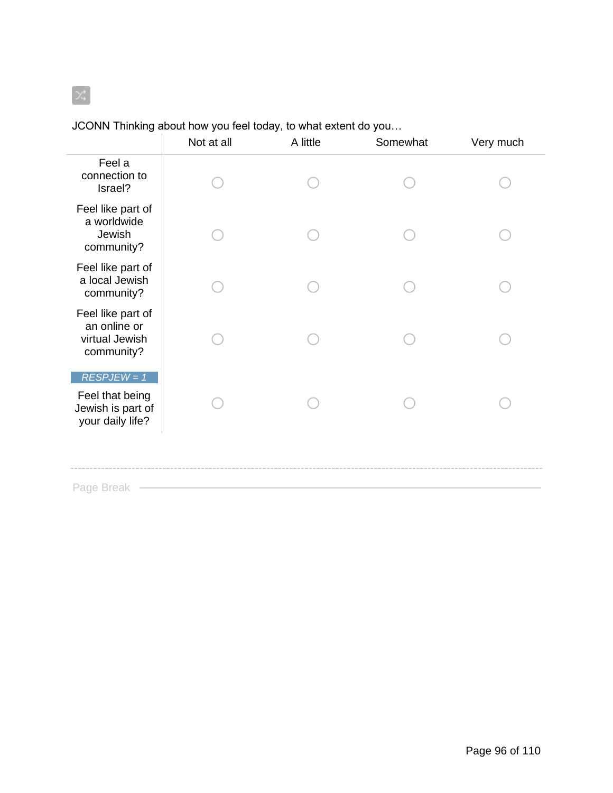## JCONN Thinking about how you feel today, to what extent do you…

|                                                                           | Not at all | A little | Somewhat | Very much |
|---------------------------------------------------------------------------|------------|----------|----------|-----------|
| Feel a<br>connection to<br>Israel?                                        |            |          |          |           |
| Feel like part of<br>a worldwide<br>Jewish<br>community?                  |            |          |          |           |
| Feel like part of<br>a local Jewish<br>community?                         |            |          |          |           |
| Feel like part of<br>an online or<br>virtual Jewish<br>community?         |            |          |          |           |
| $RESPJEW = 1$<br>Feel that being<br>Jewish is part of<br>your daily life? |            |          |          |           |
| Page Break                                                                |            |          |          |           |

 $\propto$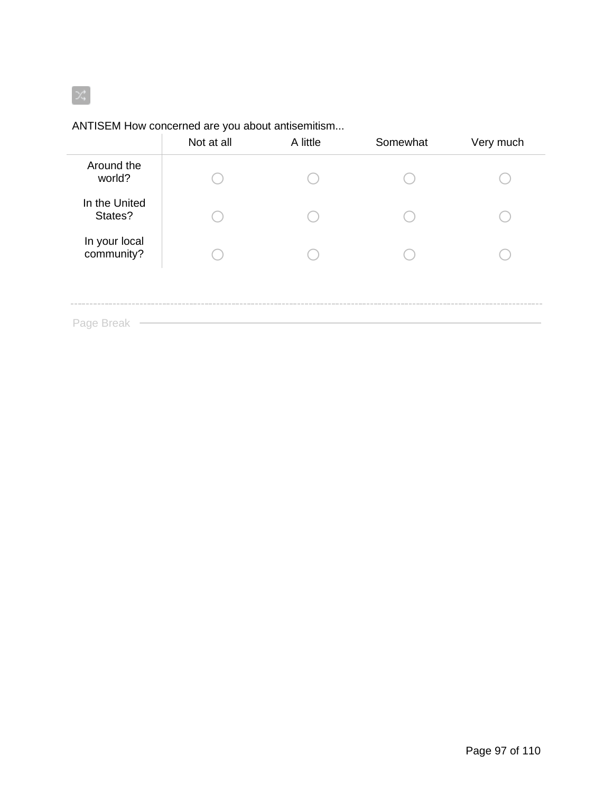# $\mathbb{R}^2$

## ANTISEM How concerned are you about antisemitism...

|                             | Not at all | A little | Somewhat | Very much |
|-----------------------------|------------|----------|----------|-----------|
| Around the<br>world?        |            |          |          |           |
| In the United<br>States?    |            |          |          |           |
| In your local<br>community? |            |          |          |           |
|                             |            |          |          |           |
| Page Break                  |            |          |          |           |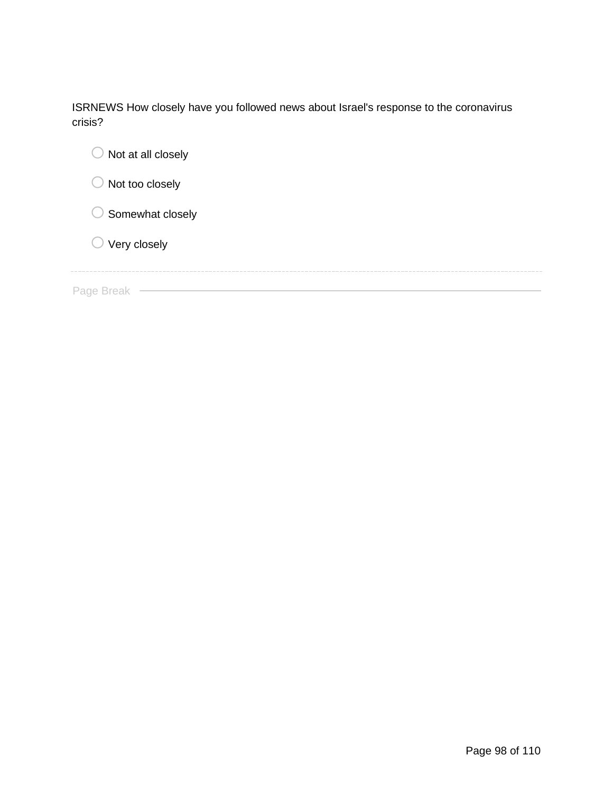ISRNEWS How closely have you followed news about Israel's response to the coronavirus crisis?

| $\bigcirc$ Not at all closely |
|-------------------------------|
| $\bigcirc$ Not too closely    |
| $\bigcirc$ Somewhat closely   |
| $\bigcirc$ Very closely       |
|                               |
| Page Break                    |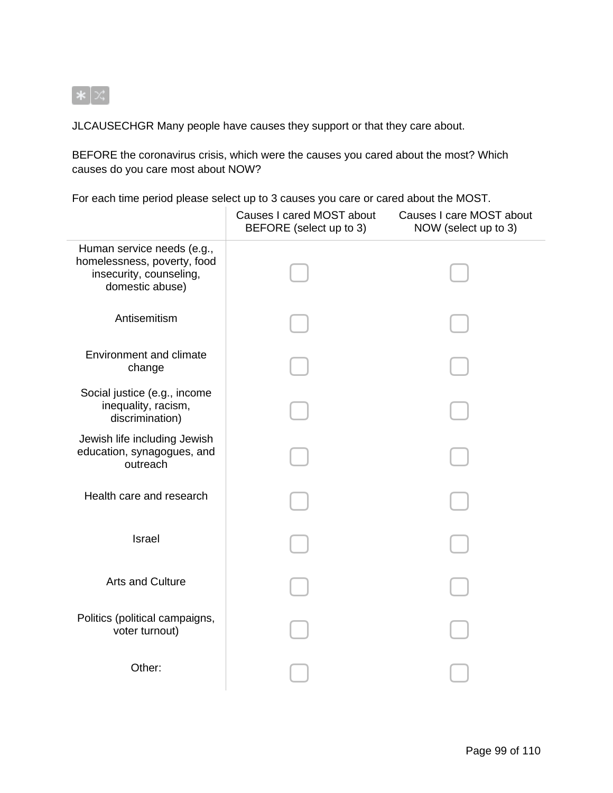

JLCAUSECHGR Many people have causes they support or that they care about.

BEFORE the coronavirus crisis, which were the causes you cared about the most? Which causes do you care most about NOW?

For each time period please select up to 3 causes you care or cared about the MOST.

|                                                                                                         | Causes I cared MOST about<br>BEFORE (select up to 3) | Causes I care MOST about<br>NOW (select up to 3) |
|---------------------------------------------------------------------------------------------------------|------------------------------------------------------|--------------------------------------------------|
| Human service needs (e.g.,<br>homelessness, poverty, food<br>insecurity, counseling,<br>domestic abuse) |                                                      |                                                  |
| Antisemitism                                                                                            |                                                      |                                                  |
| <b>Environment and climate</b><br>change                                                                |                                                      |                                                  |
| Social justice (e.g., income<br>inequality, racism,<br>discrimination)                                  |                                                      |                                                  |
| Jewish life including Jewish<br>education, synagogues, and<br>outreach                                  |                                                      |                                                  |
| Health care and research                                                                                |                                                      |                                                  |
| <b>Israel</b>                                                                                           |                                                      |                                                  |
| <b>Arts and Culture</b>                                                                                 |                                                      |                                                  |
| Politics (political campaigns,<br>voter turnout)                                                        |                                                      |                                                  |
| Other:                                                                                                  |                                                      |                                                  |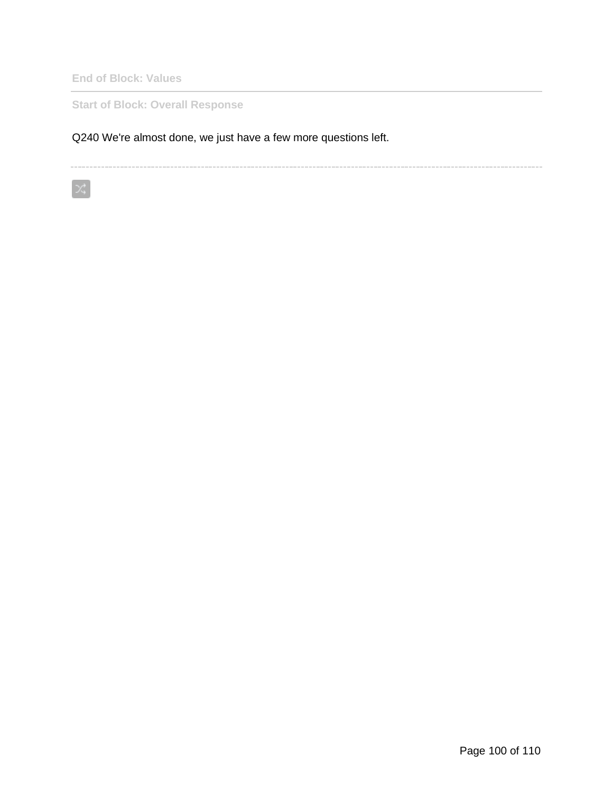**End of Block: Values**

 $\propto$ 

**Start of Block: Overall Response**

Q240 We're almost done, we just have a few more questions left.

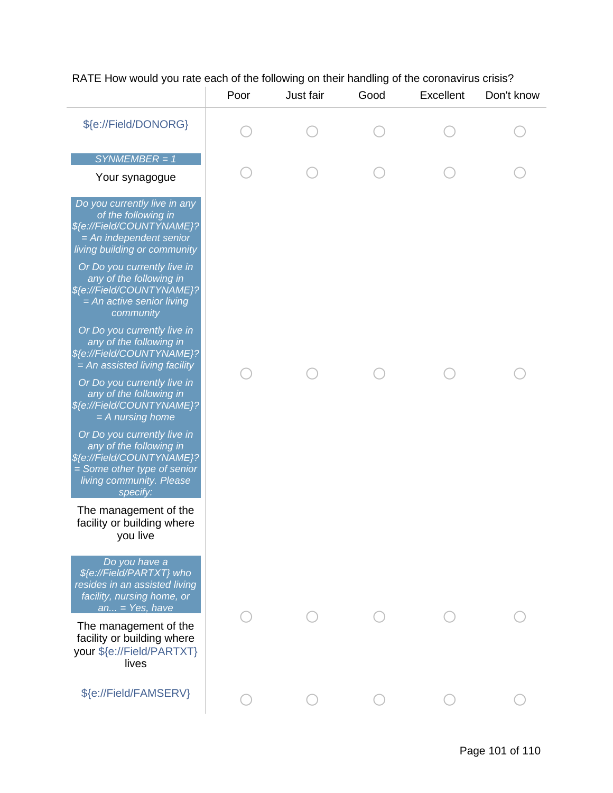## RATE How would you rate each of the following on their handling of the coronavirus crisis?

|                                                                                                                                                            | Poor | Just fair | Good | Excellent | Don't know |
|------------------------------------------------------------------------------------------------------------------------------------------------------------|------|-----------|------|-----------|------------|
| \${e://Field/DONORG}                                                                                                                                       |      |           |      |           |            |
| $SYNMEMBER = 1$                                                                                                                                            |      |           |      |           |            |
| Your synagogue                                                                                                                                             |      |           |      |           |            |
| Do you currently live in any<br>of the following in<br>\${e://Field/COUNTYNAME}?<br>$= An$ independent senior<br>living building or community              |      |           |      |           |            |
| Or Do you currently live in<br>any of the following in<br>\${e://Field/COUNTYNAME}?<br>$= An$ active senior living<br>community                            |      |           |      |           |            |
| Or Do you currently live in<br>any of the following in<br>\${e://Field/COUNTYNAME}?<br>$= An$ assisted living facility                                     |      |           |      |           |            |
| Or Do you currently live in<br>any of the following in<br>\${e://Field/COUNTYNAME}?<br>$=$ A nursing home                                                  |      |           |      |           |            |
| Or Do you currently live in<br>any of the following in<br>\${e://Field/COUNTYNAME}?<br>= Some other type of senior<br>living community. Please<br>specify: |      |           |      |           |            |
| The management of the<br>facility or building where<br>you live                                                                                            |      |           |      |           |            |
| Do you have a<br>\${e://Field/PARTXT} who<br>resides in an assisted living<br>facility, nursing home, or<br>$an = Yes, have$                               |      |           |      |           |            |
| The management of the<br>facility or building where<br>your \${e://Field/PARTXT}<br>lives                                                                  |      |           |      |           |            |
| \${e://Field/FAMSERV}                                                                                                                                      |      |           |      |           |            |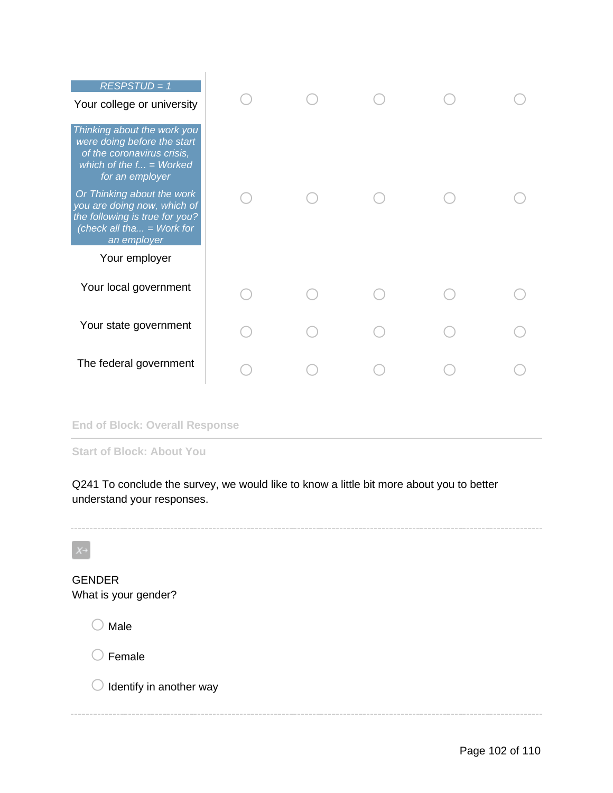| $RESPSTUD = 1$<br>Your college or university                                                                                              |  |  |  |
|-------------------------------------------------------------------------------------------------------------------------------------------|--|--|--|
| Thinking about the work you<br>were doing before the start<br>of the coronavirus crisis,<br>which of the $f = W$ orked<br>for an employer |  |  |  |
| Or Thinking about the work<br>you are doing now, which of<br>the following is true for you?<br>(check all tha = Work for<br>an employer   |  |  |  |
| Your employer                                                                                                                             |  |  |  |
| Your local government                                                                                                                     |  |  |  |
| Your state government                                                                                                                     |  |  |  |
| The federal government                                                                                                                    |  |  |  |

#### **End of Block: Overall Response**

**Start of Block: About You**

Q241 To conclude the survey, we would like to know a little bit more about you to better understand your responses.

GENDER What is your gender?  $\bigcirc$  Male  $\bigcirc$  Female  $\bigcirc$  Identify in another way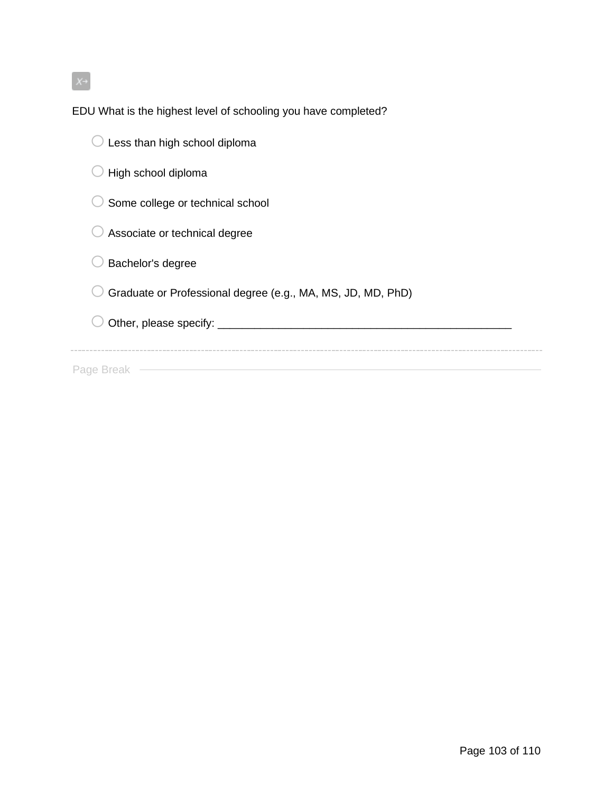$X \rightarrow$ 

EDU What is the highest level of schooling you have completed?

| Less than high school diploma                               |
|-------------------------------------------------------------|
| High school diploma                                         |
| Some college or technical school                            |
| Associate or technical degree                               |
| Bachelor's degree                                           |
| Graduate or Professional degree (e.g., MA, MS, JD, MD, PhD) |
| Other, please specify: ______                               |
|                                                             |
| Page Breal                                                  |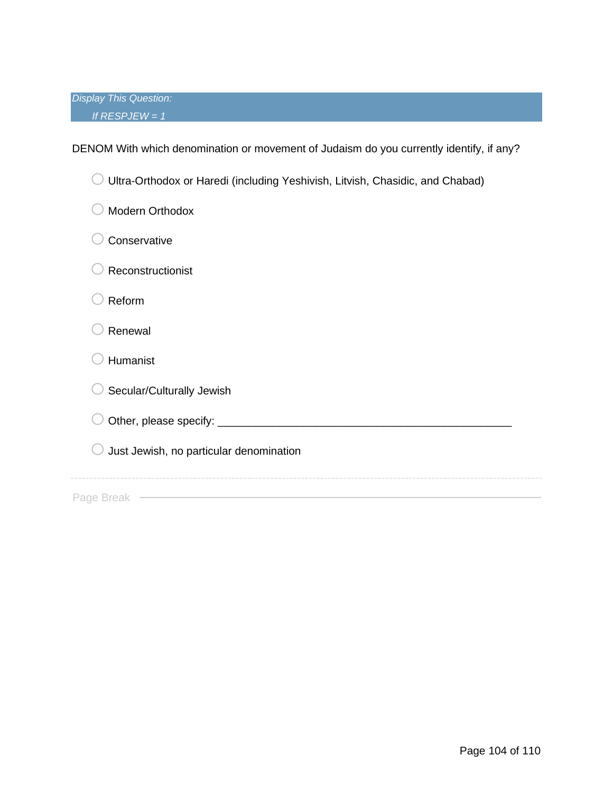*Display This Question: If RESPJEW = 1*

DENOM With which denomination or movement of Judaism do you currently identify, if any?

| Ultra-Orthodox or Haredi (including Yeshivish, Litvish, Chasidic, and Chabad) |
|-------------------------------------------------------------------------------|
| <b>Modern Orthodox</b>                                                        |
| Conservative                                                                  |
| Reconstructionist                                                             |
| Reform                                                                        |
| Renewal                                                                       |
| Humanist                                                                      |
| Secular/Culturally Jewish                                                     |
| Other, please specify: _                                                      |
| Just Jewish, no particular denomination                                       |
|                                                                               |
| Page Breal                                                                    |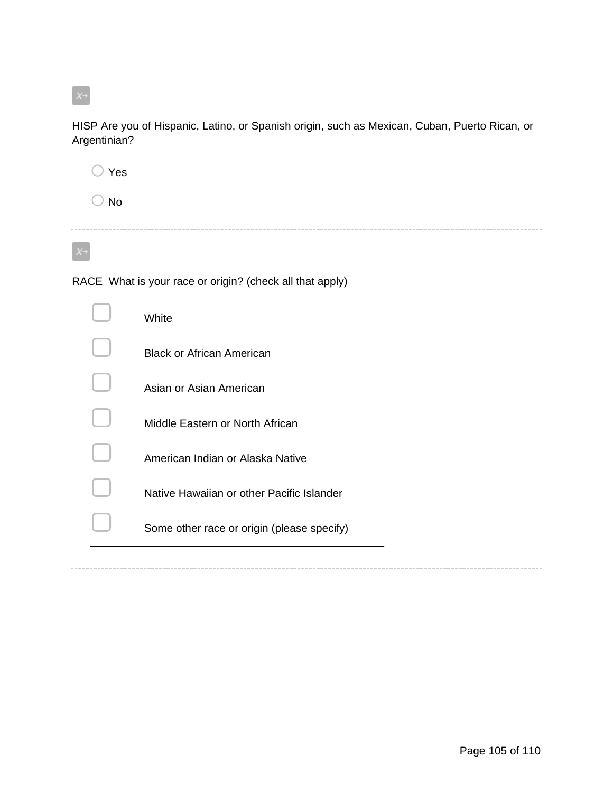$X^{\rightarrow}$ 

HISP Are you of Hispanic, Latino, or Spanish origin, such as Mexican, Cuban, Puerto Rican, or Argentinian?

o Yes

 $\bigcirc$  No

 $X \rightarrow$ 

RACE What is your race or origin? (check all that apply)

| White                                      |
|--------------------------------------------|
| <b>Black or African American</b>           |
| Asian or Asian American                    |
| Middle Eastern or North African            |
| American Indian or Alaska Native           |
| Native Hawaiian or other Pacific Islander  |
| Some other race or origin (please specify) |
|                                            |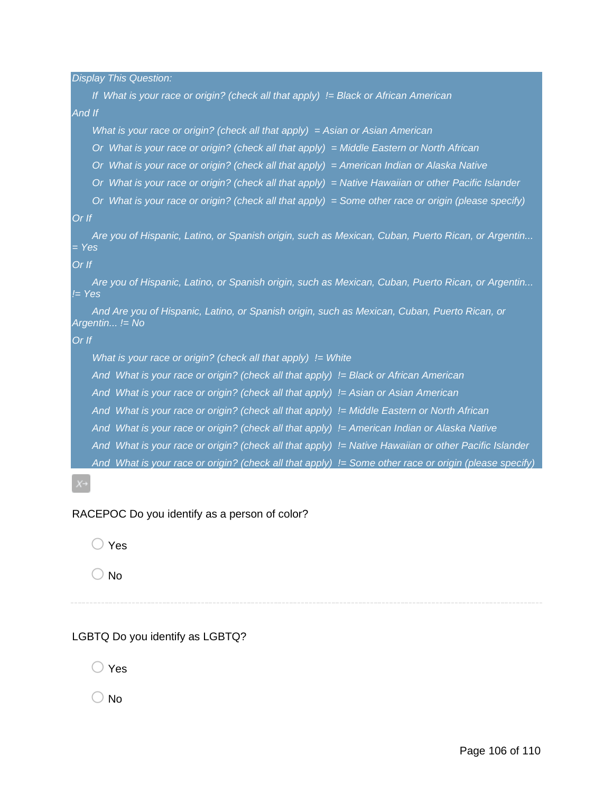*Display This Question:*

*If What is your race or origin? (check all that apply) != Black or African American And If What is your race or origin? (check all that apply) = Asian or Asian American Or What is your race or origin? (check all that apply) = Middle Eastern or North African Or What is your race or origin? (check all that apply) = American Indian or Alaska Native Or What is your race or origin? (check all that apply) = Native Hawaiian or other Pacific Islander Or What is your race or origin? (check all that apply) = Some other race or origin (please specify) Or If Are you of Hispanic, Latino, or Spanish origin, such as Mexican, Cuban, Puerto Rican, or Argentin... = Yes Or If Are you of Hispanic, Latino, or Spanish origin, such as Mexican, Cuban, Puerto Rican, or Argentin... != Yes And Are you of Hispanic, Latino, or Spanish origin, such as Mexican, Cuban, Puerto Rican, or Argentin... != No Or If What is your race or origin? (check all that apply) != White And What is your race or origin? (check all that apply) != Black or African American And What is your race or origin? (check all that apply) != Asian or Asian American And What is your race or origin? (check all that apply) != Middle Eastern or North African And What is your race or origin? (check all that apply) != American Indian or Alaska Native And What is your race or origin? (check all that apply) != Native Hawaiian or other Pacific Islander And What is your race or origin? (check all that apply) != Some other race or origin (please specify)*

### RACEPOC Do you identify as a person of color?

 $\bigcirc$  Yes

 $\bigcirc$  No

## LGBTQ Do you identify as LGBTQ?

 $\bigcirc$  Yes

( ) No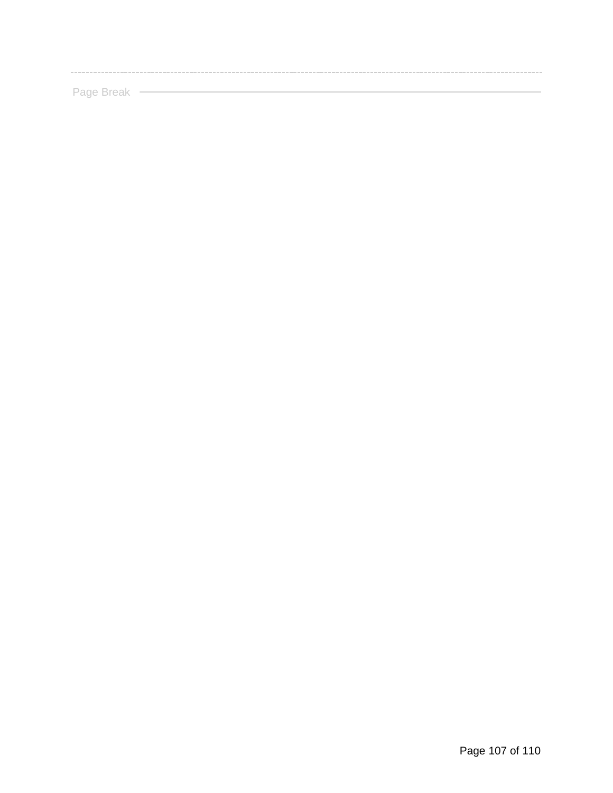Page Break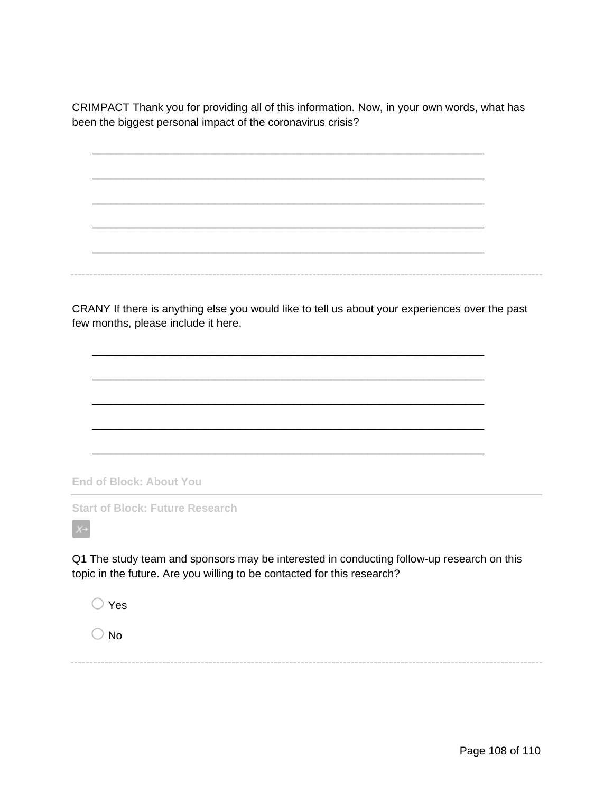CRIMPACT Thank you for providing all of this information. Now, in your own words, what has been the biggest personal impact of the coronavirus crisis?

\_\_\_\_\_\_\_\_\_\_\_\_\_\_\_\_\_\_\_\_\_\_\_\_\_\_\_\_\_\_\_\_\_\_\_\_\_\_\_\_\_\_\_\_\_\_\_\_\_\_\_\_\_\_\_\_\_\_\_\_\_\_\_\_

\_\_\_\_\_\_\_\_\_\_\_\_\_\_\_\_\_\_\_\_\_\_\_\_\_\_\_\_\_\_\_\_\_\_\_\_\_\_\_\_\_\_\_\_\_\_\_\_\_\_\_\_\_\_\_\_\_\_\_\_\_\_\_\_

\_\_\_\_\_\_\_\_\_\_\_\_\_\_\_\_\_\_\_\_\_\_\_\_\_\_\_\_\_\_\_\_\_\_\_\_\_\_\_\_\_\_\_\_\_\_\_\_\_\_\_\_\_\_\_\_\_\_\_\_\_\_\_\_

\_\_\_\_\_\_\_\_\_\_\_\_\_\_\_\_\_\_\_\_\_\_\_\_\_\_\_\_\_\_\_\_\_\_\_\_\_\_\_\_\_\_\_\_\_\_\_\_\_\_\_\_\_\_\_\_\_\_\_\_\_\_\_\_

\_\_\_\_\_\_\_\_\_\_\_\_\_\_\_\_\_\_\_\_\_\_\_\_\_\_\_\_\_\_\_\_\_\_\_\_\_\_\_\_\_\_\_\_\_\_\_\_\_\_\_\_\_\_\_\_\_\_\_\_\_\_\_\_

CRANY If there is anything else you would like to tell us about your experiences over the past few months, please include it here.

\_\_\_\_\_\_\_\_\_\_\_\_\_\_\_\_\_\_\_\_\_\_\_\_\_\_\_\_\_\_\_\_\_\_\_\_\_\_\_\_\_\_\_\_\_\_\_\_\_\_\_\_\_\_\_\_\_\_\_\_\_\_\_\_

\_\_\_\_\_\_\_\_\_\_\_\_\_\_\_\_\_\_\_\_\_\_\_\_\_\_\_\_\_\_\_\_\_\_\_\_\_\_\_\_\_\_\_\_\_\_\_\_\_\_\_\_\_\_\_\_\_\_\_\_\_\_\_\_

\_\_\_\_\_\_\_\_\_\_\_\_\_\_\_\_\_\_\_\_\_\_\_\_\_\_\_\_\_\_\_\_\_\_\_\_\_\_\_\_\_\_\_\_\_\_\_\_\_\_\_\_\_\_\_\_\_\_\_\_\_\_\_\_

\_\_\_\_\_\_\_\_\_\_\_\_\_\_\_\_\_\_\_\_\_\_\_\_\_\_\_\_\_\_\_\_\_\_\_\_\_\_\_\_\_\_\_\_\_\_\_\_\_\_\_\_\_\_\_\_\_\_\_\_\_\_\_\_

\_\_\_\_\_\_\_\_\_\_\_\_\_\_\_\_\_\_\_\_\_\_\_\_\_\_\_\_\_\_\_\_\_\_\_\_\_\_\_\_\_\_\_\_\_\_\_\_\_\_\_\_\_\_\_\_\_\_\_\_\_\_\_\_

**End of Block: About You**

**Start of Block: Future Research**

Q1 The study team and sponsors may be interested in conducting follow-up research on this topic in the future. Are you willing to be contacted for this research?

 $\bigcirc$  Yes

 $\bigcirc$  No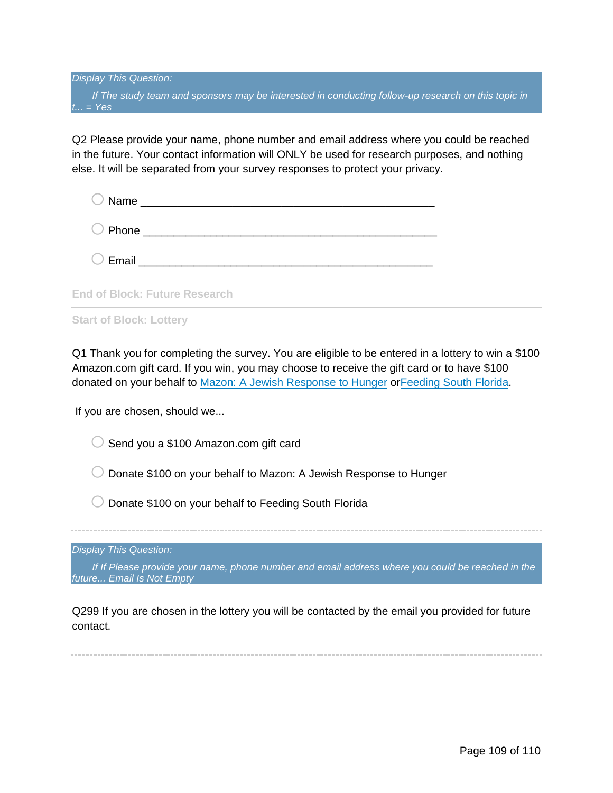*Display This Question: If The study team and sponsors may be interested in conducting follow-up research on this topic in t... = Yes*

Q2 Please provide your name, phone number and email address where you could be reached in the future. Your contact information will ONLY be used for research purposes, and nothing else. It will be separated from your survey responses to protect your privacy.

| O Phone ______________________ |  |  |
|--------------------------------|--|--|
|                                |  |  |

**End of Block: Future Research**

**Start of Block: Lottery**

Q1 Thank you for completing the survey. You are eligible to be entered in a lottery to win a \$100 Amazon.com gift card. If you win, you may choose to receive the gift card or to have \$100 donated on your behalf to [Mazon: A Jewish Response to Hunger](https://mazon.org/) o[rFeeding South Florida.](https://feedingsouthflorida.org/)

If you are chosen, should we...

 $\bigcirc$  Send you a \$100 Amazon.com gift card

 $\circ$  Donate \$100 on your behalf to Mazon: A Jewish Response to Hunger

 $\bigcirc$  Donate \$100 on your behalf to Feeding South Florida

*Display This Question:*

*If If Please provide your name, phone number and email address where you could be reached in the future... Email Is Not Empty*

Q299 If you are chosen in the lottery you will be contacted by the email you provided for future contact.